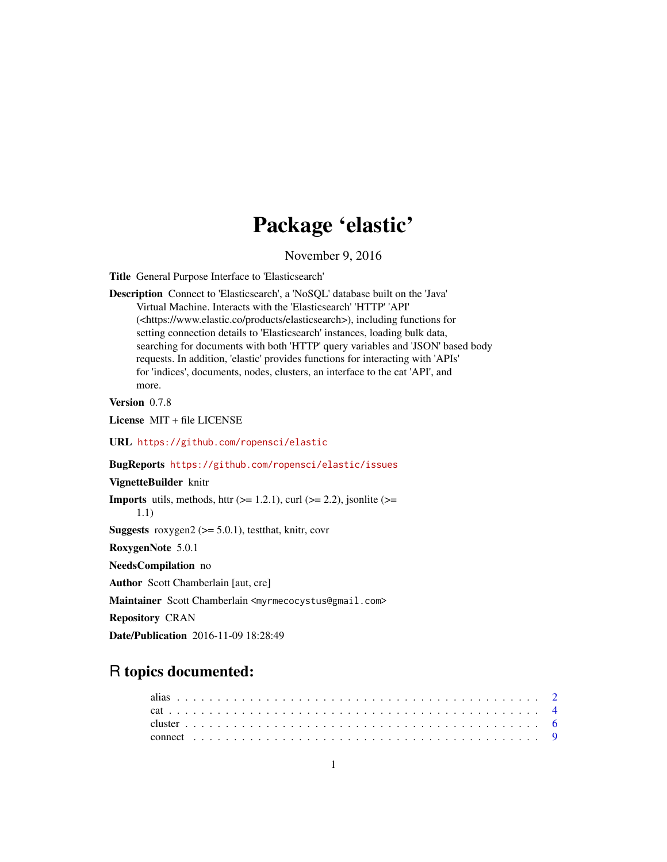# Package 'elastic'

November 9, 2016

<span id="page-0-0"></span>Title General Purpose Interface to 'Elasticsearch'

Description Connect to 'Elasticsearch', a 'NoSQL' database built on the 'Java' Virtual Machine. Interacts with the 'Elasticsearch' 'HTTP' 'API' (<https://www.elastic.co/products/elasticsearch>), including functions for setting connection details to 'Elasticsearch' instances, loading bulk data, searching for documents with both 'HTTP' query variables and 'JSON' based body requests. In addition, 'elastic' provides functions for interacting with 'APIs' for 'indices', documents, nodes, clusters, an interface to the cat 'API', and more.

Version 0.7.8

License MIT + file LICENSE

URL <https://github.com/ropensci/elastic>

BugReports <https://github.com/ropensci/elastic/issues>

VignetteBuilder knitr

**Imports** utils, methods, httr ( $>= 1.2.1$ ), curl ( $>= 2.2$ ), jsonlite ( $>= 1.2.1$ ) 1.1)

**Suggests** roxygen2 ( $>= 5.0.1$ ), testthat, knitr, covr

RoxygenNote 5.0.1

NeedsCompilation no

Author Scott Chamberlain [aut, cre]

Maintainer Scott Chamberlain <myrmecocystus@gmail.com>

Repository CRAN

Date/Publication 2016-11-09 18:28:49

# R topics documented: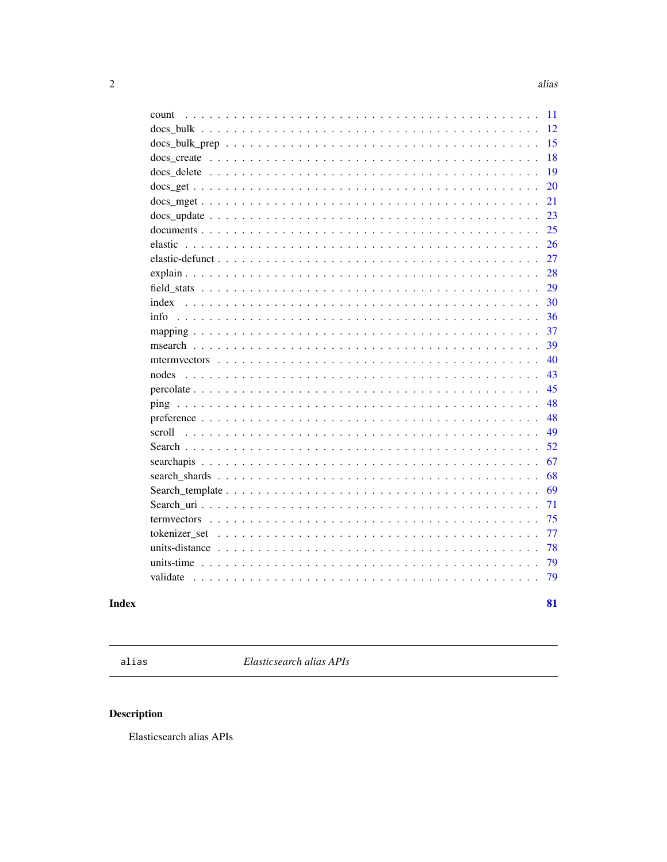81

<span id="page-1-0"></span>

| count     | 11 |
|-----------|----|
|           | 12 |
|           | 15 |
|           | 18 |
|           | 19 |
|           | 20 |
|           | 21 |
|           | 23 |
|           | 25 |
|           | 26 |
|           | 27 |
| $explain$ | 28 |
|           | 29 |
| index     | 30 |
|           | 36 |
|           | 37 |
|           | 39 |
|           | 40 |
|           | 43 |
|           | 45 |
|           | 48 |
|           | 48 |
|           | 49 |
|           | 52 |
|           | 67 |
|           | 68 |
|           | 69 |
|           | 71 |
|           | 75 |
|           | 77 |
|           | 78 |
|           | 79 |
| validate  | 79 |
|           |    |

### **Index**

 $_{\text{alias}}$ 

Elasticsearch alias APIs

## Description

Elasticsearch alias APIs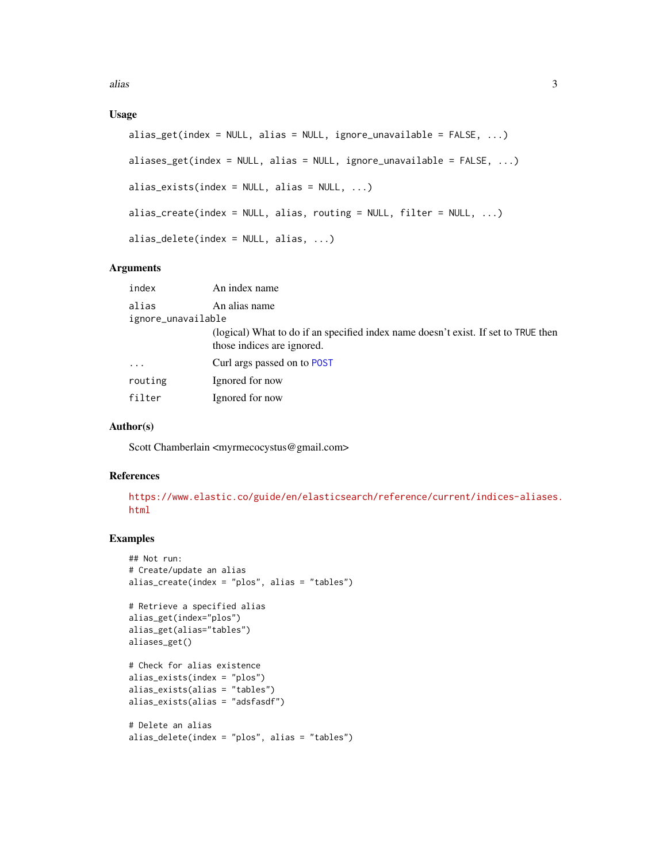alias 3

### Usage

```
alias_get(index = NULL, alias = NULL, ignore_unavailable = FALSE, ...)
aliases_get(index = NULL, alias = NULL, ignore_unavailable = FALSE, ...)
alias_exists(index = NULL, alias = NULL, ...)
alias_create(index = NULL, alias, routing = NULL, filler = NULL, ...)
alias_delete(index = NULL, alias, ...)
```
### Arguments

| index              | An index name                                                                                                    |
|--------------------|------------------------------------------------------------------------------------------------------------------|
| alias              | An alias name                                                                                                    |
| ignore_unavailable |                                                                                                                  |
|                    | (logical) What to do if an specified index name doesn't exist. If set to TRUE then<br>those indices are ignored. |
| $\cdot$            | Curl args passed on to POST                                                                                      |
| routing            | Ignored for now                                                                                                  |
| filter             | Ignored for now                                                                                                  |

### Author(s)

Scott Chamberlain <myrmecocystus@gmail.com>

#### References

[https://www.elastic.co/guide/en/elasticsearch/reference/current/indices-aliases.](https://www.elastic.co/guide/en/elasticsearch/reference/current/indices-aliases.html) [html](https://www.elastic.co/guide/en/elasticsearch/reference/current/indices-aliases.html)

```
## Not run:
# Create/update an alias
alias_create(index = "plos", alias = "tables")
# Retrieve a specified alias
alias_get(index="plos")
alias_get(alias="tables")
aliases_get()
# Check for alias existence
alias_exists(index = "plos")
alias_exists(alias = "tables")
alias_exists(alias = "adsfasdf")
# Delete an alias
alias_delete(index = "plos", alias = "tables")
```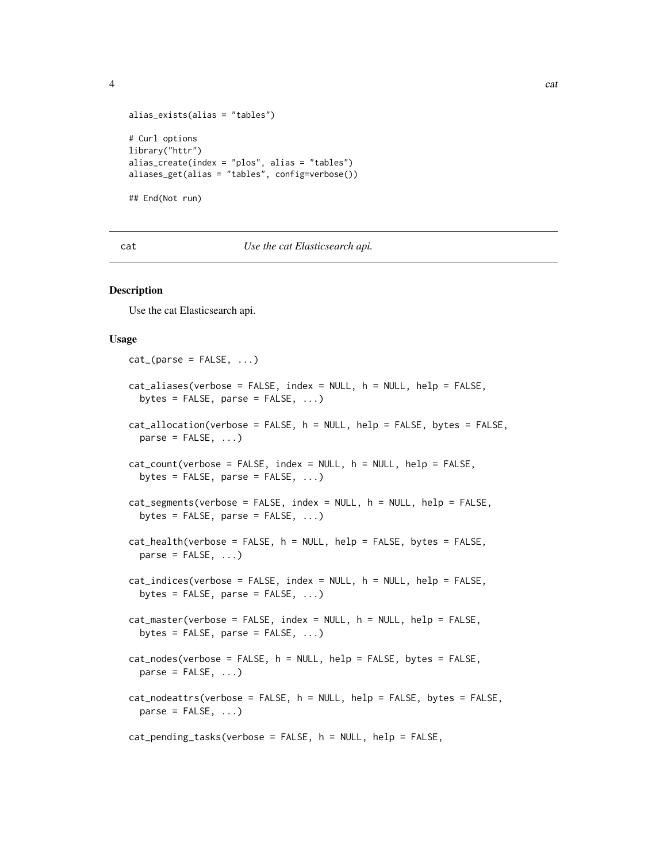<span id="page-3-0"></span>

```
alias_exists(alias = "tables")
# Curl options
library("httr")
alias_create(index = "plos", alias = "tables")
aliases_get(alias = "tables", config=verbose())
## End(Not run)
```
<span id="page-3-2"></span>cat *Use the cat Elasticsearch api.*

#### <span id="page-3-1"></span>Description

Use the cat Elasticsearch api.

### Usage

```
cat_{(parse = FALSE, ...)}cat_aliases(verbose = FALSE, index = NULL, h = NULL, help = FALSE,
 bytes = FALSE, parse = FALSE, ...)cat_allocation(verbose = FALSE, h = NULL, help = FALSE, bytes = FALSE,
 parse = FALSE, ...)cat_count(verbose = FALSE, index = NULL, h = NULL, help = FALSE,bytes = FALSE, parse = FALSE, ...)cat_segments(verbose = FALSE, index = NULL, h = NULL, help = FALSE,
  bytes = FALSE, parse = FALSE, ...)cat_health(verbose = FALSE, h = NULL, help = FALSE, bytes = FALSE,
 parse = FALSE, ...)cat_indices(verbose = FALSE, index = NULL, h = NULL, help = FALSE,
 bytes = FALSE, parse = FALSE, ...)cat_master(verbose = FALSE, index = NULL, h = NULL, help = FALSE,
  bytes = FALSE, parse = FALSE, ...)
cat_nodes(verbose = FALSE, h = NULL, help = FALSE, bytes = FALSE,
  parse = FALSE, ...)cat_nodeattrs(verbose = FALSE, h = NULL, help = FALSE, bytes = FALSE,
 parse = FALSE, ...)cat_pending_tasks(verbose = FALSE, h = NULL, help = FALSE,
```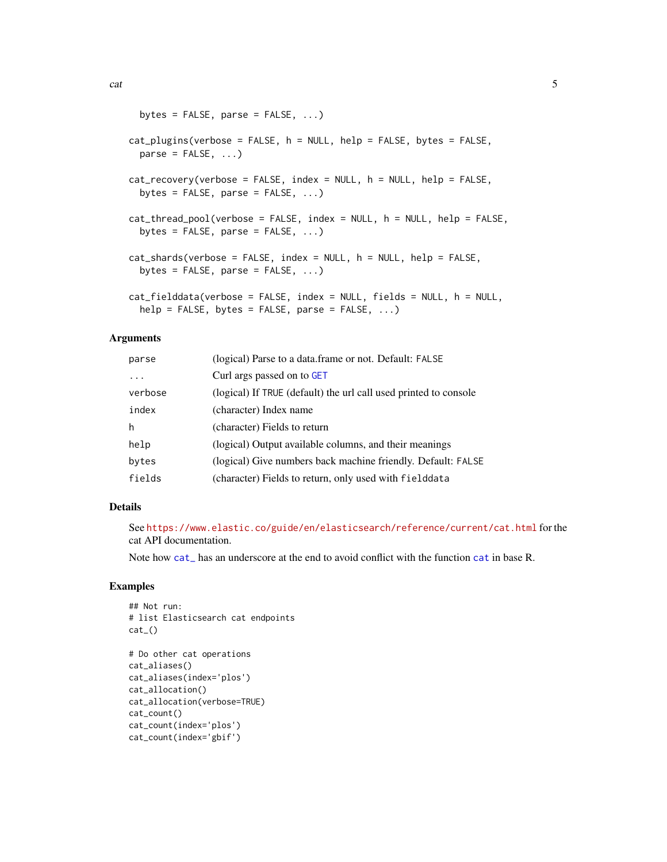```
bytes = FALSE, parse = FALSE, ...)cat\_plugins(verbose = FALSE, h = NULL, help = FALSE, bytes = FALSE,parse = FALSE, ...)cat_recovery(verbose = FALSE, index = NULL, h = NULL, help = FALSE,
  bytes = FALSE, parse = FALSE, ...)cat_thread_pool(verbose = FALSE, index = NULL, h = NULL, help = FALSE,
 bytes = FALSE, parse = FALSE, ...)cat_shards(verbose = FALSE, index = NULL, h = NULL, help = FALSE,
 bytes = FALSE, parse = FALSE, ...)cat_fielddata(verbose = FALSE, index = NULL, fields = NULL, h = NULL,
  help = FALSE, bytes = FALSE, parse = FALSE, ...)
```
#### Arguments

| parse     | (logical) Parse to a data.frame or not. Default: FALSE           |
|-----------|------------------------------------------------------------------|
| $\ddotsc$ | Curl args passed on to GET                                       |
| verbose   | (logical) If TRUE (default) the url call used printed to console |
| index     | (character) Index name                                           |
| h         | (character) Fields to return                                     |
| help      | (logical) Output available columns, and their meanings           |
| bytes     | (logical) Give numbers back machine friendly. Default: FALSE     |
| fields    | (character) Fields to return, only used with fielddata           |

#### Details

See <https://www.elastic.co/guide/en/elasticsearch/reference/current/cat.html> for the cat API documentation.

Note how [cat\\_](#page-3-1) has an underscore at the end to avoid conflict with the function [cat](#page-3-2) in base R.

```
## Not run:
# list Elasticsearch cat endpoints
cat_()
# Do other cat operations
cat_aliases()
cat_aliases(index='plos')
cat_allocation()
cat_allocation(verbose=TRUE)
cat_count()
cat_count(index='plos')
```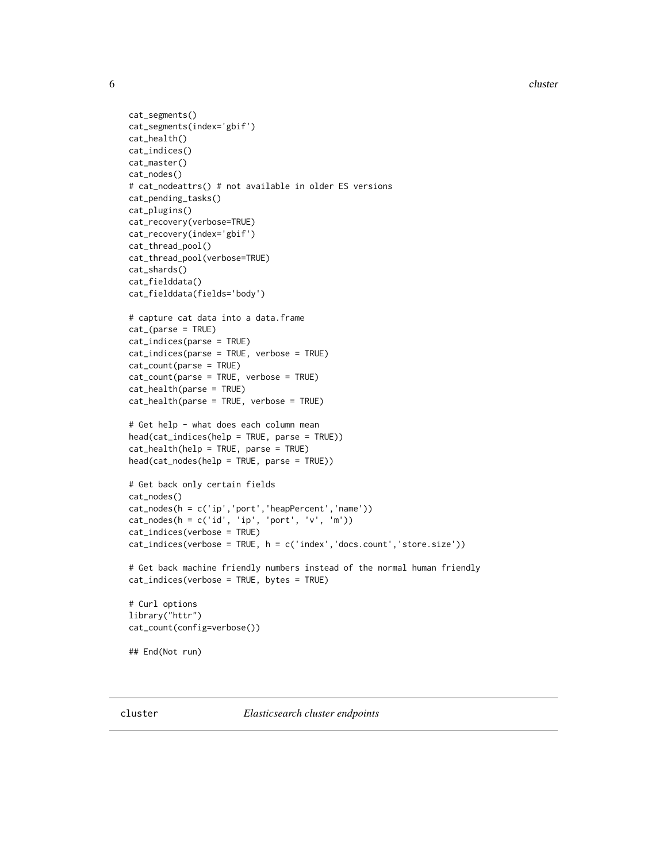<span id="page-5-0"></span>6 cluster and the contract of the contract of the contract of the contract of the contract of the contract of the contract of the contract of the contract of the contract of the contract of the contract of the contract of

```
cat_segments()
cat_segments(index='gbif')
cat_health()
cat_indices()
cat_master()
cat_nodes()
# cat_nodeattrs() # not available in older ES versions
cat_pending_tasks()
cat_plugins()
cat_recovery(verbose=TRUE)
cat_recovery(index='gbif')
cat_thread_pool()
cat_thread_pool(verbose=TRUE)
cat_shards()
cat_fielddata()
cat_fielddata(fields='body')
# capture cat data into a data.frame
cat_(parse = TRUE)
cat_indices(parse = TRUE)
cat_indices(parse = TRUE, verbose = TRUE)
cat_count(parse = TRUE)
cat_count(parse = TRUE, verbose = TRUE)
cat_health(parse = TRUE)
cat_health(parse = TRUE, verbose = TRUE)
# Get help - what does each column mean
head(cat_indices(help = TRUE, parse = TRUE))
cat_health(help = TRUE, parse = TRUE)
head(cat_nodes(help = TRUE, parse = TRUE))
# Get back only certain fields
cat_nodes()
cat_nodes(h = c('ip','port','heapPercent','name'))
cat\_nodes(h = c('id', 'ip', 'port', 'v', 'm'))cat_indices(verbose = TRUE)
cat_indices(verbose = TRUE, h = c('index','docs.count','store.size'))
# Get back machine friendly numbers instead of the normal human friendly
cat_indices(verbose = TRUE, bytes = TRUE)
# Curl options
library("httr")
cat_count(config=verbose())
## End(Not run)
```
cluster *Elasticsearch cluster endpoints*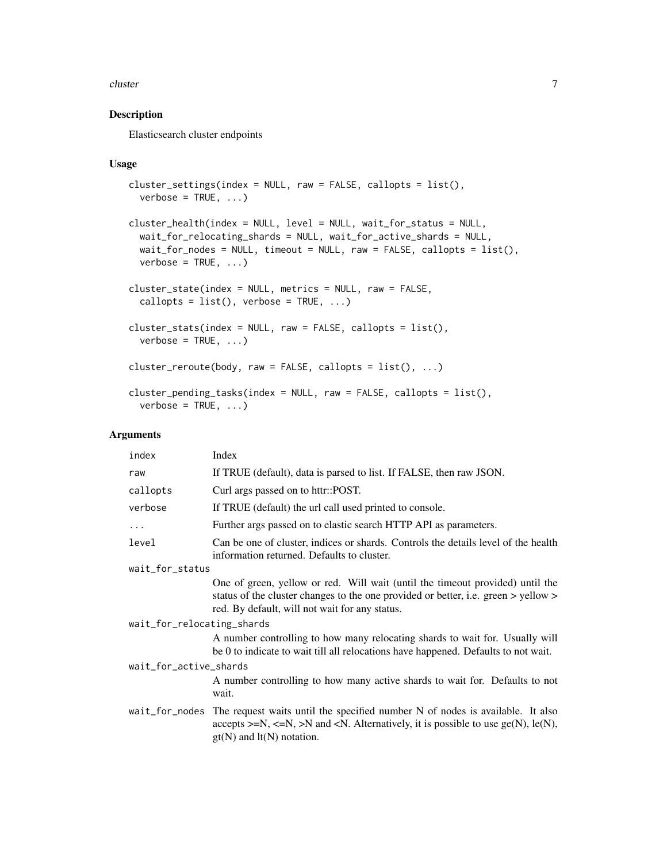#### cluster 7 and 2008 and 2008 and 2008 and 2008 and 2008 and 2008 and 2008 and 2008 and 2008 and 2008 and 2008 and 2008 and 2008 and 2008 and 2008 and 2008 and 2008 and 2008 and 2008 and 2008 and 2008 and 2008 and 2008 and 2

### Description

Elasticsearch cluster endpoints

### Usage

```
cluster_settings(index = NULL, raw = FALSE, callopts = list(),
 verbose = TRUE, ...)cluster_health(index = NULL, level = NULL, wait_for_status = NULL,
 wait_for_relocating_shards = NULL, wait_for_active_shards = NULL,
 wait_for_nodes = NULL, timeout = NULL, raw = FALSE, callopts = list(),
 verbose = TRUE, ...)cluster_state(index = NULL, metrics = NULL, raw = FALSE,
  callopts = list(), verbose = TRUE, ...)
cluster_stats(index = NULL, raw = FALSE, callopts = list(),
  verbose = TRUE, ...)cluster_reroute(body, raw = FALSE, callopts = list(), ...)cluster_pending_tasks(index = NULL, raw = FALSE, callopts = list(),
  verbose = TRUE, ...)
```

| index                      | Index                                                                                                                                                                                                                            |
|----------------------------|----------------------------------------------------------------------------------------------------------------------------------------------------------------------------------------------------------------------------------|
| raw                        | If TRUE (default), data is parsed to list. If FALSE, then raw JSON.                                                                                                                                                              |
| callopts                   | Curl args passed on to httr::POST.                                                                                                                                                                                               |
| verbose                    | If TRUE (default) the url call used printed to console.                                                                                                                                                                          |
| $\ddots$                   | Further args passed on to elastic search HTTP API as parameters.                                                                                                                                                                 |
| level                      | Can be one of cluster, indices or shards. Controls the details level of the health<br>information returned. Defaults to cluster.                                                                                                 |
| wait_for_status            |                                                                                                                                                                                                                                  |
|                            | One of green, yellow or red. Will wait (until the timeout provided) until the<br>status of the cluster changes to the one provided or better, i.e. green > yellow ><br>red. By default, will not wait for any status.            |
| wait_for_relocating_shards |                                                                                                                                                                                                                                  |
|                            | A number controlling to how many relocating shards to wait for. Usually will<br>be 0 to indicate to wait till all relocations have happened. Defaults to not wait.                                                               |
| wait_for_active_shards     |                                                                                                                                                                                                                                  |
|                            | A number controlling to how many active shards to wait for. Defaults to not<br>wait.                                                                                                                                             |
|                            | wait_for_nodes The request waits until the specified number N of nodes is available. It also<br>accepts $>=N, \leq N, \geq N$ and $\leq N$ . Alternatively, it is possible to use ge(N), le(N),<br>$gt(N)$ and $lt(N)$ notation. |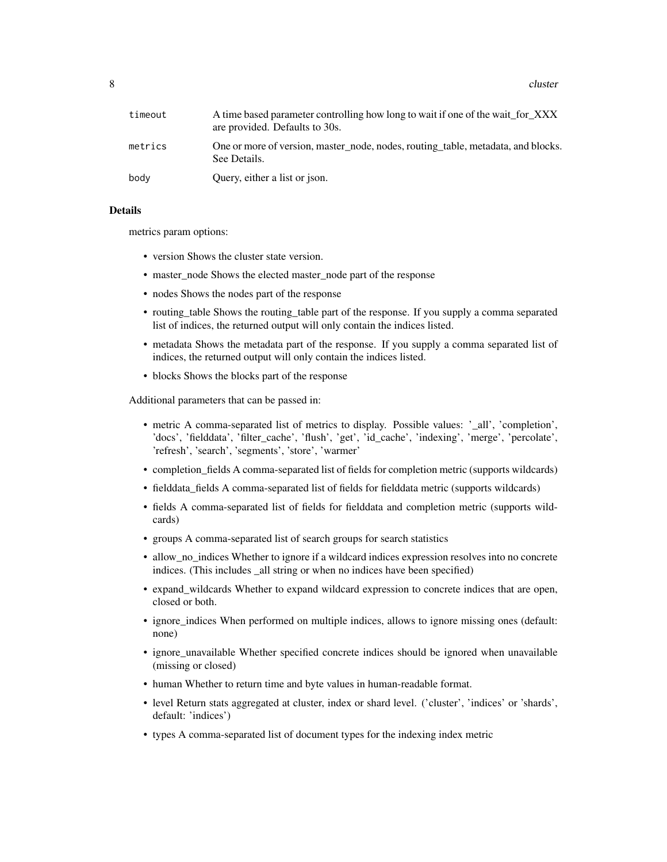8 cluster and the contract of the contract of the contract of the contract of the contract of the contract of the contract of the contract of the contract of the contract of the contract of the contract of the contract of

| timeout | A time based parameter controlling how long to wait if one of the wait for XXX<br>are provided. Defaults to 30s. |
|---------|------------------------------------------------------------------------------------------------------------------|
| metrics | One or more of version, master_node, nodes, routing_table, metadata, and blocks.<br>See Details.                 |
| body    | Query, either a list or json.                                                                                    |

### Details

metrics param options:

- version Shows the cluster state version.
- master\_node Shows the elected master\_node part of the response
- nodes Shows the nodes part of the response
- routing table Shows the routing table part of the response. If you supply a comma separated list of indices, the returned output will only contain the indices listed.
- metadata Shows the metadata part of the response. If you supply a comma separated list of indices, the returned output will only contain the indices listed.
- blocks Shows the blocks part of the response

Additional parameters that can be passed in:

- metric A comma-separated list of metrics to display. Possible values: '\_all', 'completion', 'docs', 'fielddata', 'filter\_cache', 'flush', 'get', 'id\_cache', 'indexing', 'merge', 'percolate', 'refresh', 'search', 'segments', 'store', 'warmer'
- completion fields A comma-separated list of fields for completion metric (supports wildcards)
- fielddata fields A comma-separated list of fields for fielddata metric (supports wildcards)
- fields A comma-separated list of fields for fielddata and completion metric (supports wildcards)
- groups A comma-separated list of search groups for search statistics
- allow\_no\_indices Whether to ignore if a wildcard indices expression resolves into no concrete indices. (This includes \_all string or when no indices have been specified)
- expand\_wildcards Whether to expand wildcard expression to concrete indices that are open, closed or both.
- ignore\_indices When performed on multiple indices, allows to ignore missing ones (default: none)
- ignore\_unavailable Whether specified concrete indices should be ignored when unavailable (missing or closed)
- human Whether to return time and byte values in human-readable format.
- level Return stats aggregated at cluster, index or shard level. ('cluster', 'indices' or 'shards', default: 'indices')
- types A comma-separated list of document types for the indexing index metric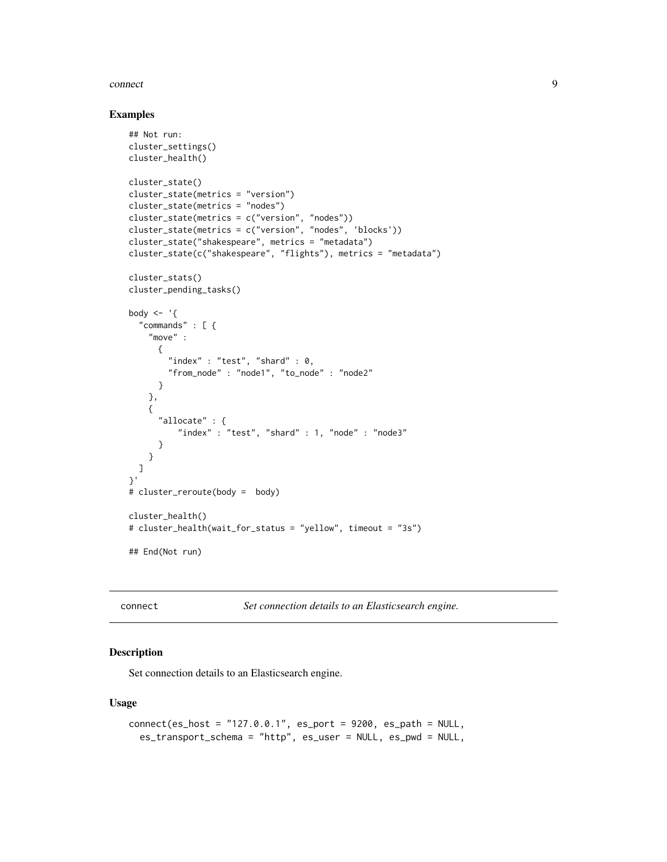#### <span id="page-8-0"></span>connect 9

#### Examples

```
## Not run:
cluster_settings()
cluster_health()
cluster_state()
cluster_state(metrics = "version")
cluster_state(metrics = "nodes")
cluster_state(metrics = c("version", "nodes"))
cluster_state(metrics = c("version", "nodes", 'blocks'))
cluster_state("shakespeare", metrics = "metadata")
cluster_state(c("shakespeare", "flights"), metrics = "metadata")
cluster_stats()
cluster_pending_tasks()
body \leq - '{
  "commands" : [ {
    "move" :
      {
        "index" : "test", "shard" : \theta,
        "from_node" : "node1", "to_node" : "node2"
      }
   },
    {
      "allocate" : {
          "index" : "test", "shard" : 1, "node" : "node3"
      }
    }
 ]
}'
# cluster_reroute(body = body)
cluster_health()
# cluster_health(wait_for_status = "yellow", timeout = "3s")
## End(Not run)
```
<span id="page-8-1"></span>connect *Set connection details to an Elasticsearch engine.*

### <span id="page-8-2"></span>Description

Set connection details to an Elasticsearch engine.

#### Usage

```
connect(es_host = "127.0.0.1", es_port = 9200, es_path = NULL,
  es_transport_schema = "http", es_user = NULL, es_pwd = NULL,
```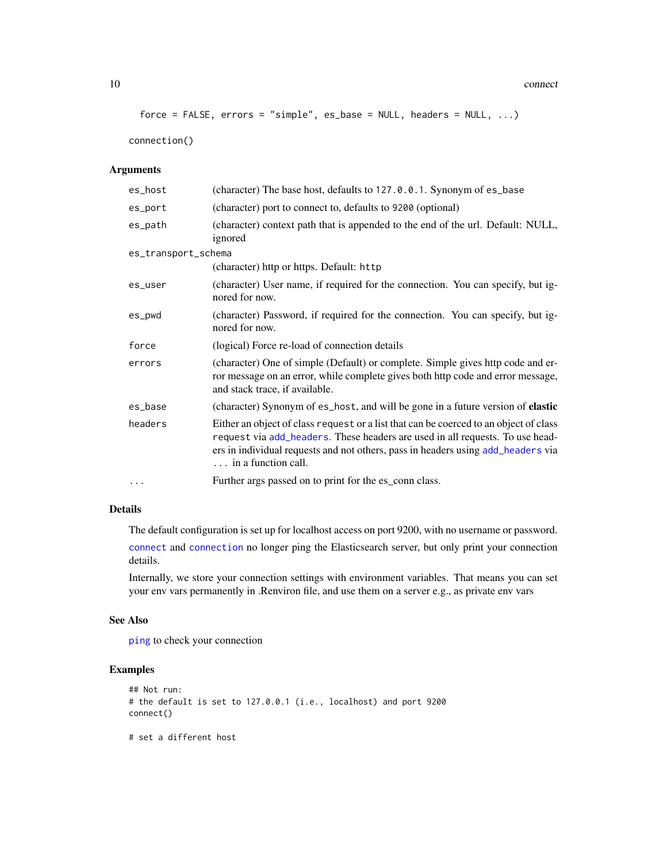```
force = FALSE, errors = "simple", es_base = NULL, headers = NULL, ...)
```
connection()

### Arguments

| es_host             | (character) The base host, defaults to 127.0.0.1. Synonym of es_base                                                                                                                                                                                                                       |
|---------------------|--------------------------------------------------------------------------------------------------------------------------------------------------------------------------------------------------------------------------------------------------------------------------------------------|
| es_port             | (character) port to connect to, defaults to 9200 (optional)                                                                                                                                                                                                                                |
| es_path             | (character) context path that is appended to the end of the url. Default: NULL,<br>ignored                                                                                                                                                                                                 |
| es_transport_schema |                                                                                                                                                                                                                                                                                            |
|                     | (character) http or https. Default: http                                                                                                                                                                                                                                                   |
| es_user             | (character) User name, if required for the connection. You can specify, but ig-<br>nored for now.                                                                                                                                                                                          |
| es_pwd              | (character) Password, if required for the connection. You can specify, but ig-<br>nored for now.                                                                                                                                                                                           |
| force               | (logical) Force re-load of connection details                                                                                                                                                                                                                                              |
| errors              | (character) One of simple (Default) or complete. Simple gives http code and er-<br>ror message on an error, while complete gives both http code and error message,<br>and stack trace, if available.                                                                                       |
| es_base             | (character) Synonym of es_host, and will be gone in a future version of elastic                                                                                                                                                                                                            |
| headers             | Either an object of class request or a list that can be coerced to an object of class<br>request via add_headers. These headers are used in all requests. To use head-<br>ers in individual requests and not others, pass in headers using add_headers via<br>$\ldots$ in a function call. |
| $\cdots$            | Further args passed on to print for the es_conn class.                                                                                                                                                                                                                                     |

### Details

The default configuration is set up for localhost access on port 9200, with no username or password.

[connect](#page-8-1) and [connection](#page-8-2) no longer ping the Elasticsearch server, but only print your connection details.

Internally, we store your connection settings with environment variables. That means you can set your env vars permanently in .Renviron file, and use them on a server e.g., as private env vars

#### See Also

[ping](#page-47-1) to check your connection

### Examples

```
## Not run:
# the default is set to 127.0.0.1 (i.e., localhost) and port 9200
connect()
```
# set a different host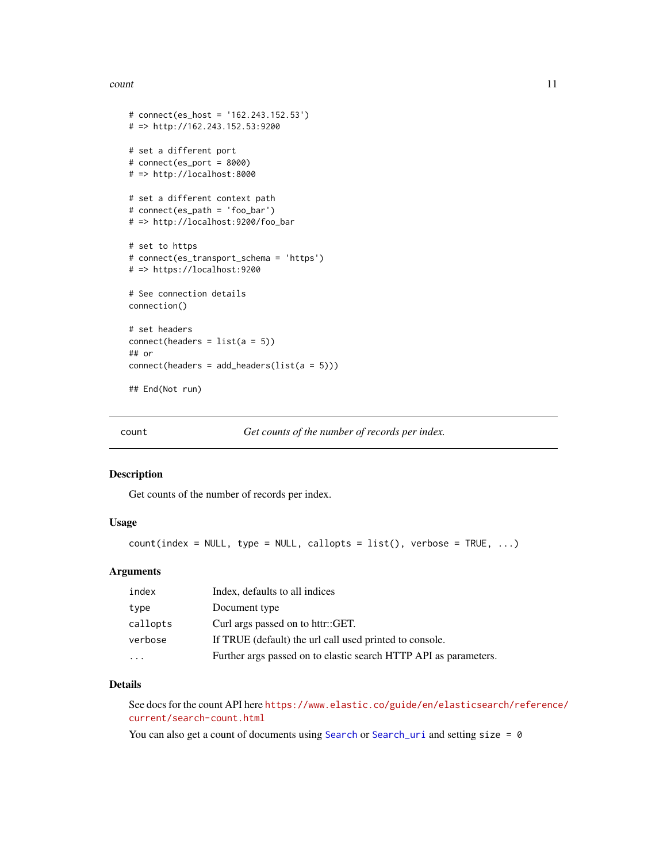#### <span id="page-10-0"></span>count 11

```
# connect(es_host = '162.243.152.53')
# => http://162.243.152.53:9200
# set a different port
# connect(es_port = 8000)
# => http://localhost:8000
# set a different context path
# connect(es_path = 'foo_bar')
# => http://localhost:9200/foo_bar
# set to https
# connect(es_transport_schema = 'https')
# => https://localhost:9200
# See connection details
connection()
# set headers
connect(headers = list(a = 5))## or
connect(headers = add_headers(list(a = 5)))
## End(Not run)
```
count *Get counts of the number of records per index.*

#### Description

Get counts of the number of records per index.

#### Usage

 $count/index = NULL, type = NULL, callopts = list(), verbose = TRUE, ...)$ 

#### Arguments

| index    | Index, defaults to all indices                                   |
|----------|------------------------------------------------------------------|
| type     | Document type                                                    |
| callopts | Curl args passed on to httr::GET.                                |
| verbose  | If TRUE (default) the url call used printed to console.          |
|          | Further args passed on to elastic search HTTP API as parameters. |

### Details

See docs for the count API here [https://www.elastic.co/guide/en/elasticsearch/reference](https://www.elastic.co/guide/en/elasticsearch/reference/current/search-count.html)/ [current/search-count.html](https://www.elastic.co/guide/en/elasticsearch/reference/current/search-count.html)

You can also get a count of documents using [Search](#page-51-1) or [Search\\_uri](#page-70-1) and setting size =  $\theta$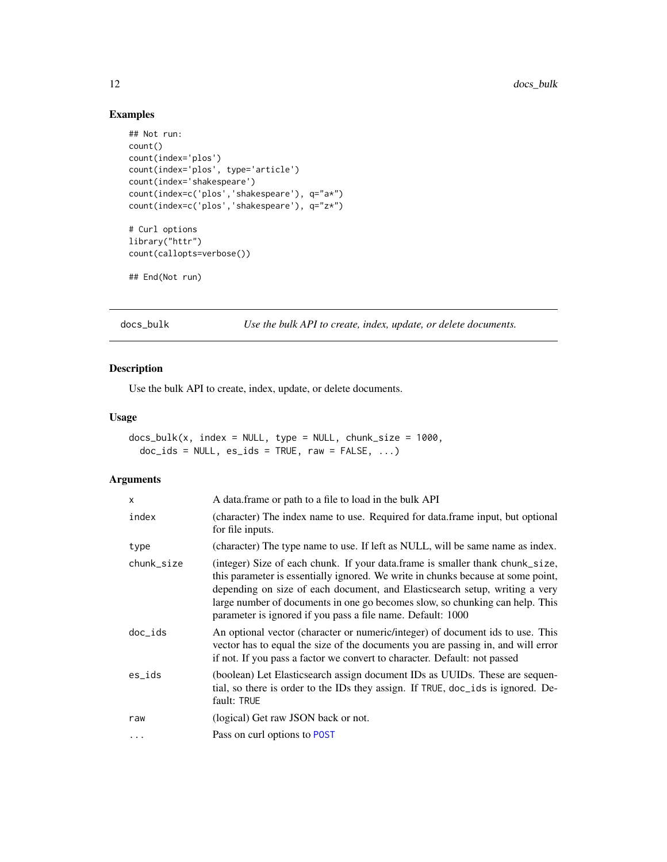### Examples

```
## Not run:
count()
count(index='plos')
count(index='plos', type='article')
count(index='shakespeare')
count(index=c('plos','shakespeare'), q="a*")
count(index=c('plos','shakespeare'), q="z*")
# Curl options
library("httr")
count(callopts=verbose())
## End(Not run)
```
<span id="page-11-1"></span>docs\_bulk *Use the bulk API to create, index, update, or delete documents.*

### Description

Use the bulk API to create, index, update, or delete documents.

### Usage

```
docs_bulk(x, index = NULL, type = NULL, chunk_size = 1000,doc\_ids = NULL, es\_ids = TRUE, raw = FALSE, ...)
```

| X          | A data frame or path to a file to load in the bulk API                                                                                                                                                                                                                                                                                                                                          |
|------------|-------------------------------------------------------------------------------------------------------------------------------------------------------------------------------------------------------------------------------------------------------------------------------------------------------------------------------------------------------------------------------------------------|
| index      | (character) The index name to use. Required for data.frame input, but optional<br>for file inputs.                                                                                                                                                                                                                                                                                              |
| type       | (character) The type name to use. If left as NULL, will be same name as index.                                                                                                                                                                                                                                                                                                                  |
| chunk_size | (integer) Size of each chunk. If your data frame is smaller thank chunk_size,<br>this parameter is essentially ignored. We write in chunks because at some point,<br>depending on size of each document, and Elasticsearch setup, writing a very<br>large number of documents in one go becomes slow, so chunking can help. This<br>parameter is ignored if you pass a file name. Default: 1000 |
| doc ids    | An optional vector (character or numeric/integer) of document ids to use. This<br>vector has to equal the size of the documents you are passing in, and will error<br>if not. If you pass a factor we convert to character. Default: not passed                                                                                                                                                 |
| es_ids     | (boolean) Let Elasticsearch assign document IDs as UUIDs. These are sequen-<br>tial, so there is order to the IDs they assign. If TRUE, doc_ids is ignored. De-<br>fault: TRUE                                                                                                                                                                                                                  |
| raw        | (logical) Get raw JSON back or not.                                                                                                                                                                                                                                                                                                                                                             |
| .          | Pass on curl options to POST                                                                                                                                                                                                                                                                                                                                                                    |

<span id="page-11-0"></span>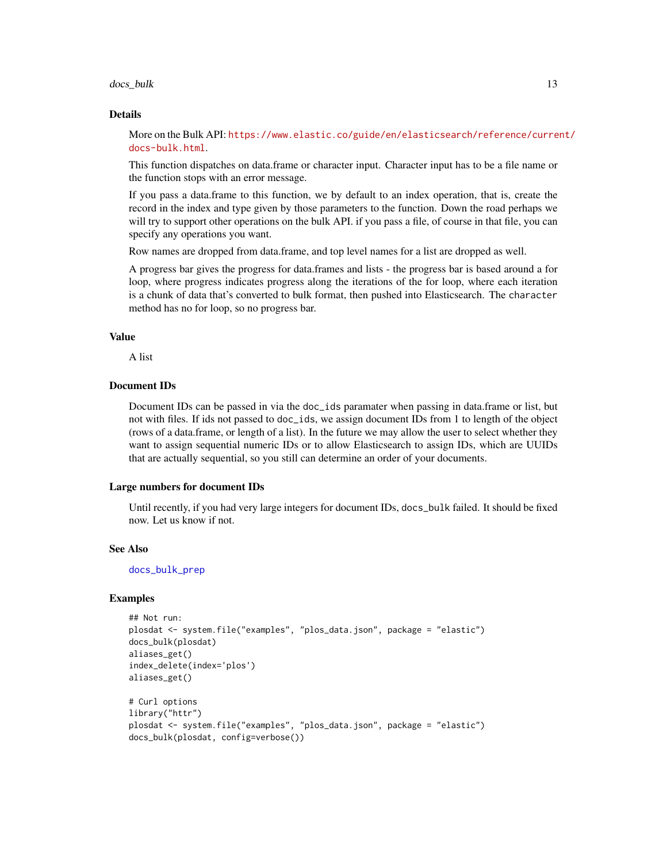#### docs\_bulk 13

#### Details

More on the Bulk API: [https://www.elastic.co/guide/en/elasticsearch/reference/curre](https://www.elastic.co/guide/en/elasticsearch/reference/current/docs-bulk.html)nt/ [docs-bulk.html](https://www.elastic.co/guide/en/elasticsearch/reference/current/docs-bulk.html).

This function dispatches on data.frame or character input. Character input has to be a file name or the function stops with an error message.

If you pass a data.frame to this function, we by default to an index operation, that is, create the record in the index and type given by those parameters to the function. Down the road perhaps we will try to support other operations on the bulk API. if you pass a file, of course in that file, you can specify any operations you want.

Row names are dropped from data.frame, and top level names for a list are dropped as well.

A progress bar gives the progress for data.frames and lists - the progress bar is based around a for loop, where progress indicates progress along the iterations of the for loop, where each iteration is a chunk of data that's converted to bulk format, then pushed into Elasticsearch. The character method has no for loop, so no progress bar.

#### Value

A list

#### Document IDs

Document IDs can be passed in via the doc\_ids paramater when passing in data.frame or list, but not with files. If ids not passed to doc\_ids, we assign document IDs from 1 to length of the object (rows of a data.frame, or length of a list). In the future we may allow the user to select whether they want to assign sequential numeric IDs or to allow Elasticsearch to assign IDs, which are UUIDs that are actually sequential, so you still can determine an order of your documents.

#### Large numbers for document IDs

Until recently, if you had very large integers for document IDs, docs\_bulk failed. It should be fixed now. Let us know if not.

#### See Also

[docs\\_bulk\\_prep](#page-14-1)

```
## Not run:
plosdat <- system.file("examples", "plos_data.json", package = "elastic")
docs_bulk(plosdat)
aliases_get()
index_delete(index='plos')
aliases_get()
# Curl options
library("httr")
plosdat <- system.file("examples", "plos_data.json", package = "elastic")
docs_bulk(plosdat, config=verbose())
```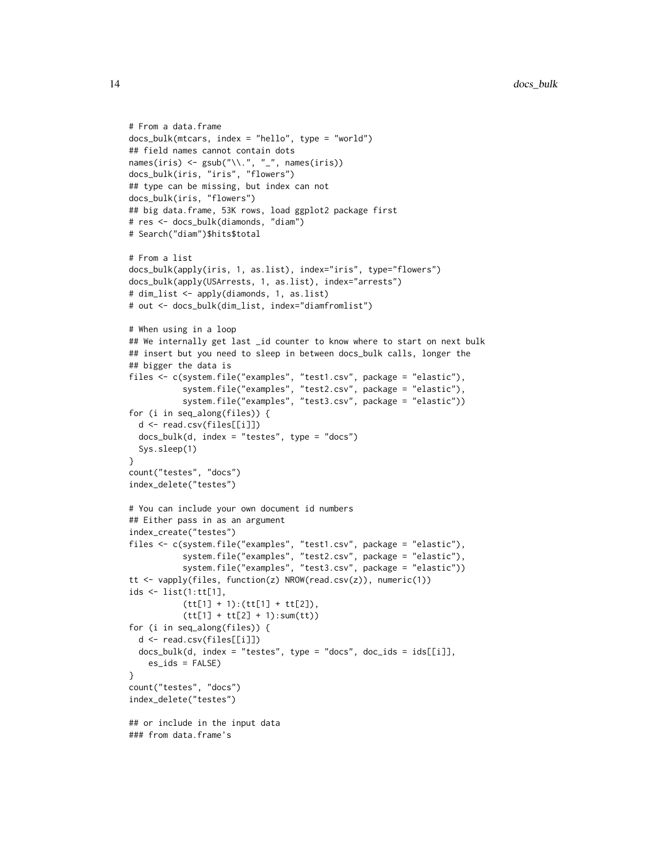```
# From a data.frame
docs_bulk(mtcars, index = "hello", type = "world")
## field names cannot contain dots
names(iris) <- gsub("\\.", "__", names(iris))docs_bulk(iris, "iris", "flowers")
## type can be missing, but index can not
docs_bulk(iris, "flowers")
## big data.frame, 53K rows, load ggplot2 package first
# res <- docs_bulk(diamonds, "diam")
# Search("diam")$hits$total
# From a list
docs_bulk(apply(iris, 1, as.list), index="iris", type="flowers")
docs_bulk(apply(USArrests, 1, as.list), index="arrests")
# dim_list <- apply(diamonds, 1, as.list)
# out <- docs_bulk(dim_list, index="diamfromlist")
# When using in a loop
## We internally get last _id counter to know where to start on next bulk
## insert but you need to sleep in between docs_bulk calls, longer the
## bigger the data is
files <- c(system.file("examples", "test1.csv", package = "elastic"),
           system.file("examples", "test2.csv", package = "elastic"),
           system.file("examples", "test3.csv", package = "elastic"))
for (i in seq_along(files)) {
  d <- read.csv(files[[i]])
  docs_bulk(d, index = "testes", type = "docs")
  Sys.sleep(1)
}
count("testes", "docs")
index_delete("testes")
# You can include your own document id numbers
## Either pass in as an argument
index_create("testes")
files <- c(system.file("examples", "test1.csv", package = "elastic"),
           system.file("examples", "test2.csv", package = "elastic"),
           system.file("examples", "test3.csv", package = "elastic"))
tt <- vapply(files, function(z) NROW(read.csv(z)), numeric(1))
ids <- list(1:tt[1],
           (tt[1] + 1):(tt[1] + tt[2]),
           (tt[1] + tt[2] + 1):sum(tt))
for (i in seq_along(files)) {
  d <- read.csv(files[[i]])
  docs_bulk(d, index = "tests", type = "docs", docids = ids[[i]],es\_ids = FALSE)}
count("testes", "docs")
index_delete("testes")
## or include in the input data
### from data.frame's
```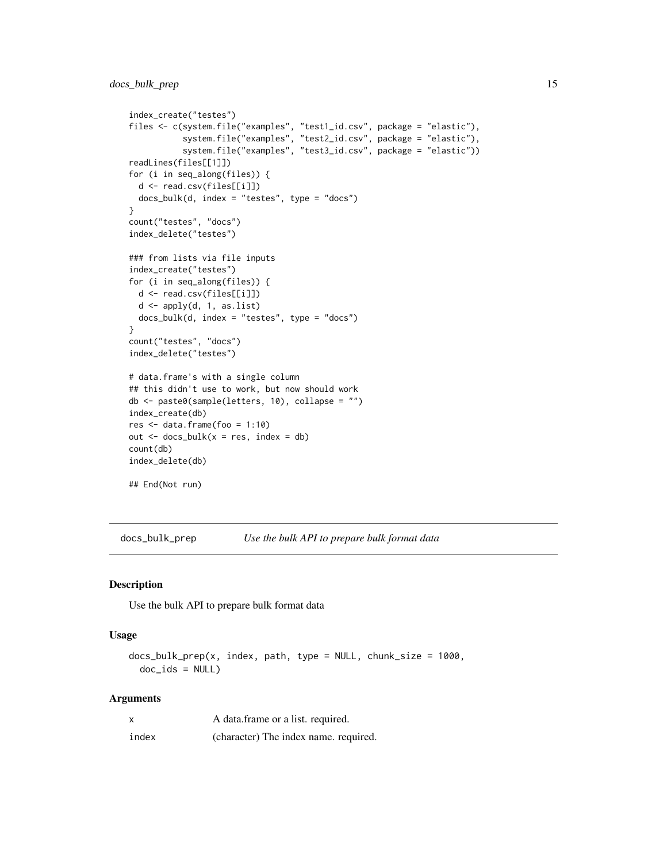```
index_create("testes")
files <- c(system.file("examples", "test1_id.csv", package = "elastic"),
           system.file("examples", "test2_id.csv", package = "elastic"),
           system.file("examples", "test3_id.csv", package = "elastic"))
readLines(files[[1]])
for (i in seq_along(files)) {
  d <- read.csv(files[[i]])
  docs_bulk(d, index = "testes", type = "docs")
}
count("testes", "docs")
index_delete("testes")
### from lists via file inputs
index_create("testes")
for (i in seq_along(files)) {
  d <- read.csv(files[[i]])
  d <- apply(d, 1, as.list)
  docs_bulk(d, index = "testes", type = "docs")
}
count("testes", "docs")
index_delete("testes")
# data.frame's with a single column
## this didn't use to work, but now should work
db <- paste0(sample(letters, 10), collapse = "")
index_create(db)
res \leq data.frame(foo = 1:10)
out \leq docs_bulk(x = res, index = db)
count(db)
index_delete(db)
## End(Not run)
```
<span id="page-14-1"></span>docs\_bulk\_prep *Use the bulk API to prepare bulk format data*

#### Description

Use the bulk API to prepare bulk format data

#### Usage

```
docs_bulk_prep(x, index, path, type = NULL, chunk_size = 1000,
 doc\_ids = NULL)
```

| x     | A data.frame or a list. required.     |
|-------|---------------------------------------|
| index | (character) The index name. required. |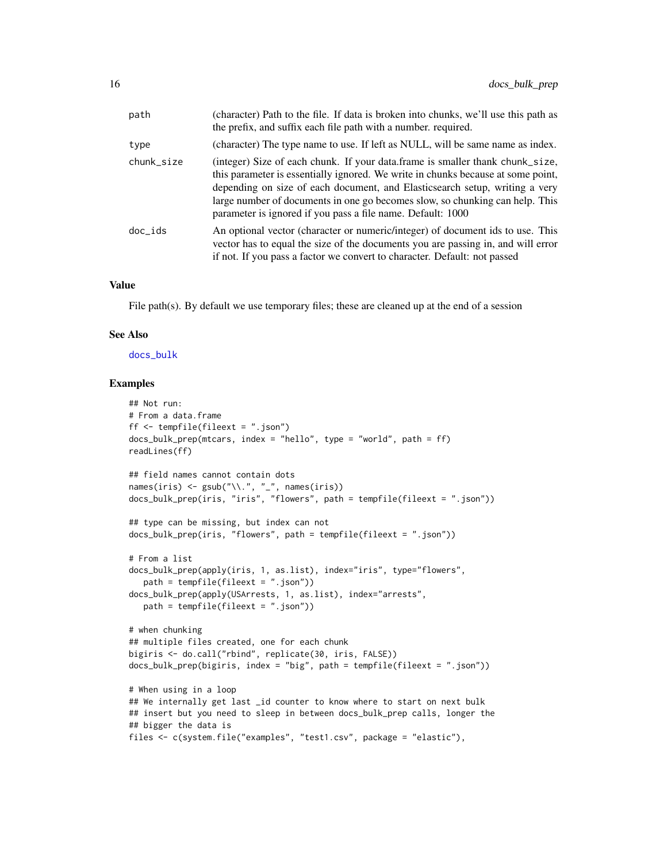| path       | (character) Path to the file. If data is broken into chunks, we'll use this path as<br>the prefix, and suffix each file path with a number, required.                                                                                                                                                                                                                                           |
|------------|-------------------------------------------------------------------------------------------------------------------------------------------------------------------------------------------------------------------------------------------------------------------------------------------------------------------------------------------------------------------------------------------------|
| type       | (character) The type name to use. If left as NULL, will be same name as index.                                                                                                                                                                                                                                                                                                                  |
| chunk_size | (integer) Size of each chunk. If your data.frame is smaller thank chunk_size,<br>this parameter is essentially ignored. We write in chunks because at some point,<br>depending on size of each document, and Elasticsearch setup, writing a very<br>large number of documents in one go becomes slow, so chunking can help. This<br>parameter is ignored if you pass a file name. Default: 1000 |
| doc ids    | An optional vector (character or numeric/integer) of document ids to use. This<br>vector has to equal the size of the documents you are passing in, and will error<br>if not. If you pass a factor we convert to character. Default: not passed                                                                                                                                                 |

### Value

File path(s). By default we use temporary files; these are cleaned up at the end of a session

### See Also

[docs\\_bulk](#page-11-1)

```
## Not run:
# From a data.frame
ff <- tempfile(fileext = ".json")
docs_bulk_prep(mtcars, index = "hello", type = "world", path = ff)
readLines(ff)
## field names cannot contain dots
names(iris) <- gsub("\\'.", "-", names(iris))
docs_bulk_prep(iris, "iris", "flowers", path = tempfile(fileext = ".json"))
## type can be missing, but index can not
docs_bulk_prep(iris, "flowers", path = tempfile(fileext = ".json"))
# From a list
docs_bulk_prep(apply(iris, 1, as.list), index="iris", type="flowers",
   path = tempfile(fileext = ".json"))
docs_bulk_prep(apply(USArrests, 1, as.list), index="arrests",
   path = tempfile(fileext = ".json"))
# when chunking
## multiple files created, one for each chunk
bigiris <- do.call("rbind", replicate(30, iris, FALSE))
docs_bulk_prep(bigiris, index = "big", path = tempfile(fileext = ".json"))
# When using in a loop
## We internally get last _id counter to know where to start on next bulk
## insert but you need to sleep in between docs_bulk_prep calls, longer the
## bigger the data is
files <- c(system.file("examples", "test1.csv", package = "elastic"),
```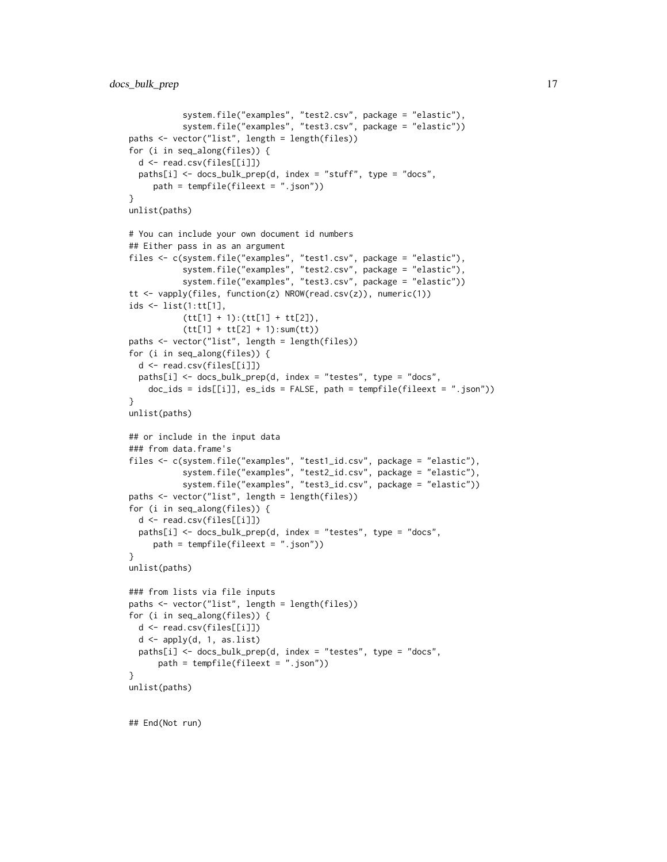```
system.file("examples", "test2.csv", package = "elastic"),
           system.file("examples", "test3.csv", package = "elastic"))
paths <- vector("list", length = length(files))
for (i in seq_along(files)) {
  d <- read.csv(files[[i]])
  paths[i] <- docs_bulk_prep(d, index = "stuff", type = "docs",
     path = tempfile(fileext = ".json"))
}
unlist(paths)
# You can include your own document id numbers
## Either pass in as an argument
files <- c(system.file("examples", "test1.csv", package = "elastic"),
           system.file("examples", "test2.csv", package = "elastic"),
           system.file("examples", "test3.csv", package = "elastic"))
tt <- vapply(files, function(z) NROW(read.csv(z)), numeric(1))
ids <- list(1:tt[1],
           (tt[1] + 1):(tt[1] + tt[2]),(tt[1] + tt[2] + 1):sum(tt))
paths <- vector("list", length = length(files))
for (i in seq_along(files)) {
  d <- read.csv(files[[i]])
  paths[i] <- docs_bulk_prep(d, index = "testes", type = "docs",
    doc_ids = ids[[i]], es_ids = FALSE, path = tempfile(fileext = ".json"))
}
unlist(paths)
## or include in the input data
### from data.frame's
files <- c(system.file("examples", "test1_id.csv", package = "elastic"),
           system.file("examples", "test2_id.csv", package = "elastic"),
           system.file("examples", "test3_id.csv", package = "elastic"))
paths <- vector("list", length = length(files))
for (i in seq_along(files)) {
  d <- read.csv(files[[i]])
  paths[i] <- docs_bulk_prep(d, index = "testes", type = "docs",
     path = tempfile(fileext = ".json"))
}
unlist(paths)
### from lists via file inputs
paths <- vector("list", length = length(files))
for (i in seq_along(files)) {
  d <- read.csv(files[[i]])
  d \leftarrow apply(d, 1, as.list)paths[i] <- docs_bulk_prep(d, index = "testes", type = "docs",
      path = tempfile(fileext = ".join")}
unlist(paths)
```
## End(Not run)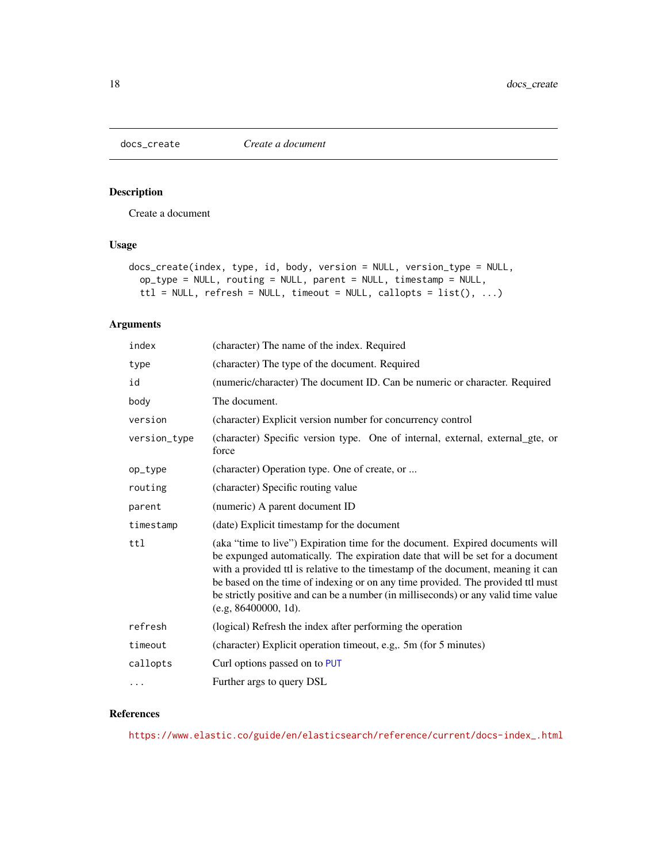<span id="page-17-1"></span><span id="page-17-0"></span>

### Description

Create a document

### Usage

```
docs_create(index, type, id, body, version = NULL, version_type = NULL,
 op_type = NULL, routing = NULL, parent = NULL, timestamp = NULL,
  ttl = NULL, refresh = NULL, timeout = NULL, callopts = list(), ...)
```
### Arguments

| index        | (character) The name of the index. Required                                                                                                                                                                                                                                                                                                                                                                                                             |
|--------------|---------------------------------------------------------------------------------------------------------------------------------------------------------------------------------------------------------------------------------------------------------------------------------------------------------------------------------------------------------------------------------------------------------------------------------------------------------|
| type         | (character) The type of the document. Required                                                                                                                                                                                                                                                                                                                                                                                                          |
| id           | (numeric/character) The document ID. Can be numeric or character. Required                                                                                                                                                                                                                                                                                                                                                                              |
| body         | The document.                                                                                                                                                                                                                                                                                                                                                                                                                                           |
| version      | (character) Explicit version number for concurrency control                                                                                                                                                                                                                                                                                                                                                                                             |
| version_type | (character) Specific version type. One of internal, external, external_gte, or<br>force                                                                                                                                                                                                                                                                                                                                                                 |
| op_type      | (character) Operation type. One of create, or                                                                                                                                                                                                                                                                                                                                                                                                           |
| routing      | (character) Specific routing value                                                                                                                                                                                                                                                                                                                                                                                                                      |
| parent       | (numeric) A parent document ID                                                                                                                                                                                                                                                                                                                                                                                                                          |
| timestamp    | (date) Explicit timestamp for the document                                                                                                                                                                                                                                                                                                                                                                                                              |
| ttl          | (aka "time to live") Expiration time for the document. Expired documents will<br>be expunged automatically. The expiration date that will be set for a document<br>with a provided ttl is relative to the timestamp of the document, meaning it can<br>be based on the time of indexing or on any time provided. The provided ttl must<br>be strictly positive and can be a number (in milliseconds) or any valid time value<br>$(e.g. 86400000, 1d)$ . |
| refresh      | (logical) Refresh the index after performing the operation                                                                                                                                                                                                                                                                                                                                                                                              |
| timeout      | (character) Explicit operation timeout, e.g., 5m (for 5 minutes)                                                                                                                                                                                                                                                                                                                                                                                        |
| callopts     | Curl options passed on to PUT                                                                                                                                                                                                                                                                                                                                                                                                                           |
| $\cdots$     | Further args to query DSL                                                                                                                                                                                                                                                                                                                                                                                                                               |

### References

[https://www.elastic.co/guide/en/elasticsearch/reference/current/docs-index\\_.html](https://www.elastic.co/guide/en/elasticsearch/reference/current/docs-index_.html)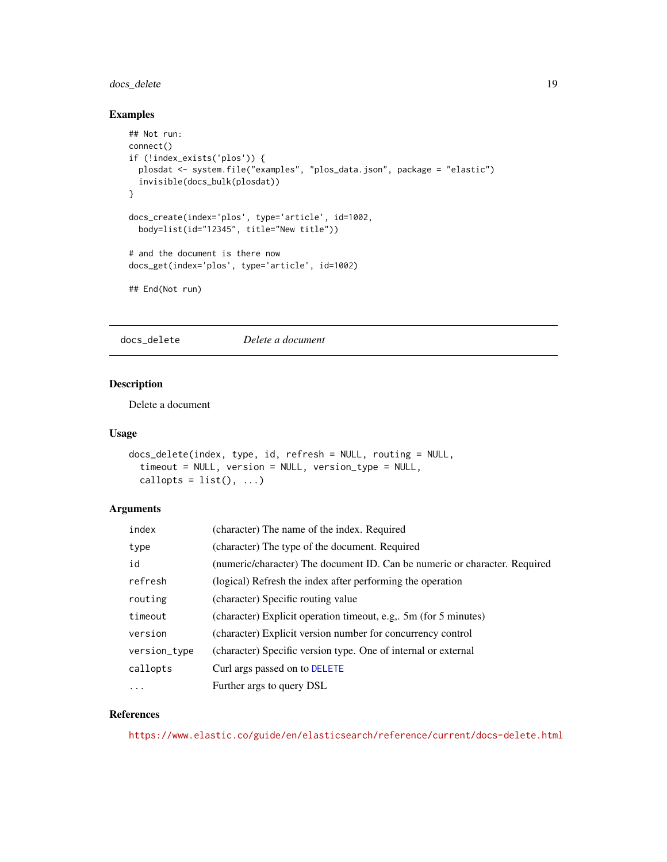### <span id="page-18-0"></span>docs\_delete 19

### Examples

```
## Not run:
connect()
if (!index_exists('plos')) {
  plosdat <- system.file("examples", "plos_data.json", package = "elastic")
  invisible(docs_bulk(plosdat))
}
docs_create(index='plos', type='article', id=1002,
  body=list(id="12345", title="New title"))
# and the document is there now
docs_get(index='plos', type='article', id=1002)
## End(Not run)
```
<span id="page-18-1"></span>docs\_delete *Delete a document*

### Description

Delete a document

#### Usage

```
docs_delete(index, type, id, refresh = NULL, routing = NULL,
 timeout = NULL, version = NULL, version_type = NULL,
 callopts = list(), ...)
```
### Arguments

| index        | (character) The name of the index. Required                                |
|--------------|----------------------------------------------------------------------------|
| type         | (character) The type of the document. Required                             |
| id           | (numeric/character) The document ID. Can be numeric or character. Required |
| refresh      | (logical) Refresh the index after performing the operation                 |
| routing      | (character) Specific routing value                                         |
| timeout      | (character) Explicit operation timeout, e.g., 5m (for 5 minutes)           |
| version      | (character) Explicit version number for concurrency control                |
| version_type | (character) Specific version type. One of internal or external             |
| callopts     | Curl args passed on to DELETE                                              |
| .            | Further args to query DSL                                                  |

#### References

<https://www.elastic.co/guide/en/elasticsearch/reference/current/docs-delete.html>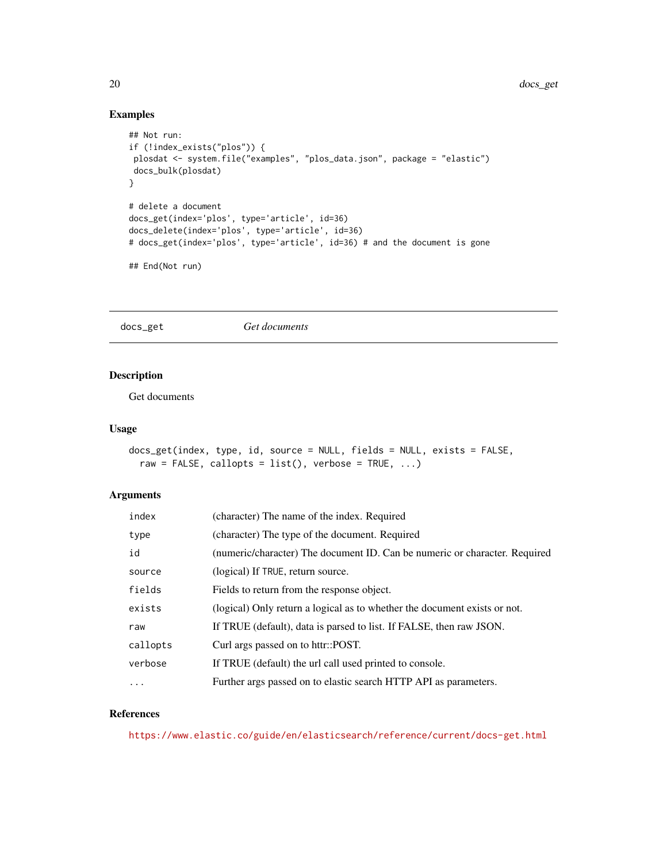### Examples

```
## Not run:
if (!index_exists("plos")) {
plosdat <- system.file("examples", "plos_data.json", package = "elastic")
docs_bulk(plosdat)
}
# delete a document
docs_get(index='plos', type='article', id=36)
docs_delete(index='plos', type='article', id=36)
# docs_get(index='plos', type='article', id=36) # and the document is gone
## End(Not run)
```
<span id="page-19-1"></span>docs\_get *Get documents*

### Description

Get documents

#### Usage

```
docs_get(index, type, id, source = NULL, fields = NULL, exists = FALSE,
 raw = FALSE, callopts = list(), verbose = TRUE, ...)
```
### Arguments

| index     | (character) The name of the index. Required                                |
|-----------|----------------------------------------------------------------------------|
| type      | (character) The type of the document. Required                             |
| id        | (numeric/character) The document ID. Can be numeric or character. Required |
| source    | (logical) If TRUE, return source.                                          |
| fields    | Fields to return from the response object.                                 |
| exists    | (logical) Only return a logical as to whether the document exists or not.  |
| raw       | If TRUE (default), data is parsed to list. If FALSE, then raw JSON.        |
| callopts  | Curl args passed on to httr::POST.                                         |
| verbose   | If TRUE (default) the url call used printed to console.                    |
| $\ddotsc$ | Further args passed on to elastic search HTTP API as parameters.           |

### References

<https://www.elastic.co/guide/en/elasticsearch/reference/current/docs-get.html>

<span id="page-19-0"></span>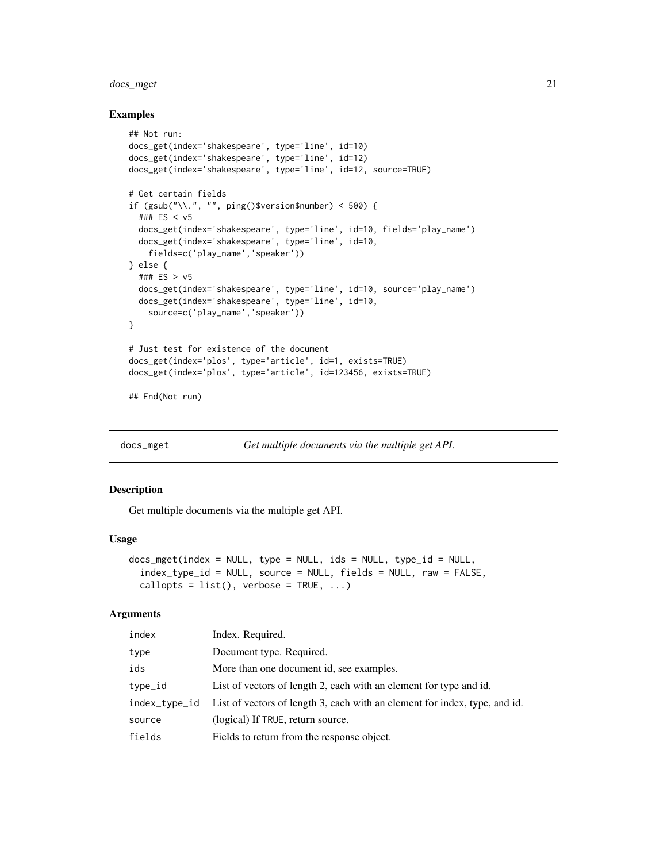### <span id="page-20-0"></span>docs\_mget 21

#### Examples

```
## Not run:
docs_get(index='shakespeare', type='line', id=10)
docs_get(index='shakespeare', type='line', id=12)
docs_get(index='shakespeare', type='line', id=12, source=TRUE)
# Get certain fields
if (gsub("\\.", "", ping()$version$number) < 500) {
  ### ES < v5
  docs_get(index='shakespeare', type='line', id=10, fields='play_name')
  docs_get(index='shakespeare', type='line', id=10,
   fields=c('play_name','speaker'))
} else {
  ### ES > v5
  docs_get(index='shakespeare', type='line', id=10, source='play_name')
  docs_get(index='shakespeare', type='line', id=10,
    source=c('play_name','speaker'))
}
# Just test for existence of the document
docs_get(index='plos', type='article', id=1, exists=TRUE)
docs_get(index='plos', type='article', id=123456, exists=TRUE)
## End(Not run)
```
<span id="page-20-1"></span>

docs\_mget *Get multiple documents via the multiple get API.*

### Description

Get multiple documents via the multiple get API.

#### Usage

```
docs_mget(index = NULL, type = NULL, ids = NULL, type_id = NULL,
  index_type_id = NULL, source = NULL, fields = NULL, raw = FALSE,
  callopts = list(), verbose = TRUE, ...)
```

| index         | Index. Required.                                                           |
|---------------|----------------------------------------------------------------------------|
| type          | Document type. Required.                                                   |
| ids           | More than one document id, see examples.                                   |
| type_id       | List of vectors of length 2, each with an element for type and id.         |
| index_type_id | List of vectors of length 3, each with an element for index, type, and id. |
| source        | (logical) If TRUE, return source.                                          |
| fields        | Fields to return from the response object.                                 |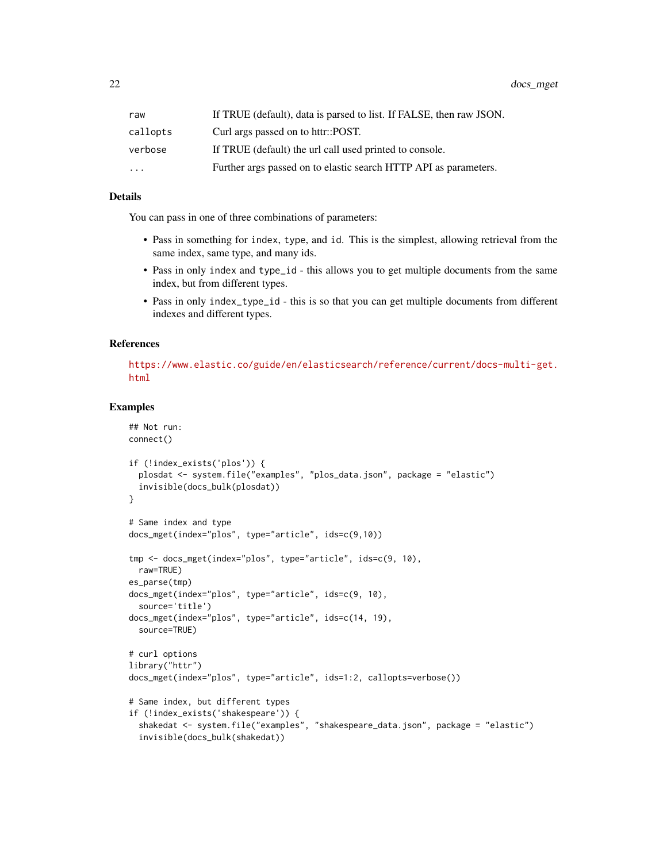| raw      | If TRUE (default), data is parsed to list. If FALSE, then raw JSON. |
|----------|---------------------------------------------------------------------|
| callopts | Curl args passed on to httr::POST.                                  |
| verbose  | If TRUE (default) the url call used printed to console.             |
| $\cdots$ | Further args passed on to elastic search HTTP API as parameters.    |

### Details

You can pass in one of three combinations of parameters:

- Pass in something for index, type, and id. This is the simplest, allowing retrieval from the same index, same type, and many ids.
- Pass in only index and type\_id this allows you to get multiple documents from the same index, but from different types.
- Pass in only index\_type\_id this is so that you can get multiple documents from different indexes and different types.

#### References

[https://www.elastic.co/guide/en/elasticsearch/reference/current/docs-multi-get.](https://www.elastic.co/guide/en/elasticsearch/reference/current/docs-multi-get.html) [html](https://www.elastic.co/guide/en/elasticsearch/reference/current/docs-multi-get.html)

```
## Not run:
connect()
if (!index_exists('plos')) {
  plosdat <- system.file("examples", "plos_data.json", package = "elastic")
  invisible(docs_bulk(plosdat))
}
# Same index and type
docs_mget(index="plos", type="article", ids=c(9,10))
tmp <- docs_mget(index="plos", type="article", ids=c(9, 10),
  raw=TRUE)
es_parse(tmp)
docs_mget(index="plos", type="article", ids=c(9, 10),
  source='title')
docs_mget(index="plos", type="article", ids=c(14, 19),
  source=TRUE)
# curl options
library("httr")
docs_mget(index="plos", type="article", ids=1:2, callopts=verbose())
# Same index, but different types
if (!index_exists('shakespeare')) {
  shakedat <- system.file("examples", "shakespeare_data.json", package = "elastic")
  invisible(docs_bulk(shakedat))
```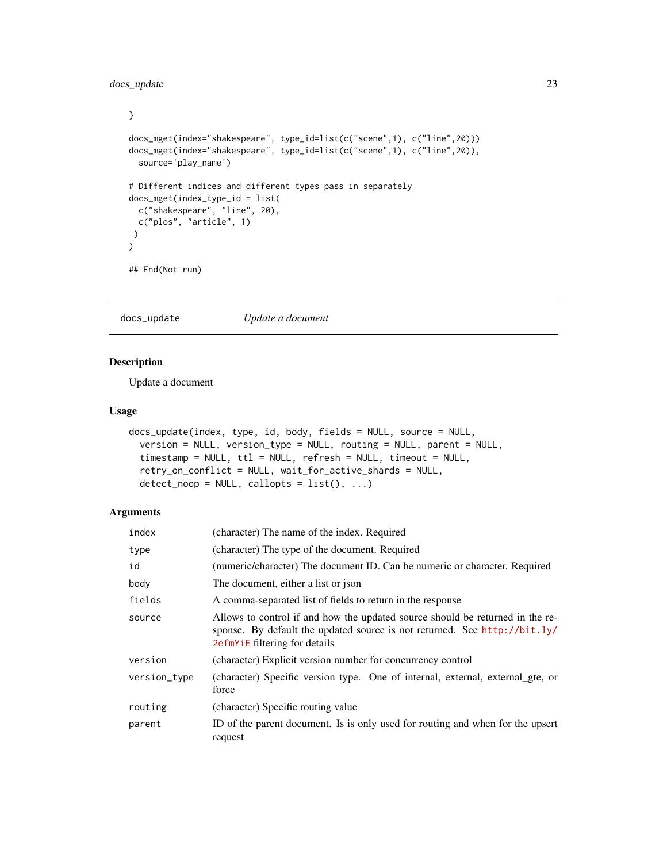### <span id="page-22-0"></span>docs\_update 23

```
}
docs_mget(index="shakespeare", type_id=list(c("scene",1), c("line",20)))
docs_mget(index="shakespeare", type_id=list(c("scene",1), c("line",20)),
  source='play_name')
# Different indices and different types pass in separately
docs_mget(index_type_id = list(
  c("shakespeare", "line", 20),
  c("plos", "article", 1)
 )
\sum## End(Not run)
```
docs\_update *Update a document*

#### Description

Update a document

#### Usage

```
docs_update(index, type, id, body, fields = NULL, source = NULL,
  version = NULL, version_type = NULL, routing = NULL, parent = NULL,
  timestamp = NULL, ttl = NULL, refresh = NULL, timeout = NULL,
  retry_on_conflict = NULL, wait_for_active_shards = NULL,
 detect\_noop = NULL, callopts = list(), ...)
```

| index        | (character) The name of the index. Required                                                                                                                                                             |
|--------------|---------------------------------------------------------------------------------------------------------------------------------------------------------------------------------------------------------|
| type         | (character) The type of the document. Required                                                                                                                                                          |
| id           | (numeric/character) The document ID. Can be numeric or character. Required                                                                                                                              |
| body         | The document, either a list or json                                                                                                                                                                     |
| fields       | A comma-separated list of fields to return in the response                                                                                                                                              |
| source       | Allows to control if and how the updated source should be returned in the re-<br>sponse. By default the updated source is not returned. See http://bit.ly/<br>2efm <sup>YiE</sup> filtering for details |
| version      | (character) Explicit version number for concurrency control                                                                                                                                             |
| version_type | (character) Specific version type. One of internal, external, external gte, or<br>force                                                                                                                 |
| routing      | (character) Specific routing value                                                                                                                                                                      |
| parent       | ID of the parent document. Is is only used for routing and when for the upsert<br>request                                                                                                               |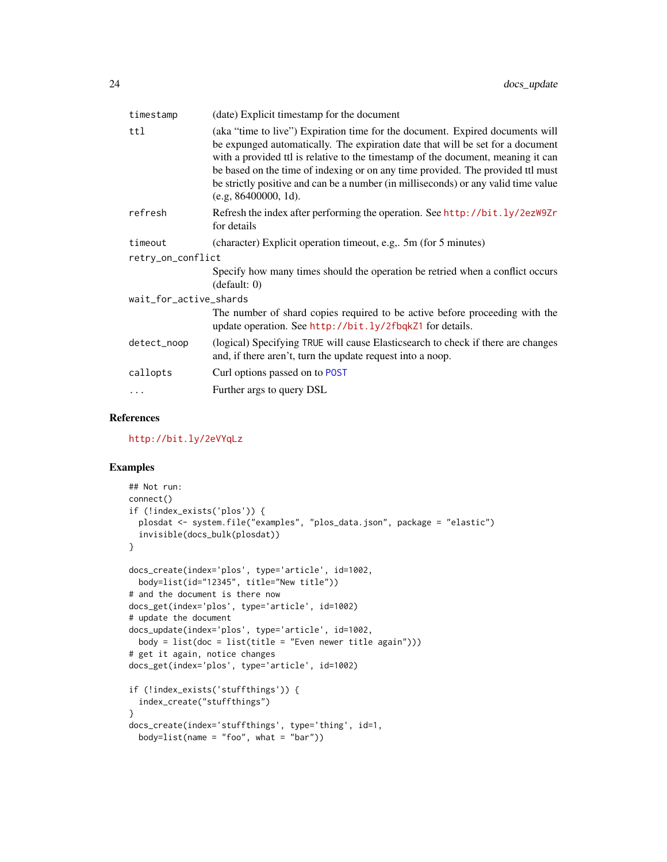| timestamp              | (date) Explicit timestamp for the document                                                                                                                                                                                                                                                                                                                                                                                                              |  |
|------------------------|---------------------------------------------------------------------------------------------------------------------------------------------------------------------------------------------------------------------------------------------------------------------------------------------------------------------------------------------------------------------------------------------------------------------------------------------------------|--|
| ttl                    | (aka "time to live") Expiration time for the document. Expired documents will<br>be expunged automatically. The expiration date that will be set for a document<br>with a provided ttl is relative to the timestamp of the document, meaning it can<br>be based on the time of indexing or on any time provided. The provided ttl must<br>be strictly positive and can be a number (in milliseconds) or any valid time value<br>$(e.g. 86400000, 1d)$ . |  |
| refresh                | Refresh the index after performing the operation. See http://bit.ly/2ezW9Zr<br>for details                                                                                                                                                                                                                                                                                                                                                              |  |
| timeout                | (character) Explicit operation timeout, e.g., 5m (for 5 minutes)                                                                                                                                                                                                                                                                                                                                                                                        |  |
| retry_on_conflict      |                                                                                                                                                                                                                                                                                                                                                                                                                                                         |  |
|                        | Specify how many times should the operation be retried when a conflict occurs<br>(detault: 0)                                                                                                                                                                                                                                                                                                                                                           |  |
| wait_for_active_shards |                                                                                                                                                                                                                                                                                                                                                                                                                                                         |  |
|                        | The number of shard copies required to be active before proceeding with the<br>update operation. See http://bit.ly/2fbqkZ1 for details.                                                                                                                                                                                                                                                                                                                 |  |
| detect_noop            | (logical) Specifying TRUE will cause Elasticsearch to check if there are changes<br>and, if there aren't, turn the update request into a noop.                                                                                                                                                                                                                                                                                                          |  |
| callopts               | Curl options passed on to POST                                                                                                                                                                                                                                                                                                                                                                                                                          |  |
| .                      | Further args to query DSL                                                                                                                                                                                                                                                                                                                                                                                                                               |  |

### References

<http://bit.ly/2eVYqLz>

```
## Not run:
connect()
if (!index_exists('plos')) {
  plosdat <- system.file("examples", "plos_data.json", package = "elastic")
 invisible(docs_bulk(plosdat))
}
docs_create(index='plos', type='article', id=1002,
body=list(id="12345", title="New title"))
# and the document is there now
docs_get(index='plos', type='article', id=1002)
# update the document
docs_update(index='plos', type='article', id=1002,
 body = list(doc = list(title = "Even newer title again")))
# get it again, notice changes
docs_get(index='plos', type='article', id=1002)
if (!index_exists('stuffthings')) {
 index_create("stuffthings")
}
docs_create(index='stuffthings', type='thing', id=1,
 body=list(name = "foo", what = "bar"))
```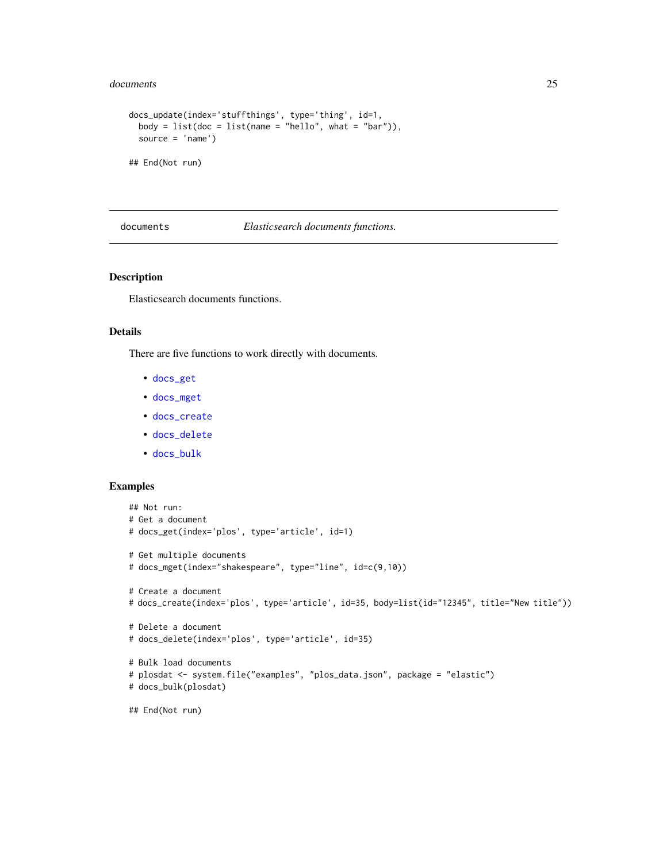#### <span id="page-24-0"></span>documents 25

```
docs_update(index='stuffthings', type='thing', id=1,
 body = listdoc = list(name = "hello", what = "bar")),
 source = 'name')
## End(Not run)
```
#### documents *Elasticsearch documents functions.*

### Description

Elasticsearch documents functions.

### Details

There are five functions to work directly with documents.

- [docs\\_get](#page-19-1)
- [docs\\_mget](#page-20-1)
- [docs\\_create](#page-17-1)
- [docs\\_delete](#page-18-1)
- [docs\\_bulk](#page-11-1)

```
## Not run:
# Get a document
# docs_get(index='plos', type='article', id=1)
# Get multiple documents
# docs_mget(index="shakespeare", type="line", id=c(9,10))
# Create a document
# docs_create(index='plos', type='article', id=35, body=list(id="12345", title="New title"))
# Delete a document
# docs_delete(index='plos', type='article', id=35)
# Bulk load documents
# plosdat <- system.file("examples", "plos_data.json", package = "elastic")
# docs_bulk(plosdat)
## End(Not run)
```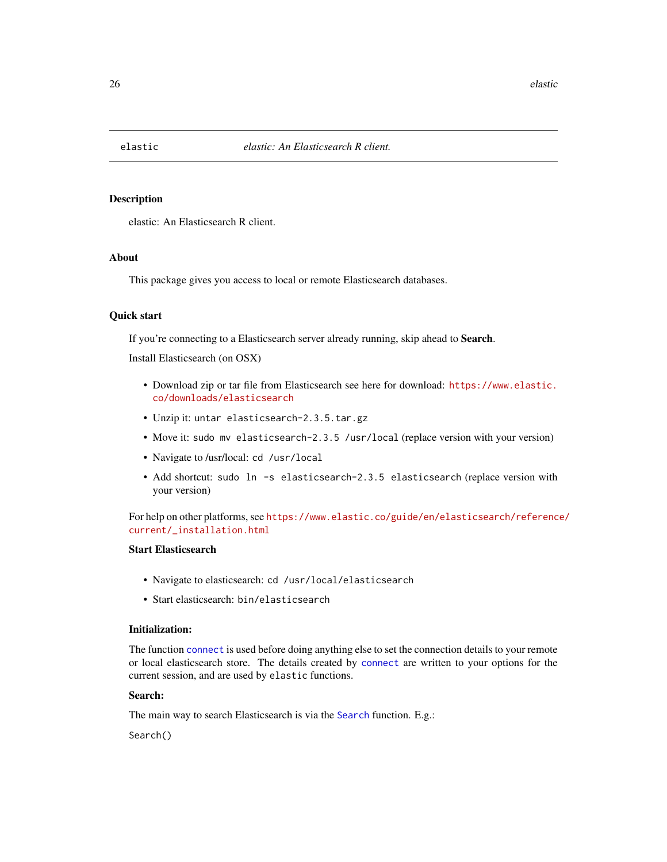<span id="page-25-0"></span>

### Description

elastic: An Elasticsearch R client.

### About

This package gives you access to local or remote Elasticsearch databases.

#### Quick start

If you're connecting to a Elasticsearch server already running, skip ahead to Search.

Install Elasticsearch (on OSX)

- Download zip or tar file from Elasticsearch see here for download: [https://www.elastic.](https://www.elastic.co/downloads/elasticsearch) [co/downloads/elasticsearch](https://www.elastic.co/downloads/elasticsearch)
- Unzip it: untar elasticsearch-2.3.5.tar.gz
- Move it: sudo mv elasticsearch-2.3.5 /usr/local (replace version with your version)
- Navigate to /usr/local: cd /usr/local
- Add shortcut: sudo ln -s elasticsearch-2.3.5 elasticsearch (replace version with your version)

For help on other platforms, see [https://www.elastic.co/guide/en/elasticsearch/referenc](https://www.elastic.co/guide/en/elasticsearch/reference/current/_installation.html)e/ [current/\\_installation.html](https://www.elastic.co/guide/en/elasticsearch/reference/current/_installation.html)

### Start Elasticsearch

- Navigate to elasticsearch: cd /usr/local/elasticsearch
- Start elasticsearch: bin/elasticsearch

#### Initialization:

The function [connect](#page-8-1) is used before doing anything else to set the connection details to your remote or local elasticsearch store. The details created by [connect](#page-8-1) are written to your options for the current session, and are used by elastic functions.

### Search:

The main way to search Elasticsearch is via the [Search](#page-51-1) function. E.g.:

Search()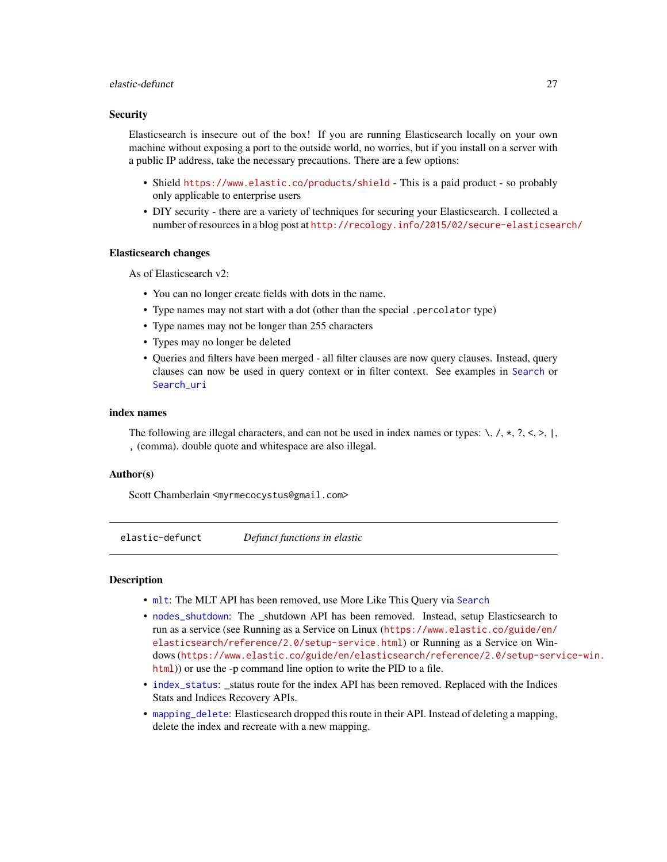### <span id="page-26-0"></span>elastic-defunct 27

#### **Security**

Elasticsearch is insecure out of the box! If you are running Elasticsearch locally on your own machine without exposing a port to the outside world, no worries, but if you install on a server with a public IP address, take the necessary precautions. There are a few options:

- Shield <https://www.elastic.co/products/shield> This is a paid product so probably only applicable to enterprise users
- DIY security there are a variety of techniques for securing your Elasticsearch. I collected a number of resources in a blog post at <http://recology.info/2015/02/secure-elasticsearch/>

#### Elasticsearch changes

As of Elasticsearch v2:

- You can no longer create fields with dots in the name.
- Type names may not start with a dot (other than the special .percolator type)
- Type names may not be longer than 255 characters
- Types may no longer be deleted
- Queries and filters have been merged all filter clauses are now query clauses. Instead, query clauses can now be used in query context or in filter context. See examples in [Search](#page-51-1) or [Search\\_uri](#page-70-1)

#### index names

The following are illegal characters, and can not be used in index names or types:  $\setminus$ ,  $\setminus$ ,  $\star$ ,  $\cdot$ ,  $\lt$ ,  $\gt$ ,  $\setminus$ , , (comma). double quote and whitespace are also illegal.

#### Author(s)

Scott Chamberlain <myrmecocystus@gmail.com>

elastic-defunct *Defunct functions in elastic*

### **Description**

- [mlt](#page-0-0): The MLT API has been removed, use More Like This Query via [Search](#page-51-1)
- [nodes\\_shutdown](#page-0-0): The \_shutdown API has been removed. Instead, setup Elasticsearch to run as a service (see Running as a Service on Linux ([https://www.elastic.co/guide/en/](https://www.elastic.co/guide/en/elasticsearch/reference/2.0/setup-service.html) [elasticsearch/reference/2.0/setup-service.html](https://www.elastic.co/guide/en/elasticsearch/reference/2.0/setup-service.html)) or Running as a Service on Windows ([https://www.elastic.co/guide/en/elasticsearch/reference/2.0/setup-serv](https://www.elastic.co/guide/en/elasticsearch/reference/2.0/setup-service-win.html)ice-win. [html](https://www.elastic.co/guide/en/elasticsearch/reference/2.0/setup-service-win.html))) or use the -p command line option to write the PID to a file.
- [index\\_status](#page-0-0): \_status route for the index API has been removed. Replaced with the Indices Stats and Indices Recovery APIs.
- [mapping\\_delete](#page-0-0): Elasticsearch dropped this route in their API. Instead of deleting a mapping, delete the index and recreate with a new mapping.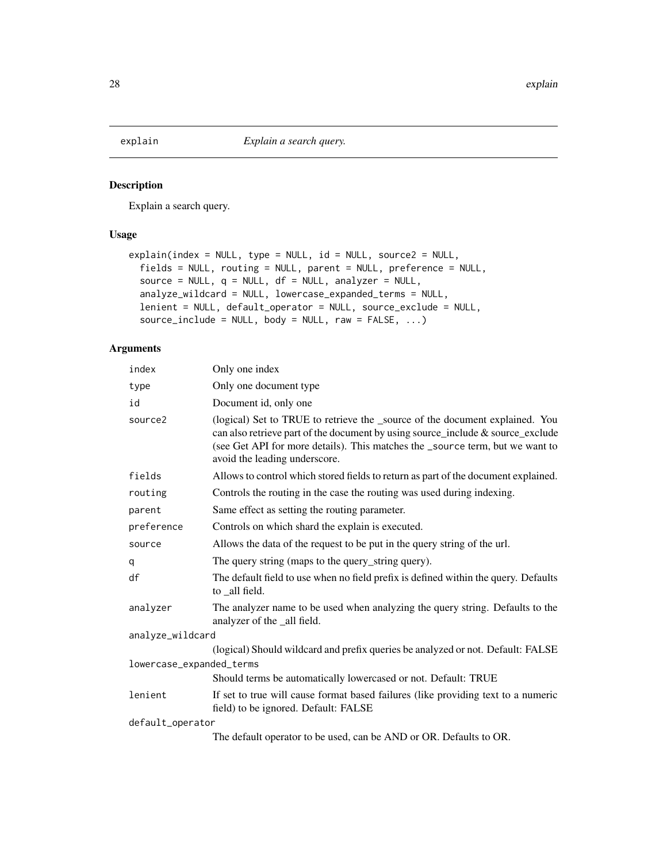<span id="page-27-0"></span>

### Description

Explain a search query.

### Usage

```
explain(index = NULL, type = NULL, id = NULL, source2 = NULL,
 fields = NULL, routing = NULL, parent = NULL, preference = NULL,
 source = NULL, q = NULL, df = NULL, analyzer = NULL,analyze_wildcard = NULL, lowercase_expanded_terms = NULL,
  lenient = NULL, default_operator = NULL, source_exclude = NULL,
  source_include = NULL, body = NULL, raw = FALSE, ...)
```

| index                    | Only one index                                                                                                                                                                                                                                                                       |  |
|--------------------------|--------------------------------------------------------------------------------------------------------------------------------------------------------------------------------------------------------------------------------------------------------------------------------------|--|
| type                     | Only one document type                                                                                                                                                                                                                                                               |  |
| id                       | Document id, only one                                                                                                                                                                                                                                                                |  |
| source2                  | (logical) Set to TRUE to retrieve the _source of the document explained. You<br>can also retrieve part of the document by using source_include $\&$ source_exclude<br>(see Get API for more details). This matches the _source term, but we want to<br>avoid the leading underscore. |  |
| fields                   | Allows to control which stored fields to return as part of the document explained.                                                                                                                                                                                                   |  |
| routing                  | Controls the routing in the case the routing was used during indexing.                                                                                                                                                                                                               |  |
| parent                   | Same effect as setting the routing parameter.                                                                                                                                                                                                                                        |  |
| preference               | Controls on which shard the explain is executed.                                                                                                                                                                                                                                     |  |
| source                   | Allows the data of the request to be put in the query string of the url.                                                                                                                                                                                                             |  |
| q                        | The query string (maps to the query_string query).                                                                                                                                                                                                                                   |  |
| df                       | The default field to use when no field prefix is defined within the query. Defaults<br>to all field.                                                                                                                                                                                 |  |
| analyzer                 | The analyzer name to be used when analyzing the query string. Defaults to the<br>analyzer of the _all field.                                                                                                                                                                         |  |
| analyze_wildcard         |                                                                                                                                                                                                                                                                                      |  |
|                          | (logical) Should wildcard and prefix queries be analyzed or not. Default: FALSE                                                                                                                                                                                                      |  |
| lowercase_expanded_terms |                                                                                                                                                                                                                                                                                      |  |
|                          | Should terms be automatically lowercased or not. Default: TRUE                                                                                                                                                                                                                       |  |
| lenient                  | If set to true will cause format based failures (like providing text to a numeric<br>field) to be ignored. Default: FALSE                                                                                                                                                            |  |
| default_operator         |                                                                                                                                                                                                                                                                                      |  |
|                          | The default operator to be used, can be AND or OR. Defaults to OR.                                                                                                                                                                                                                   |  |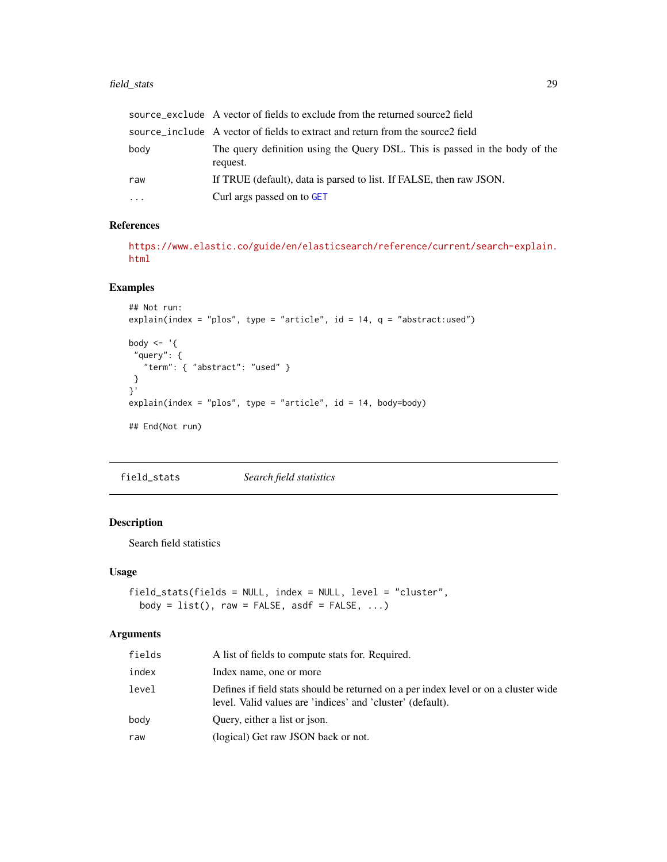#### <span id="page-28-0"></span>field\_stats 29

|          | source_exclude A vector of fields to exclude from the returned source2 field            |
|----------|-----------------------------------------------------------------------------------------|
|          | source_include A vector of fields to extract and return from the source2 field          |
| body     | The query definition using the Query DSL. This is passed in the body of the<br>request. |
| raw      | If TRUE (default), data is parsed to list. If FALSE, then raw JSON.                     |
| $\cdots$ | Curl args passed on to GET                                                              |

### References

[https://www.elastic.co/guide/en/elasticsearch/reference/current/search-explain.](https://www.elastic.co/guide/en/elasticsearch/reference/current/search-explain.html) [html](https://www.elastic.co/guide/en/elasticsearch/reference/current/search-explain.html)

### Examples

```
## Not run:
explain(index = "plos", type = "article", id = 14, q = "abstract:used")
body \leq - '{
 "query": {
   "term": { "abstract": "used" }
}
}'
explain(index = "plos", type = "article", id = 14, body=body)
## End(Not run)
```
field\_stats *Search field statistics*

### Description

Search field statistics

#### Usage

```
field_stats(fields = NULL, index = NULL, level = "cluster",
 body = list(), raw = FALSE, asdf = FALSE, ...)
```

| fields | A list of fields to compute stats for. Required.                                                                                                  |
|--------|---------------------------------------------------------------------------------------------------------------------------------------------------|
| index  | Index name, one or more                                                                                                                           |
| level  | Defines if field stats should be returned on a per index level or on a cluster wide<br>level. Valid values are 'indices' and 'cluster' (default). |
| body   | Ouery, either a list or ison.                                                                                                                     |
| raw    | (logical) Get raw JSON back or not.                                                                                                               |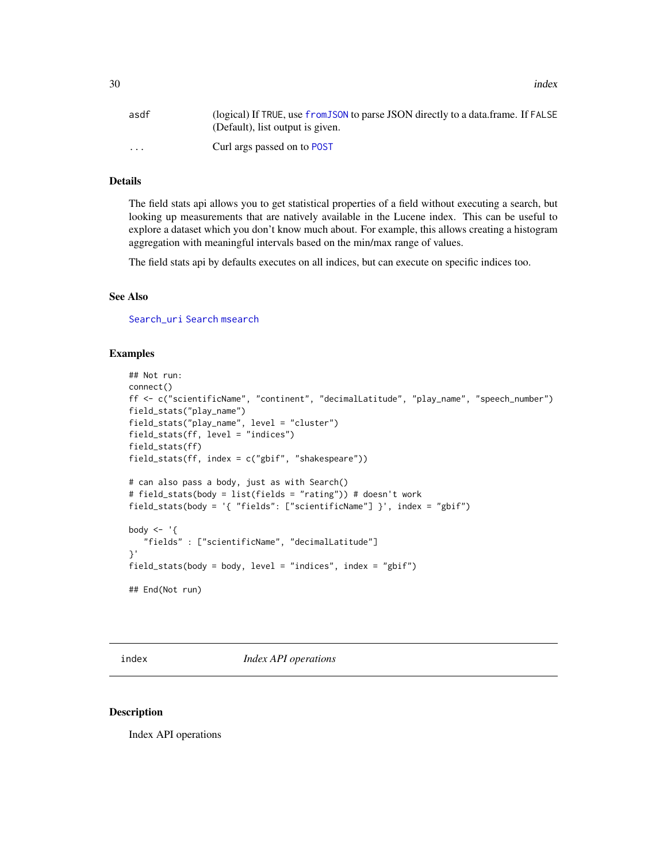<span id="page-29-0"></span>

| asdf                 | (logical) If TRUE, use from JSON to parse JSON directly to a data.frame. If FALSE<br>(Default), list output is given. |
|----------------------|-----------------------------------------------------------------------------------------------------------------------|
| $\ddot{\phantom{0}}$ | Curl args passed on to POST                                                                                           |

#### Details

The field stats api allows you to get statistical properties of a field without executing a search, but looking up measurements that are natively available in the Lucene index. This can be useful to explore a dataset which you don't know much about. For example, this allows creating a histogram aggregation with meaningful intervals based on the min/max range of values.

The field stats api by defaults executes on all indices, but can execute on specific indices too.

#### See Also

[Search\\_uri](#page-70-1) [Search](#page-51-1) [msearch](#page-38-1)

#### Examples

```
## Not run:
connect()
ff <- c("scientificName", "continent", "decimalLatitude", "play_name", "speech_number")
field_stats("play_name")
field_stats("play_name", level = "cluster")
field_stats(ff, level = "indices")
field_stats(ff)
field_stats(ff, index = c("gbif", "shakespeare"))
# can also pass a body, just as with Search()
# field_stats(body = list(fields = "rating")) # doesn't work
field_stats(body = '{ "fields": ["scientificName"] }', index = "gbif")
body \leq - '{
   "fields" : ["scientificName", "decimalLatitude"]
}'
field_stats(body = body, level = "indices", index = "gbif")
## End(Not run)
```
index *Index API operations*

#### <span id="page-29-1"></span>Description

Index API operations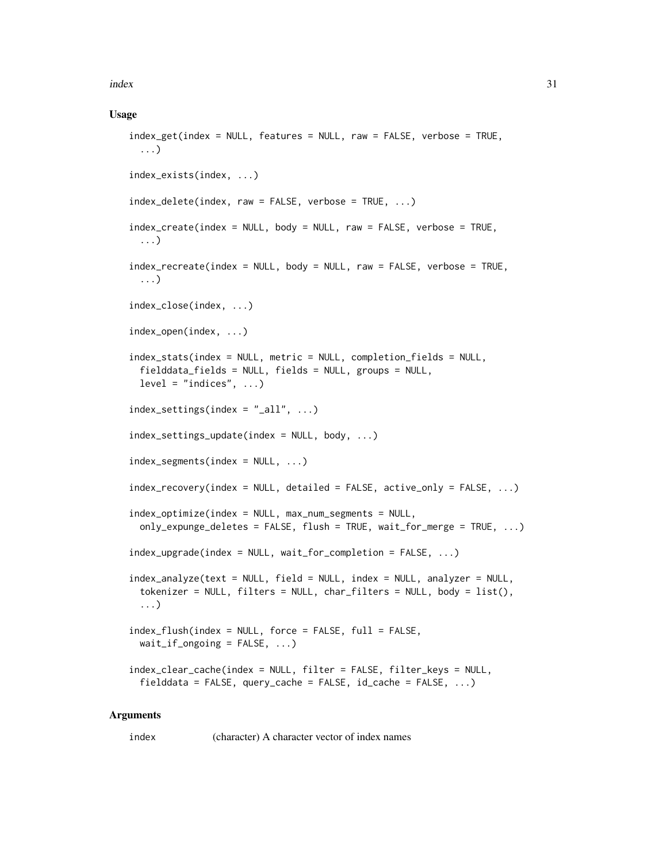index 31

### Usage

```
index_get(index = NULL, features = NULL, raw = FALSE, verbose = TRUE,
  ...)
index_exists(index, ...)
index_delete(index, raw = FALSE, verbose = TRUE, ...)
index_create(index = NULL, body = NULL, raw = FALSE, verbose = TRUE,
  ...)
index_recreate(index = NULL, body = NULL, raw = FALSE, verbose = TRUE,
  ...)
index_close(index, ...)
index_open(index, ...)
index_stats(index = NULL, metric = NULL, completion_fields = NULL,
  fielddata_fields = NULL, fields = NULL, groups = NULL,
 level = "indices", ...)index_settings(index = "_all", ...)index_settings_update(index = NULL, body, ...)
index_segments(index = NULL, ...)
index_recovery(index = NULL, detailed = FALSE, active_only = FALSE, ...)
index_optimize(index = NULL, max_num_segments = NULL,
 only_expunge_deletes = FALSE, flush = TRUE, wait_for_merge = TRUE, ...)
index_upgrade(index = NULL, wait_for_completion = FALSE, ...)
index_analyze(text = NULL, field = NULL, index = NULL, analyzer = NULL,
  tokenizer = NULL, filters = NULL, char_filters = NULL, body = list(),
  ...)
index_flush(index = NULL, force = FALSE, full = FALSE,
 wait_if_ongoing = FALSE, ...)index_clear_cache(index = NULL, filter = FALSE, filter_keys = NULL,
  fielddata = FALSE, query_cache = FALSE, id_cache = FALSE, ...)
```
### Arguments

index (character) A character vector of index names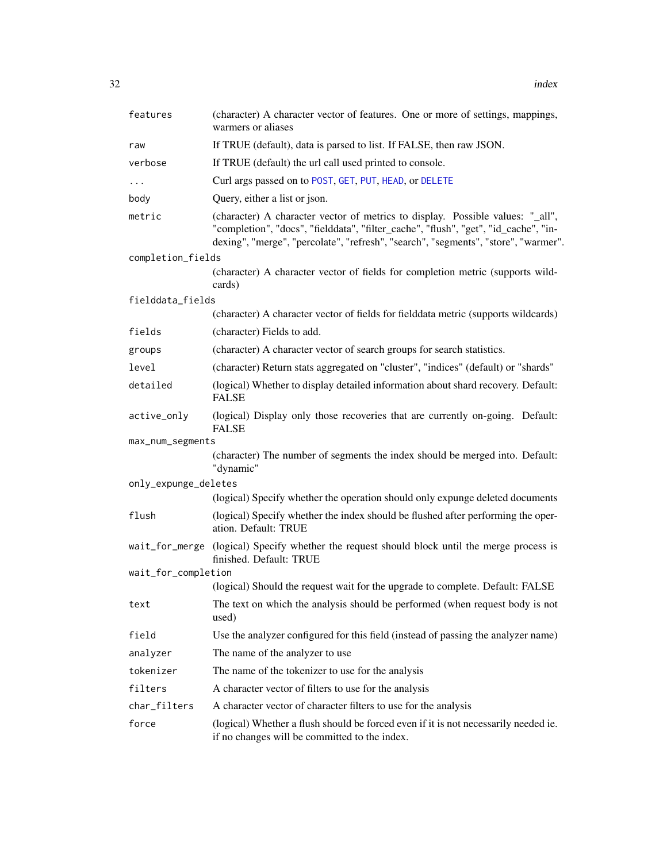| features             | (character) A character vector of features. One or more of settings, mappings,<br>warmers or aliases                                                                                                                                                        |
|----------------------|-------------------------------------------------------------------------------------------------------------------------------------------------------------------------------------------------------------------------------------------------------------|
| raw                  | If TRUE (default), data is parsed to list. If FALSE, then raw JSON.                                                                                                                                                                                         |
| verbose              | If TRUE (default) the url call used printed to console.                                                                                                                                                                                                     |
| $\cdots$             | Curl args passed on to POST, GET, PUT, HEAD, or DELETE                                                                                                                                                                                                      |
| body                 | Query, either a list or json.                                                                                                                                                                                                                               |
| metric               | (character) A character vector of metrics to display. Possible values: "_all",<br>"completion", "docs", "fielddata", "filter_cache", "flush", "get", "id_cache", "in-<br>dexing", "merge", "percolate", "refresh", "search", "segments", "store", "warmer". |
| completion_fields    |                                                                                                                                                                                                                                                             |
|                      | (character) A character vector of fields for completion metric (supports wild-<br>cards)                                                                                                                                                                    |
| fielddata_fields     |                                                                                                                                                                                                                                                             |
|                      | (character) A character vector of fields for fielddata metric (supports wildcards)                                                                                                                                                                          |
| fields               | (character) Fields to add.                                                                                                                                                                                                                                  |
| groups               | (character) A character vector of search groups for search statistics.                                                                                                                                                                                      |
| level                | (character) Return stats aggregated on "cluster", "indices" (default) or "shards"                                                                                                                                                                           |
| detailed             | (logical) Whether to display detailed information about shard recovery. Default:<br><b>FALSE</b>                                                                                                                                                            |
| active_only          | (logical) Display only those recoveries that are currently on-going. Default:<br><b>FALSE</b>                                                                                                                                                               |
| max_num_segments     |                                                                                                                                                                                                                                                             |
|                      | (character) The number of segments the index should be merged into. Default:<br>"dynamic"                                                                                                                                                                   |
| only_expunge_deletes |                                                                                                                                                                                                                                                             |
|                      | (logical) Specify whether the operation should only expunge deleted documents                                                                                                                                                                               |
| flush                | (logical) Specify whether the index should be flushed after performing the oper-<br>ation. Default: TRUE                                                                                                                                                    |
| wait_for_merge       | (logical) Specify whether the request should block until the merge process is<br>finished. Default: TRUE                                                                                                                                                    |
| wait_for_completion  |                                                                                                                                                                                                                                                             |
|                      | (logical) Should the request wait for the upgrade to complete. Default: FALSE                                                                                                                                                                               |
| text                 | The text on which the analysis should be performed (when request body is not<br>used)                                                                                                                                                                       |
| field                | Use the analyzer configured for this field (instead of passing the analyzer name)                                                                                                                                                                           |
| analyzer             | The name of the analyzer to use                                                                                                                                                                                                                             |
| tokenizer            | The name of the tokenizer to use for the analysis                                                                                                                                                                                                           |
| filters              | A character vector of filters to use for the analysis                                                                                                                                                                                                       |
| char_filters         | A character vector of character filters to use for the analysis                                                                                                                                                                                             |
| force                | (logical) Whether a flush should be forced even if it is not necessarily needed ie.<br>if no changes will be committed to the index.                                                                                                                        |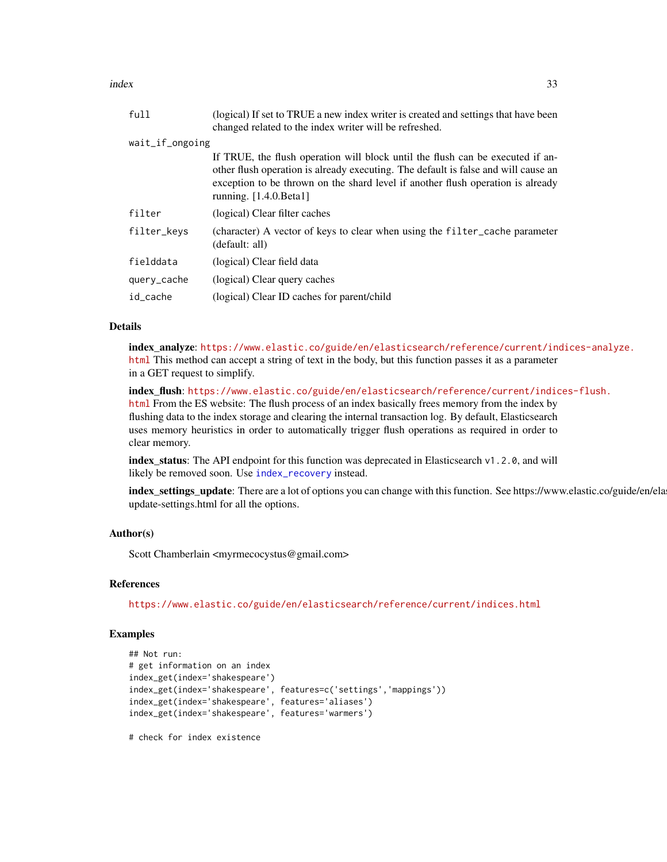index 33

| full            | (logical) If set to TRUE a new index writer is created and settings that have been<br>changed related to the index writer will be refreshed.                                                                                                                                                |
|-----------------|---------------------------------------------------------------------------------------------------------------------------------------------------------------------------------------------------------------------------------------------------------------------------------------------|
| wait_if_ongoing |                                                                                                                                                                                                                                                                                             |
|                 | If TRUE, the flush operation will block until the flush can be executed if an-<br>other flush operation is already executing. The default is false and will cause an<br>exception to be thrown on the shard level if another flush operation is already<br>running. $[1.4.0. \text{Beta1}]$ |
| filter          | (logical) Clear filter caches                                                                                                                                                                                                                                                               |
| filter_keys     | (character) A vector of keys to clear when using the filter_cache parameter<br>(default: all)                                                                                                                                                                                               |
| fielddata       | (logical) Clear field data                                                                                                                                                                                                                                                                  |
| query_cache     | (logical) Clear query caches                                                                                                                                                                                                                                                                |
| id_cache        | (logical) Clear ID caches for parent/child                                                                                                                                                                                                                                                  |
|                 |                                                                                                                                                                                                                                                                                             |

#### **Details**

index\_analyze: [https://www.elastic.co/guide/en/elasticsearch/reference/current/in](https://www.elastic.co/guide/en/elasticsearch/reference/current/indices-analyze.html)dices-analyze. [html](https://www.elastic.co/guide/en/elasticsearch/reference/current/indices-analyze.html) This method can accept a string of text in the body, but this function passes it as a parameter in a GET request to simplify.

index\_flush: [https://www.elastic.co/guide/en/elasticsearch/reference/current/indic](https://www.elastic.co/guide/en/elasticsearch/reference/current/indices-flush.html)es-flush. [html](https://www.elastic.co/guide/en/elasticsearch/reference/current/indices-flush.html) From the ES website: The flush process of an index basically frees memory from the index by flushing data to the index storage and clearing the internal transaction log. By default, Elasticsearch uses memory heuristics in order to automatically trigger flush operations as required in order to clear memory.

index\_status: The API endpoint for this function was deprecated in Elasticsearch v1.2.0, and will likely be removed soon. Use [index\\_recovery](#page-29-1) instead.

index\_settings\_update: There are a lot of options you can change with this function. See https://www.elastic.co/guide/en/ela update-settings.html for all the options.

#### Author(s)

Scott Chamberlain <myrmecocystus@gmail.com>

#### References

<https://www.elastic.co/guide/en/elasticsearch/reference/current/indices.html>

#### Examples

```
## Not run:
# get information on an index
index_get(index='shakespeare')
index_get(index='shakespeare', features=c('settings','mappings'))
index_get(index='shakespeare', features='aliases')
index_get(index='shakespeare', features='warmers')
```
# check for index existence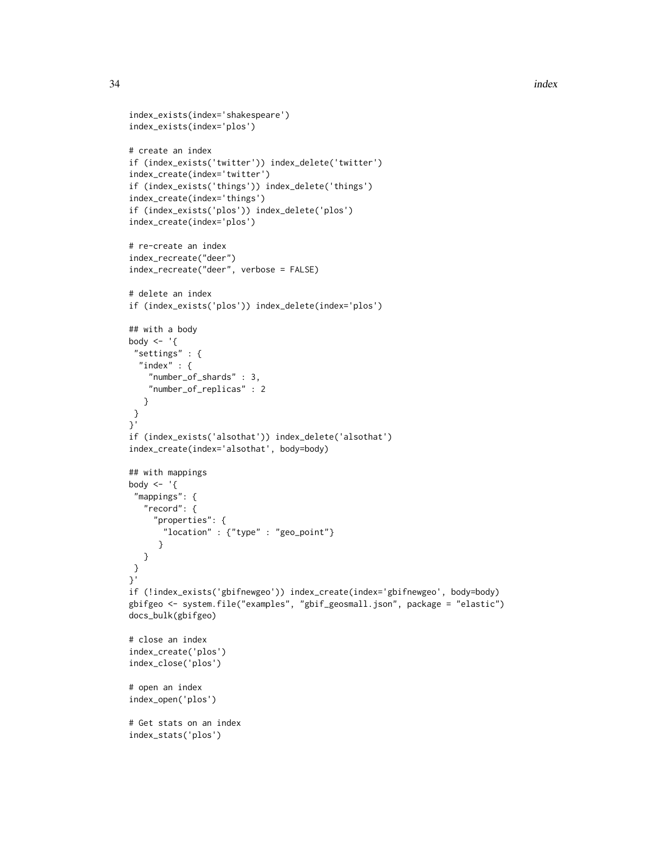```
index_exists(index='shakespeare')
index_exists(index='plos')
# create an index
if (index_exists('twitter')) index_delete('twitter')
index_create(index='twitter')
if (index_exists('things')) index_delete('things')
index_create(index='things')
if (index_exists('plos')) index_delete('plos')
index_create(index='plos')
# re-create an index
index_recreate("deer")
index_recreate("deer", verbose = FALSE)
# delete an index
if (index_exists('plos')) index_delete(index='plos')
## with a body
body <- '{
 "settings" : {
  "index" : <math>\{"number_of_shards" : 3,
    "number_of_replicas" : 2
   }
 }
}'
if (index_exists('alsothat')) index_delete('alsothat')
index_create(index='alsothat', body=body)
## with mappings
body <- '{
 "mappings": {
  "record": {
     "properties": {
       "location" : {"type" : "geo_point"}
      }
  }
 }
}'
if (!index_exists('gbifnewgeo')) index_create(index='gbifnewgeo', body=body)
gbifgeo <- system.file("examples", "gbif_geosmall.json", package = "elastic")
docs_bulk(gbifgeo)
# close an index
index_create('plos')
index_close('plos')
# open an index
index_open('plos')
# Get stats on an index
index_stats('plos')
```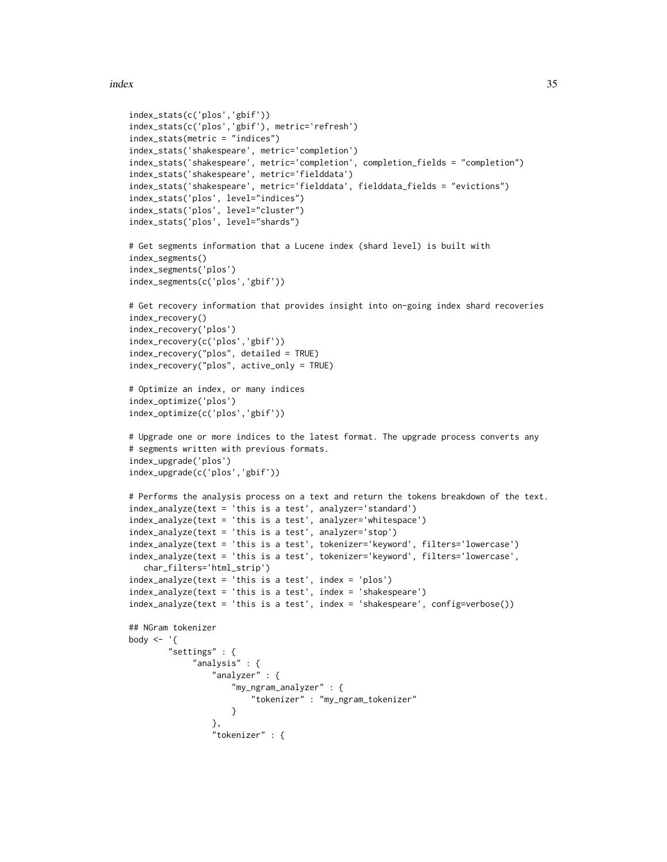```
index_stats(c('plos','gbif'))
index_stats(c('plos','gbif'), metric='refresh')
index_stats(metric = "indices")
index_stats('shakespeare', metric='completion')
index_stats('shakespeare', metric='completion', completion_fields = "completion")
index_stats('shakespeare', metric='fielddata')
index_stats('shakespeare', metric='fielddata', fielddata_fields = "evictions")
index_stats('plos', level="indices")
index_stats('plos', level="cluster")
index_stats('plos', level="shards")
# Get segments information that a Lucene index (shard level) is built with
index_segments()
index_segments('plos')
index_segments(c('plos','gbif'))
# Get recovery information that provides insight into on-going index shard recoveries
index_recovery()
index_recovery('plos')
index_recovery(c('plos','gbif'))
index_recovery("plos", detailed = TRUE)
index_recovery("plos", active_only = TRUE)
# Optimize an index, or many indices
index_optimize('plos')
index_optimize(c('plos','gbif'))
# Upgrade one or more indices to the latest format. The upgrade process converts any
# segments written with previous formats.
index_upgrade('plos')
index_upgrade(c('plos','gbif'))
# Performs the analysis process on a text and return the tokens breakdown of the text.
index_analyze(text = 'this is a test', analyzer='standard')
index_analyze(text = 'this is a test', analyzer='whitespace')
index_analyze(text = 'this is a test', analyzer='stop')
index_analyze(text = 'this is a test', tokenizer='keyword', filters='lowercase')
index_analyze(text = 'this is a test', tokenizer='keyword', filters='lowercase',
   char_filters='html_strip')
index_analyze(text = 'this is a test', index = 'plos')
index_analyze(text = 'this is a test', index = 'shakespeare')
index_analyze(text = 'this is a test', index = 'shakespeare', config=verbose())
## NGram tokenizer
body \leq - '{
        "settings" : {
             "analysis" : {
                 "analyzer" : {
                     "my_ngram_analyzer" : {
                         "tokenizer" : "my_ngram_tokenizer"
                     }
                 },
                 "tokenizer" : {
```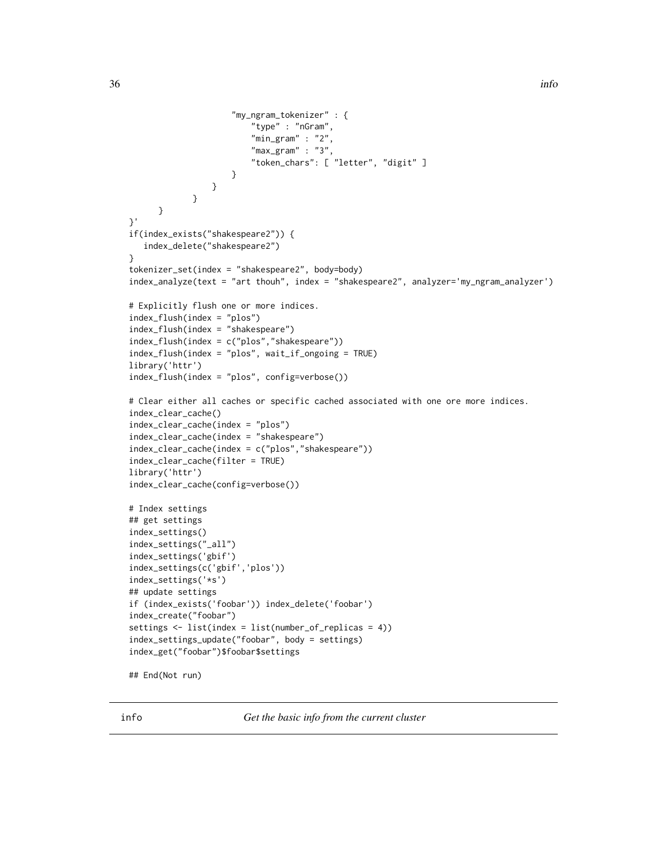```
"my_ngram_tokenizer" : {
                         "type" : "nGram",
                         "min_gram" : "2",
                         "max\_gram" :: "3","token_chars": [ "letter", "digit" ]
                     }
                 }
             }
      }
}'
if(index_exists("shakespeare2")) {
   index_delete("shakespeare2")
}
tokenizer_set(index = "shakespeare2", body=body)
index_analyze(text = "art thouh", index = "shakespeare2", analyzer='my_ngram_analyzer')
# Explicitly flush one or more indices.
index_flush(index = "plos")
index_flush(index = "shakespeare")
index_flush(index = c("plos","shakespeare"))
index_flush(index = "plos", wait_if_ongoing = TRUE)
library('httr')
index_flush(index = "plos", config=verbose())
# Clear either all caches or specific cached associated with one ore more indices.
index_clear_cache()
index_clear_cache(index = "plos")
index_clear_cache(index = "shakespeare")
index_clear_cache(index = c("plos","shakespeare"))
index_clear_cache(filter = TRUE)
library('httr')
index_clear_cache(config=verbose())
# Index settings
## get settings
index_settings()
index_settings("_all")
index_settings('gbif')
index_settings(c('gbif','plos'))
index_settings('*s')
## update settings
if (index_exists('foobar')) index_delete('foobar')
index_create("foobar")
settings <- list(index = list(number_of_replicas = 4))
index_settings_update("foobar", body = settings)
index_get("foobar")$foobar$settings
## End(Not run)
```
info *Get the basic info from the current cluster*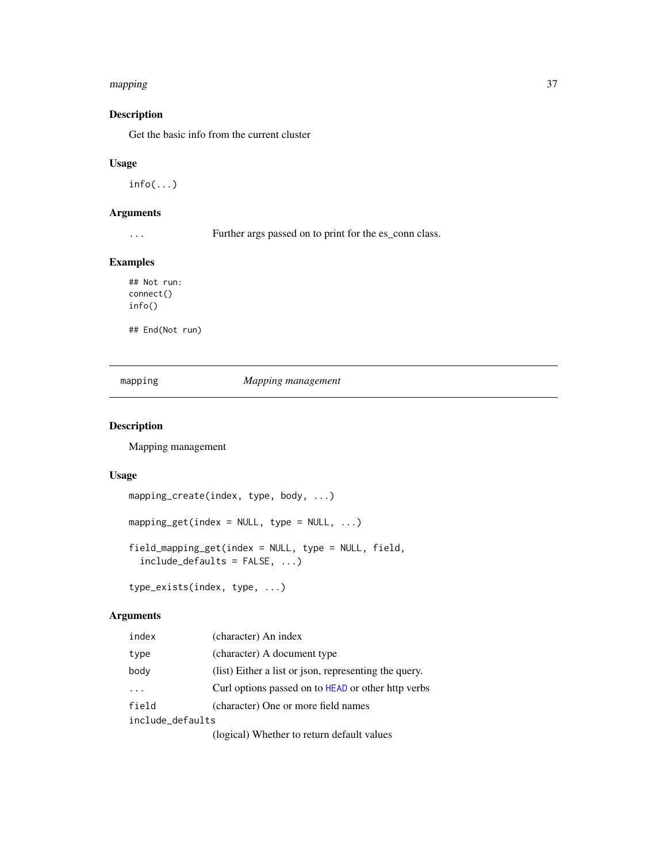#### mapping 37

# Description

Get the basic info from the current cluster

### Usage

info(...)

## Arguments

... Further args passed on to print for the es\_conn class.

## Examples

## Not run: connect() info()

## End(Not run)

## mapping *Mapping management*

## Description

Mapping management

### Usage

```
mapping_create(index, type, body, ...)
mapping\_get(index = NULL, type = NULL, ...)field_mapping_get(index = NULL, type = NULL, field,
  include_defaults = FALSE, ...)
```
# type\_exists(index, type, ...)

## Arguments

| index            | (character) An index                                  |
|------------------|-------------------------------------------------------|
| type             | (character) A document type                           |
| body             | (list) Either a list or json, representing the query. |
|                  | Curl options passed on to HEAD or other http verbs    |
| field            | (character) One or more field names                   |
| include_defaults |                                                       |
|                  | (logical) Whather to return default volues            |

(logical) Whether to return default values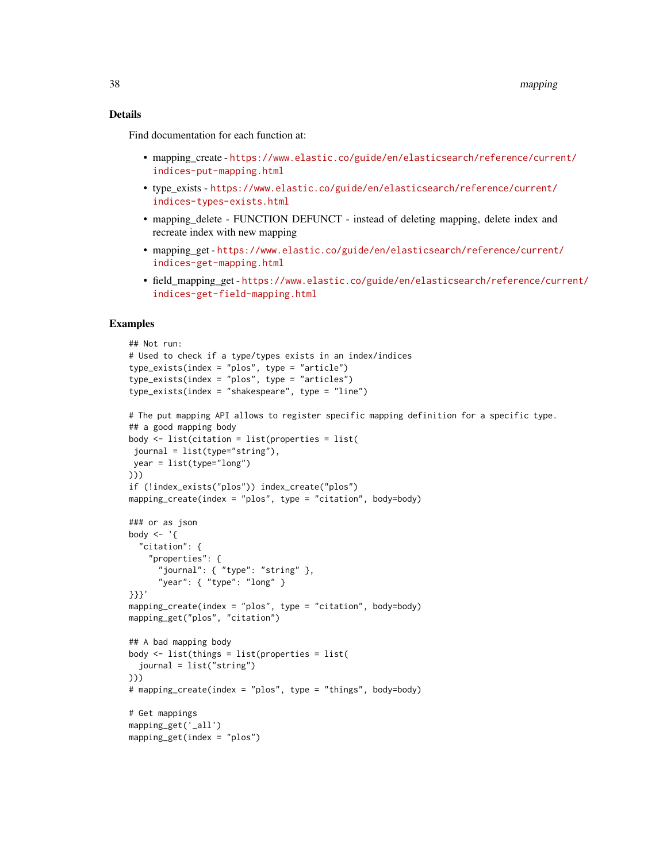### Details

Find documentation for each function at:

- mapping create [https://www.elastic.co/guide/en/elasticsearch/reference/curre](https://www.elastic.co/guide/en/elasticsearch/reference/current/indices-put-mapping.html)nt/ [indices-put-mapping.html](https://www.elastic.co/guide/en/elasticsearch/reference/current/indices-put-mapping.html)
- type\_exists [https://www.elastic.co/guide/en/elasticsearch/reference/current/](https://www.elastic.co/guide/en/elasticsearch/reference/current/indices-types-exists.html) [indices-types-exists.html](https://www.elastic.co/guide/en/elasticsearch/reference/current/indices-types-exists.html)
- mapping\_delete FUNCTION DEFUNCT instead of deleting mapping, delete index and recreate index with new mapping
- mapping\_get [https://www.elastic.co/guide/en/elasticsearch/reference/current](https://www.elastic.co/guide/en/elasticsearch/reference/current/indices-get-mapping.html)/ [indices-get-mapping.html](https://www.elastic.co/guide/en/elasticsearch/reference/current/indices-get-mapping.html)
- field\_mapping\_get [https://www.elastic.co/guide/en/elasticsearch/reference/cur](https://www.elastic.co/guide/en/elasticsearch/reference/current/indices-get-field-mapping.html)rent/ [indices-get-field-mapping.html](https://www.elastic.co/guide/en/elasticsearch/reference/current/indices-get-field-mapping.html)

```
## Not run:
# Used to check if a type/types exists in an index/indices
type_exists(index = "plos", type = "article")
type_exists(index = "plos", type = "articles")
type_exists(index = "shakespeare", type = "line")
# The put mapping API allows to register specific mapping definition for a specific type.
## a good mapping body
body <- list(citation = list(properties = list(
journal = list(type="string"),
year = list(type="long")
)))
if (!index_exists("plos")) index_create("plos")
mapping_create(index = "plos", type = "citation", body=body)
### or as json
body \leq - '{
  "citation": {
    "properties": {
      "journal": { "type": "string" },
      "year": { "type": "long" }
}}}'
mapping_create(index = "plos", type = "citation", body=body)
mapping_get("plos", "citation")
## A bad mapping body
body <- list(things = list(properties = list(
  journal = list("string")
)))
# mapping_create(index = "plos", type = "things", body=body)
# Get mappings
mapping_get('_all')
mapping_get(index = "plos")
```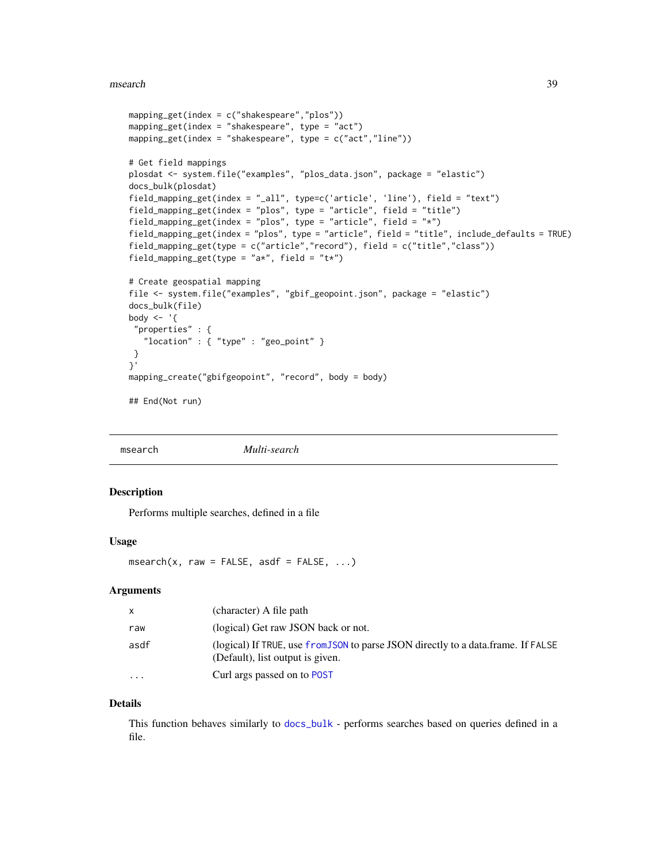#### msearch 39

```
mapping_get(index = c("shakespeare","plos"))
mapping_get(index = "shakespeare", type = "act")
mapping_get(index = "shakespeare", type = c("act","line"))
# Get field mappings
plosdat <- system.file("examples", "plos_data.json", package = "elastic")
docs_bulk(plosdat)
field_mapping_get(index = "_all", type=c('article', 'line'), field = "text")
field_mapping_get(index = "plos", type = "article", field = "title")
field_mapping_get(index = "plos", type = "article", field = "*")
field_mapping_get(index = "plos", type = "article", field = "title", include_defaults = TRUE)
field_mapping_get(type = c("article","record"), field = c("title","class"))
field_mapping_get(type = "a*", field = "t*")
# Create geospatial mapping
file <- system.file("examples", "gbif_geopoint.json", package = "elastic")
docs_bulk(file)
body \leq - '{
 "properties" : {
   "location" : { "type" : "geo_point" }
}
}'
mapping_create("gbifgeopoint", "record", body = body)
## End(Not run)
```
<span id="page-38-0"></span>msearch *Multi-search*

#### Description

Performs multiple searches, defined in a file

### Usage

 $msearch(x, raw = FALSE, asdf = FALSE, ...)$ 

### Arguments

| X        | (character) A file path                                                                                               |
|----------|-----------------------------------------------------------------------------------------------------------------------|
| raw      | (logical) Get raw JSON back or not.                                                                                   |
| asdf     | (logical) If TRUE, use from JSON to parse JSON directly to a data.frame. If FALSE<br>(Default), list output is given. |
| $\cdots$ | Curl args passed on to POST                                                                                           |

#### Details

This function behaves similarly to [docs\\_bulk](#page-11-0) - performs searches based on queries defined in a file.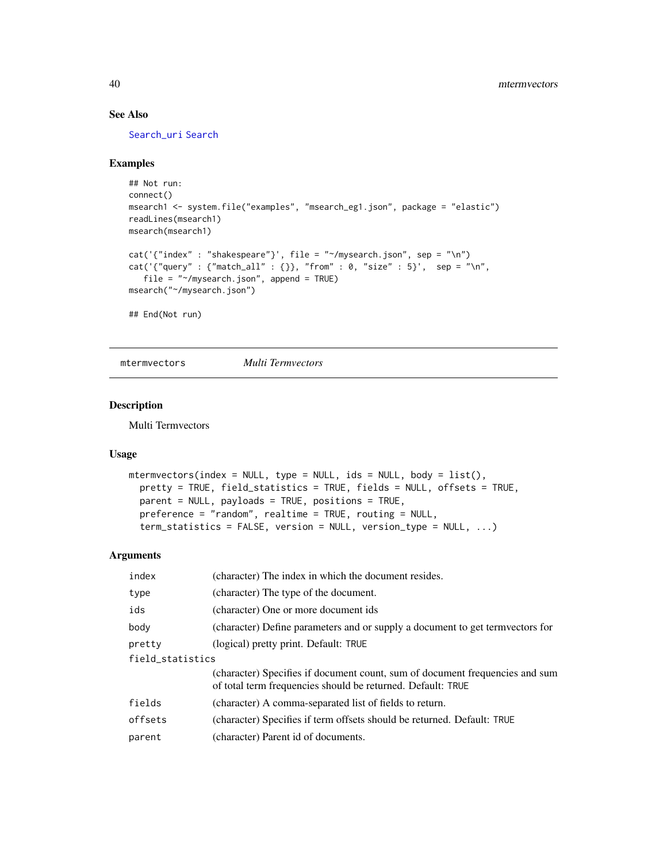## See Also

[Search\\_uri](#page-70-0) [Search](#page-51-0)

### Examples

```
## Not run:
connect()
msearch1 <- system.file("examples", "msearch_eg1.json", package = "elastic")
readLines(msearch1)
msearch(msearch1)
cat('{'index" : "shakespeace"'}', file = "~/mysearch.join", sep = "\\n")cat('{'query" : {'match_all" : {'}}, "from" : 0, "size" : 5}', sep = "\n",file = " mysearch.json", append = TRUE)
msearch("~/mysearch.json")
## End(Not run)
```
mtermvectors *Multi Termvectors*

### Description

Multi Termvectors

## Usage

```
mtermvectors(index = NULL, type = NULL, ids = NULL, body = list(),
 pretty = TRUE, field_statistics = TRUE, fields = NULL, offsets = TRUE,
 parent = NULL, payloads = TRUE, positions = TRUE,
 preference = "random", realtime = TRUE, routing = NULL,
  term_statistics = FALSE, version = NULL, version_type = NULL, ...)
```
## Arguments

| index            | (character) The index in which the document resides.                                                                                        |  |
|------------------|---------------------------------------------------------------------------------------------------------------------------------------------|--|
| type             | (character) The type of the document.                                                                                                       |  |
| ids              | (character) One or more document ids                                                                                                        |  |
| body             | (character) Define parameters and or supply a document to get termvectors for                                                               |  |
| pretty           | (logical) pretty print. Default: TRUE                                                                                                       |  |
| field_statistics |                                                                                                                                             |  |
|                  | (character) Specifies if document count, sum of document frequencies and sum<br>of total term frequencies should be returned. Default: TRUE |  |
| fields           | (character) A comma-separated list of fields to return.                                                                                     |  |
| offsets          | (character) Specifies if term offsets should be returned. Default: TRUE                                                                     |  |
| parent           | (character) Parent id of documents.                                                                                                         |  |
|                  |                                                                                                                                             |  |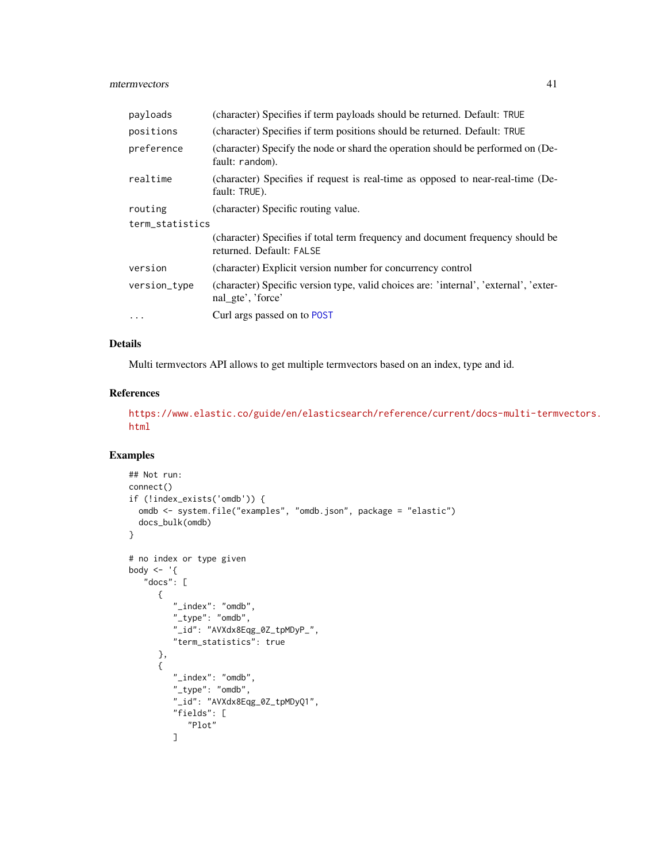### mtermvectors 41

| payloads        | (character) Specifies if term payloads should be returned. Default: TRUE                                   |  |
|-----------------|------------------------------------------------------------------------------------------------------------|--|
| positions       | (character) Specifies if term positions should be returned. Default: TRUE                                  |  |
| preference      | (character) Specify the node or shard the operation should be performed on (De-<br>fault: random).         |  |
| realtime        | (character) Specifies if request is real-time as opposed to near-real-time (De-<br>fault: TRUE).           |  |
| routing         | (character) Specific routing value.                                                                        |  |
| term_statistics |                                                                                                            |  |
|                 | (character) Specifies if total term frequency and document frequency should be<br>returned. Default: FALSE |  |
| version         | (character) Explicit version number for concurrency control                                                |  |
| version_type    | (character) Specific version type, valid choices are: 'internal', 'external', 'exter-<br>nal_gte', 'force' |  |
| $\ddotsc$       | Curl args passed on to POST                                                                                |  |

### Details

Multi termvectors API allows to get multiple termvectors based on an index, type and id.

#### References

[https://www.elastic.co/guide/en/elasticsearch/reference/current/docs-multi-termv](https://www.elastic.co/guide/en/elasticsearch/reference/current/docs-multi-termvectors.html)ectors. [html](https://www.elastic.co/guide/en/elasticsearch/reference/current/docs-multi-termvectors.html)

```
## Not run:
connect()
if (!index_exists('omdb')) {
  omdb <- system.file("examples", "omdb.json", package = "elastic")
  docs_bulk(omdb)
}
# no index or type given
body <- '{
   "docs": [
      {
         "_index": "omdb",
         "_type": "omdb",
         "_id": "AVXdx8Eqg_0Z_tpMDyP_",
         "term_statistics": true
     },
      {
         "_index": "omdb",
         "_type": "omdb",
         "_id": "AVXdx8Eqg_0Z_tpMDyQ1",
         "fields": [
            "Plot"
         ]
```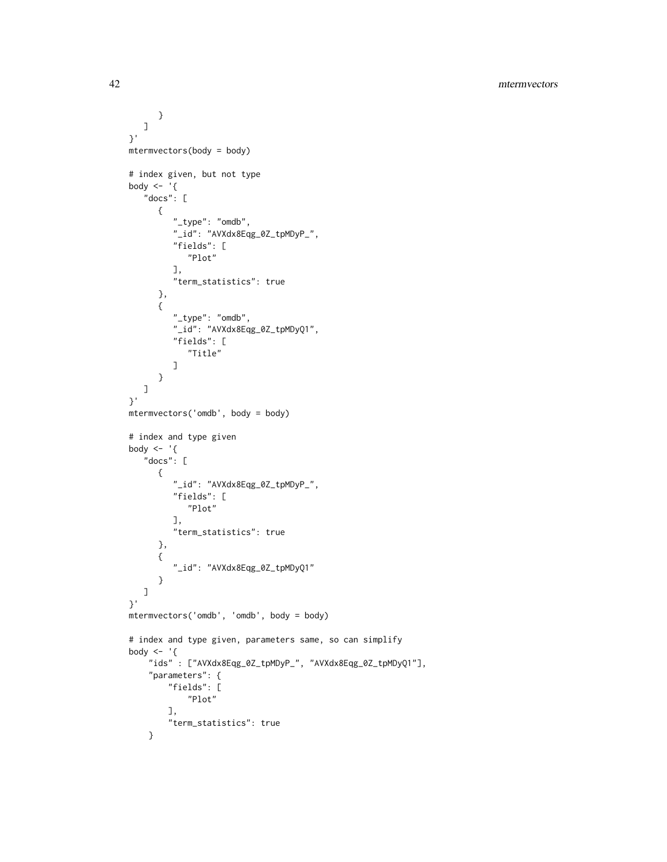```
}
  ]
}'
mtermvectors(body = body)
# index given, but not type
body \leq - '{
   "docs": [
      {
        "_type": "omdb",
         "_id": "AVXdx8Eqg_0Z_tpMDyP_",
         "fields": [
            "Plot"
         ],
         "term_statistics": true
      },
      {
         "_type": "omdb",
         "_id": "AVXdx8Eqg_0Z_tpMDyQ1",
         "fields": [
            "Title"
         ]
      }
  ]
}'
mtermvectors('omdb', body = body)
# index and type given
body <- '{
   "docs": [
      {
         "_id": "AVXdx8Eqg_0Z_tpMDyP_",
         "fields": [
            "Plot"
         ],
         "term_statistics": true
      },
      {
         "_id": "AVXdx8Eqg_0Z_tpMDyQ1"
      }
  ]
}'
mtermvectors('omdb', 'omdb', body = body)
# index and type given, parameters same, so can simplify
body \leq - '{
    "ids" : ["AVXdx8Eqg_0Z_tpMDyP_", "AVXdx8Eqg_0Z_tpMDyQ1"],
    "parameters": {
        "fields": [
            "Plot"
        ],
        "term_statistics": true
    }
```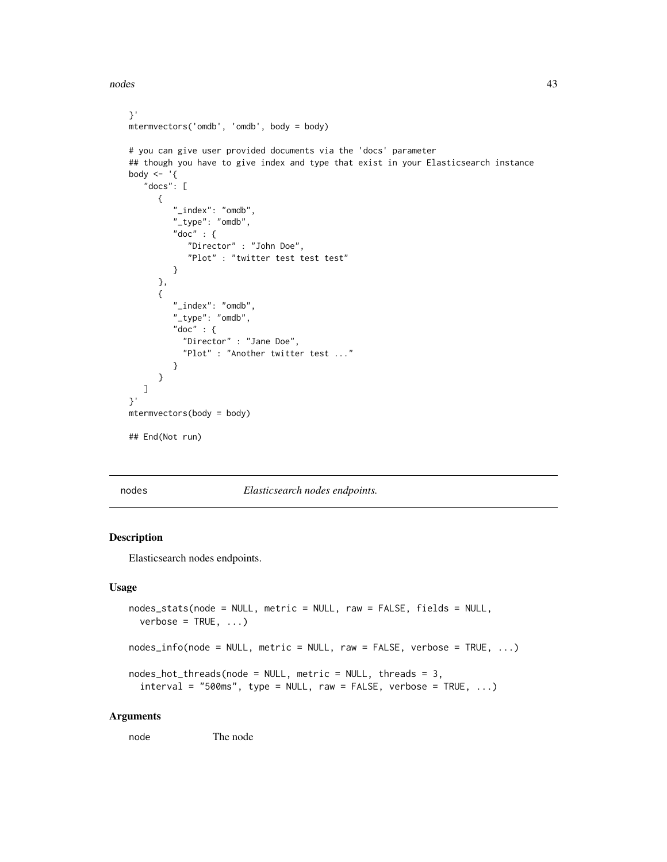nodes and the set of the set of the set of the set of the set of the set of the set of the set of the set of the set of the set of the set of the set of the set of the set of the set of the set of the set of the set of the

```
}'
mtermvectors('omdb', 'omdb', body = body)
# you can give user provided documents via the 'docs' parameter
## though you have to give index and type that exist in your Elasticsearch instance
body \leq - '{
   "docs": [
      {
         "_index": "omdb",
         "_type": "omdb",
         "doc" : {
            "Director" : "John Doe",
            "Plot" : "twitter test test test"
         }
      },
      {
         "_index": "omdb",
         "_type": "omdb",
         "doc" : {
           "Director" : "Jane Doe",
           "Plot" : "Another twitter test ..."
         }
      }
  ]
}'
mtermvectors(body = body)
## End(Not run)
```
nodes *Elasticsearch nodes endpoints.*

## <span id="page-42-0"></span>Description

Elasticsearch nodes endpoints.

#### Usage

```
nodes_stats(node = NULL, metric = NULL, raw = FALSE, fields = NULL,
  verbose = TRUE, ...)nodes_info(node = NULL, metric = NULL, raw = FALSE, verbose = TRUE, ...)
nodes_hot_threads(node = NULL, metric = NULL, threads = 3,
  interval = "500ms", type = NULL, raw = FALSE, verbose = TRUE, ...)
```
### Arguments

node The node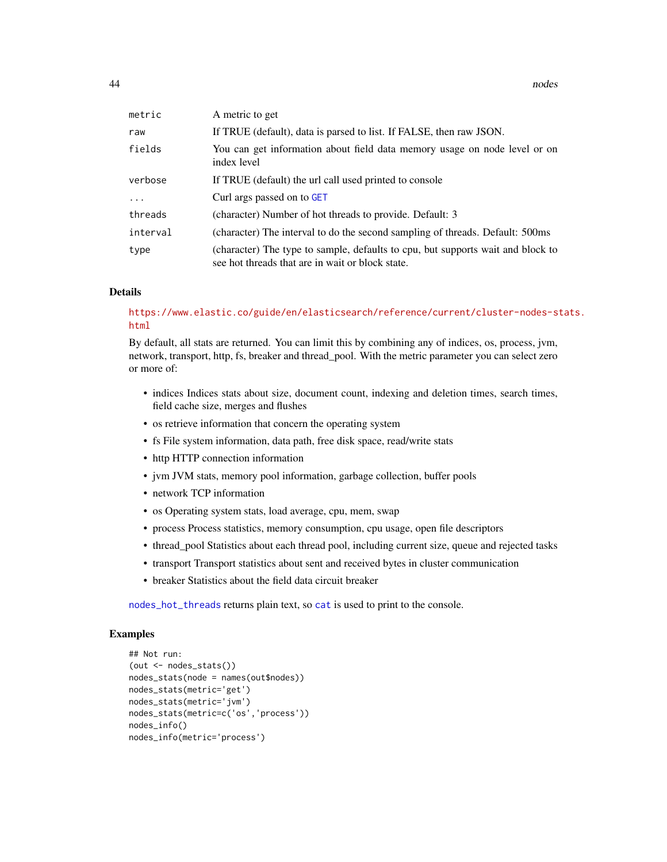44 nodes

| metric     | A metric to get                                                                                                                     |
|------------|-------------------------------------------------------------------------------------------------------------------------------------|
| raw        | If TRUE (default), data is parsed to list. If FALSE, then raw JSON.                                                                 |
| fields     | You can get information about field data memory usage on node level or on<br>index level                                            |
| verbose    | If TRUE (default) the url call used printed to console                                                                              |
| $\ddots$ . | Curl args passed on to GET                                                                                                          |
| threads    | (character) Number of hot threads to provide. Default: 3                                                                            |
| interval   | (character) The interval to do the second sampling of threads. Default: 500ms                                                       |
| type       | (character) The type to sample, defaults to cpu, but supports wait and block to<br>see hot threads that are in wait or block state. |

### Details

### [https://www.elastic.co/guide/en/elasticsearch/reference/current/cluster-nodes-st](https://www.elastic.co/guide/en/elasticsearch/reference/current/cluster-nodes-stats.html)ats. [html](https://www.elastic.co/guide/en/elasticsearch/reference/current/cluster-nodes-stats.html)

By default, all stats are returned. You can limit this by combining any of indices, os, process, jvm, network, transport, http, fs, breaker and thread\_pool. With the metric parameter you can select zero or more of:

- indices Indices stats about size, document count, indexing and deletion times, search times, field cache size, merges and flushes
- os retrieve information that concern the operating system
- fs File system information, data path, free disk space, read/write stats
- http HTTP connection information
- jvm JVM stats, memory pool information, garbage collection, buffer pools
- network TCP information
- os Operating system stats, load average, cpu, mem, swap
- process Process statistics, memory consumption, cpu usage, open file descriptors
- thread\_pool Statistics about each thread pool, including current size, queue and rejected tasks
- transport Transport statistics about sent and received bytes in cluster communication
- breaker Statistics about the field data circuit breaker

[nodes\\_hot\\_threads](#page-42-0) returns plain text, so [cat](#page-3-0) is used to print to the console.

```
## Not run:
(out <- nodes_stats())
nodes_stats(node = names(out$nodes))
nodes_stats(metric='get')
nodes_stats(metric='jvm')
nodes_stats(metric=c('os','process'))
nodes_info()
nodes_info(metric='process')
```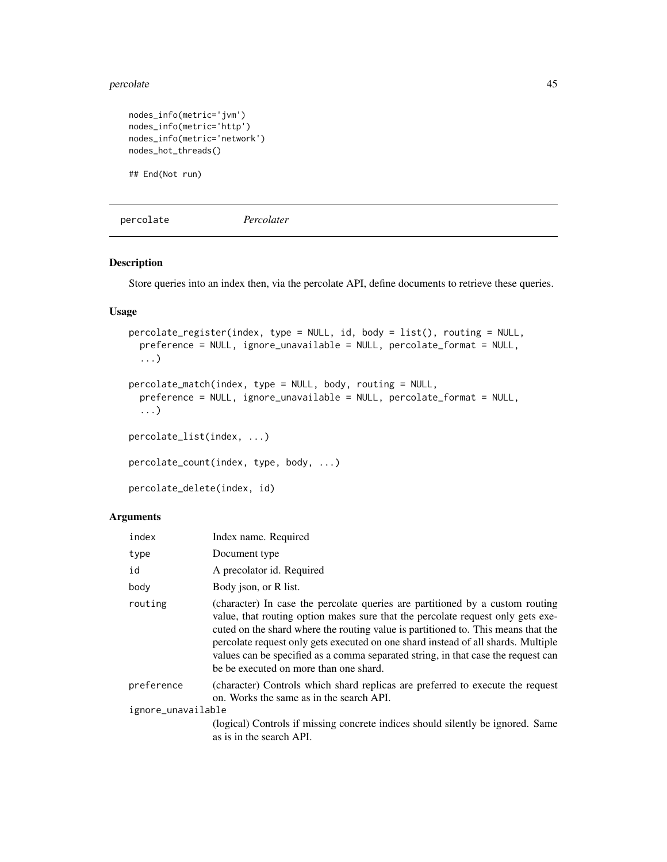#### percolate the set of the set of the set of the set of the set of the set of the set of the set of the set of the set of the set of the set of the set of the set of the set of the set of the set of the set of the set of the

```
nodes_info(metric='jvm')
nodes_info(metric='http')
nodes_info(metric='network')
nodes_hot_threads()
```
## End(Not run)

<span id="page-44-0"></span>percolate *Percolater*

## Description

Store queries into an index then, via the percolate API, define documents to retrieve these queries.

## Usage

```
percolate_register(index, type = NULL, id, body = list(), routing = NULL,
 preference = NULL, ignore_unavailable = NULL, percolate_format = NULL,
  ...)
percolate_match(index, type = NULL, body, routing = NULL,
 preference = NULL, ignore_unavailable = NULL, percolate_format = NULL,
  ...)
percolate_list(index, ...)
percolate_count(index, type, body, ...)
percolate_delete(index, id)
```
#### Arguments

| index              | Index name. Required                                                                                                                                                                                                                                                                                                                                                                                                                                                      |
|--------------------|---------------------------------------------------------------------------------------------------------------------------------------------------------------------------------------------------------------------------------------------------------------------------------------------------------------------------------------------------------------------------------------------------------------------------------------------------------------------------|
| type               | Document type                                                                                                                                                                                                                                                                                                                                                                                                                                                             |
| id                 | A precolator id. Required                                                                                                                                                                                                                                                                                                                                                                                                                                                 |
| body               | Body json, or R list.                                                                                                                                                                                                                                                                                                                                                                                                                                                     |
| routing            | (character) In case the percolate queries are partitioned by a custom routing<br>value, that routing option makes sure that the percolate request only gets exe-<br>cuted on the shard where the routing value is partitioned to. This means that the<br>percolate request only gets executed on one shard instead of all shards. Multiple<br>values can be specified as a comma separated string, in that case the request can<br>be be executed on more than one shard. |
| preference         | (character) Controls which shard replicas are preferred to execute the request<br>on. Works the same as in the search API.                                                                                                                                                                                                                                                                                                                                                |
| ignore_unavailable |                                                                                                                                                                                                                                                                                                                                                                                                                                                                           |
|                    | (logical) Controls if missing concrete indices should silently be ignored. Same<br>as is in the search API.                                                                                                                                                                                                                                                                                                                                                               |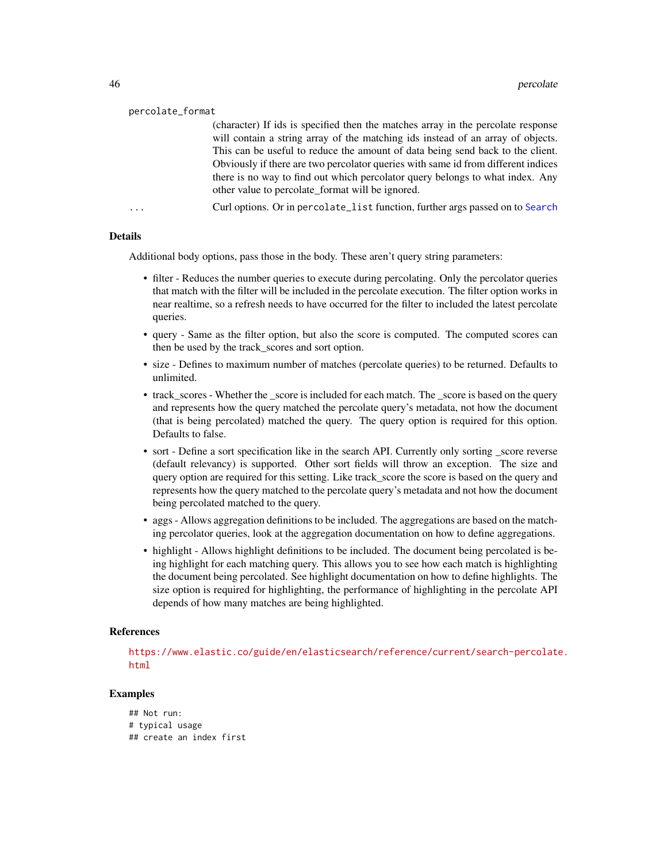#### percolate\_format

(character) If ids is specified then the matches array in the percolate response will contain a string array of the matching ids instead of an array of objects. This can be useful to reduce the amount of data being send back to the client. Obviously if there are two percolator queries with same id from different indices there is no way to find out which percolator query belongs to what index. Any other value to percolate\_format will be ignored.

... Curl options. Or in percolate\_list function, further args passed on to [Search](#page-51-0)

#### Details

Additional body options, pass those in the body. These aren't query string parameters:

- filter Reduces the number queries to execute during percolating. Only the percolator queries that match with the filter will be included in the percolate execution. The filter option works in near realtime, so a refresh needs to have occurred for the filter to included the latest percolate queries.
- query Same as the filter option, but also the score is computed. The computed scores can then be used by the track\_scores and sort option.
- size Defines to maximum number of matches (percolate queries) to be returned. Defaults to unlimited.
- track\_scores Whether the \_score is included for each match. The \_score is based on the query and represents how the query matched the percolate query's metadata, not how the document (that is being percolated) matched the query. The query option is required for this option. Defaults to false.
- sort Define a sort specification like in the search API. Currently only sorting score reverse (default relevancy) is supported. Other sort fields will throw an exception. The size and query option are required for this setting. Like track\_score the score is based on the query and represents how the query matched to the percolate query's metadata and not how the document being percolated matched to the query.
- aggs Allows aggregation definitions to be included. The aggregations are based on the matching percolator queries, look at the aggregation documentation on how to define aggregations.
- highlight Allows highlight definitions to be included. The document being percolated is being highlight for each matching query. This allows you to see how each match is highlighting the document being percolated. See highlight documentation on how to define highlights. The size option is required for highlighting, the performance of highlighting in the percolate API depends of how many matches are being highlighted.

#### References

[https://www.elastic.co/guide/en/elasticsearch/reference/current/search-percolate](https://www.elastic.co/guide/en/elasticsearch/reference/current/search-percolate.html). [html](https://www.elastic.co/guide/en/elasticsearch/reference/current/search-percolate.html)

### Examples

## Not run: # typical usage ## create an index first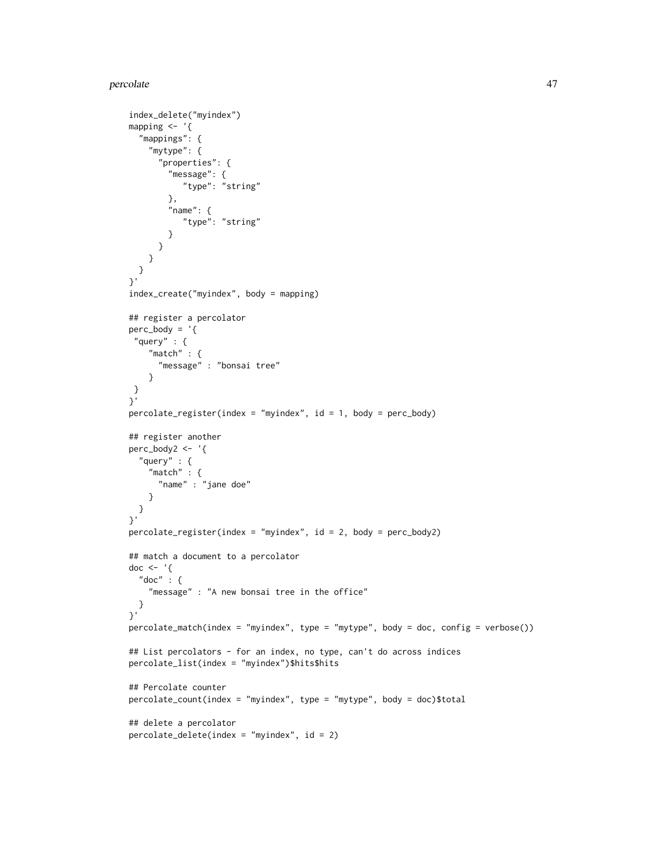#### percolate the contract of the contract of the contract of the contract of the contract of the contract of the contract of the contract of the contract of the contract of the contract of the contract of the contract of the

```
index_delete("myindex")
mapping <- '{
  "mappings": {
    "mytype": {
      "properties": {
        "message": {
          "type": "string"
        },
        "name": f"type": "string"
        }
      }
    }
 }
}'
index_create("myindex", body = mapping)
## register a percolator
perc\_body = '"query" : {
    "match" : {
     "message" : "bonsai tree"
    }
}
}'
percolate_register(index = "myindex", id = 1, body = perc_body)
## register another
perc_body2 <- '{
  "query" : {
    "match" : {
     "name" : "jane doe"
    }
 }
}'
percolate_register(index = "myindex", id = 2, body = perc_body2)
## match a document to a percolator
doc <- '{
  "doc" : \{"message" : "A new bonsai tree in the office"
  }
}'
percolate_match(index = "myindex", type = "mytype", body = doc, config = verbose())
## List percolators - for an index, no type, can't do across indices
percolate_list(index = "myindex")$hits$hits
## Percolate counter
percolate_count(index = "myindex", type = "mytype", body = doc)$total
## delete a percolator
percolate_delete(index = "myindex", id = 2)
```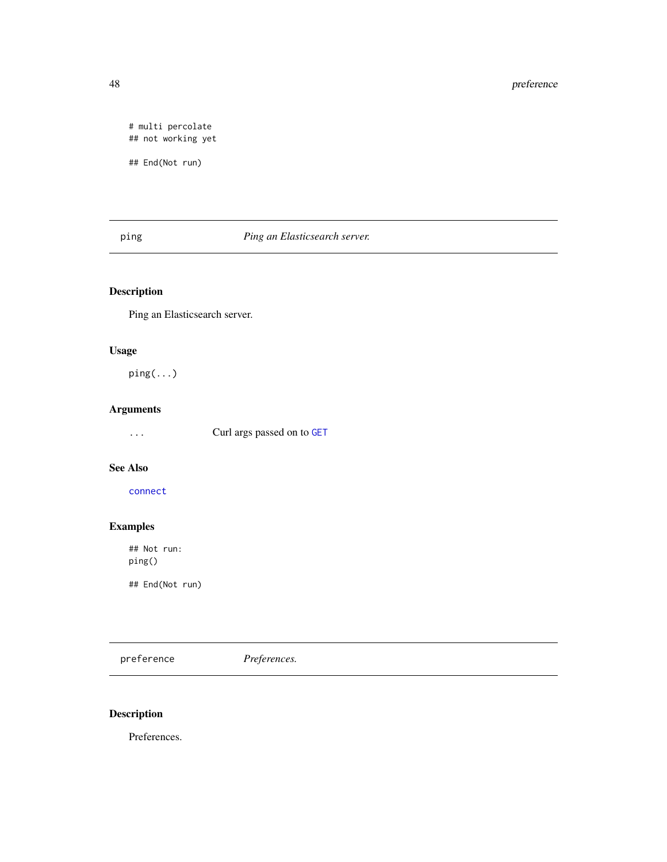# multi percolate ## not working yet

## End(Not run)

# ping *Ping an Elasticsearch server.*

# Description

Ping an Elasticsearch server.

## Usage

ping(...)

# Arguments

... Curl args passed on to [GET](#page-0-0)

## See Also

[connect](#page-8-0)

# Examples

## Not run: ping()

## End(Not run)

<span id="page-47-0"></span>preference *Preferences.*

# Description

Preferences.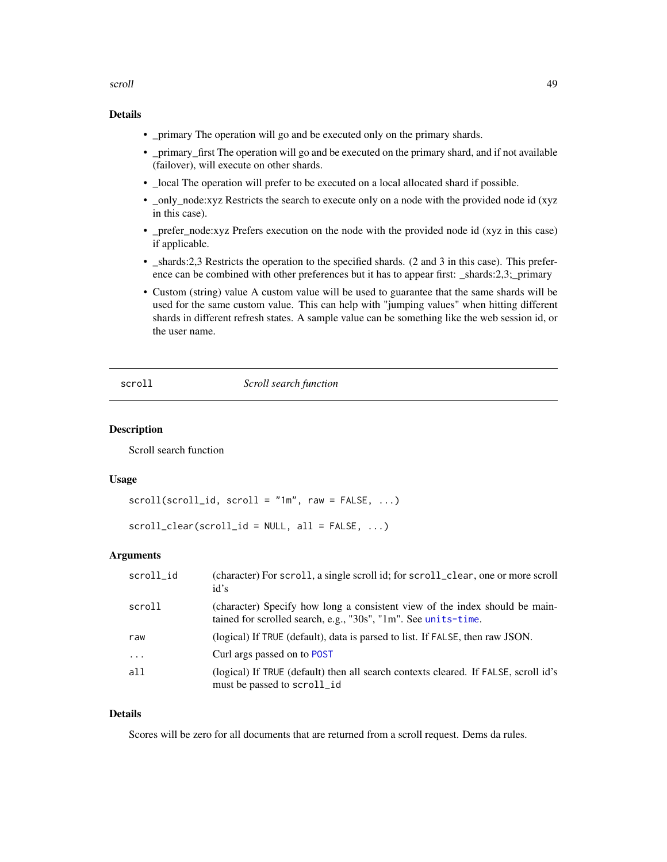scroll the contract of the contract of the contract of the contract of the contract of the contract of the contract of the contract of the contract of the contract of the contract of the contract of the contract of the con

### Details

- \_primary The operation will go and be executed only on the primary shards.
- \_primary\_first The operation will go and be executed on the primary shard, and if not available (failover), will execute on other shards.
- \_local The operation will prefer to be executed on a local allocated shard if possible.
- \_only\_node:xyz Restricts the search to execute only on a node with the provided node id (xyz) in this case).
- \_prefer\_node:xyz Prefers execution on the node with the provided node id (xyz in this case) if applicable.
- \_shards:2,3 Restricts the operation to the specified shards. (2 and 3 in this case). This preference can be combined with other preferences but it has to appear first: \_shards:2,3;\_primary
- Custom (string) value A custom value will be used to guarantee that the same shards will be used for the same custom value. This can help with "jumping values" when hitting different shards in different refresh states. A sample value can be something like the web session id, or the user name.

<span id="page-48-0"></span>scroll *Scroll search function*

### Description

Scroll search function

#### Usage

```
scroll(scroll_id, scroll = "1m", raw = FALSE, ...)
```
 $scroll\_clear(scroll\_id = NULL, all = FALSE, ...)$ 

### Arguments

| (character) For scroll, a single scroll id; for scroll_clear, one or more scroll<br>id's                                                      |
|-----------------------------------------------------------------------------------------------------------------------------------------------|
| (character) Specify how long a consistent view of the index should be main-<br>tained for scrolled search, e.g., "30s", "1m". See units-time. |
| (logical) If TRUE (default), data is parsed to list. If FALSE, then raw JSON.                                                                 |
| Curl args passed on to POST                                                                                                                   |
| (logical) If TRUE (default) then all search contexts cleared. If FALSE, scroll id's<br>must be passed to scroll_id                            |
|                                                                                                                                               |

### Details

Scores will be zero for all documents that are returned from a scroll request. Dems da rules.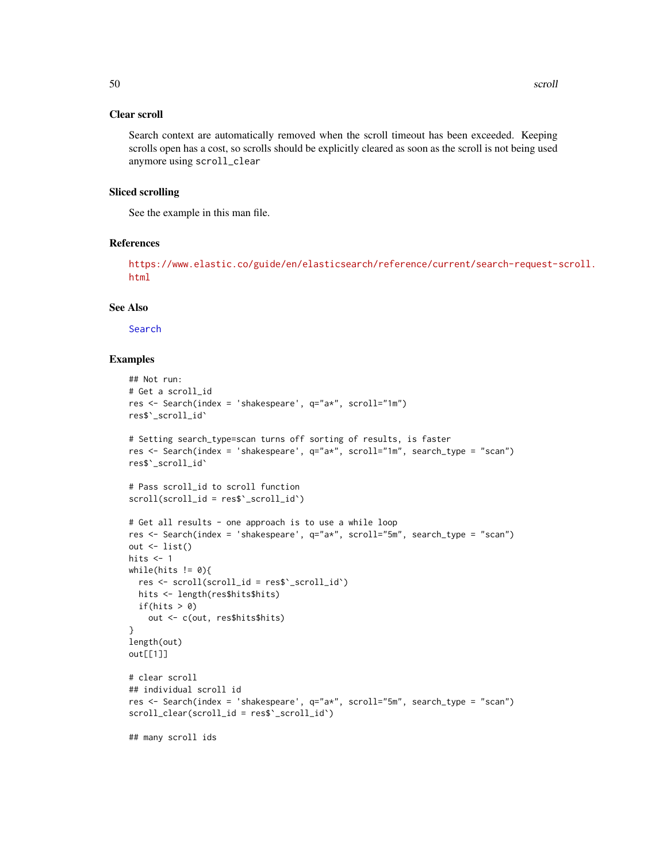#### Clear scroll

Search context are automatically removed when the scroll timeout has been exceeded. Keeping scrolls open has a cost, so scrolls should be explicitly cleared as soon as the scroll is not being used anymore using scroll\_clear

### Sliced scrolling

See the example in this man file.

### References

[https://www.elastic.co/guide/en/elasticsearch/reference/current/search-request-s](https://www.elastic.co/guide/en/elasticsearch/reference/current/search-request-scroll.html)croll. [html](https://www.elastic.co/guide/en/elasticsearch/reference/current/search-request-scroll.html)

#### See Also

[Search](#page-51-0)

```
## Not run:
# Get a scroll_id
res <- Search(index = 'shakespeare', q="a*", scroll="1m")
res$`_scroll_id`
# Setting search_type=scan turns off sorting of results, is faster
res <- Search(index = 'shakespeare', q="a*", scroll="1m", search_type = "scan")
res$`_scroll_id`
# Pass scroll_id to scroll function
scroll(scroll_id = res$`_scroll_id`)
# Get all results - one approach is to use a while loop
res <- Search(index = 'shakespeare', q="a*", scroll="5m", search_type = "scan")
out \leftarrow list()
hits <-1while(hits != 0){
  res <- scroll(scroll_id = res$`_scroll_id`)
 hits <- length(res$hits$hits)
 if(hits > 0)
   out <- c(out, res$hits$hits)
}
length(out)
out[[1]]
# clear scroll
## individual scroll id
res <- Search(index = 'shakespeare', q="a*", scroll="5m", search_type = "scan")
scroll_clear(scroll_id = res$`_scroll_id`)
## many scroll ids
```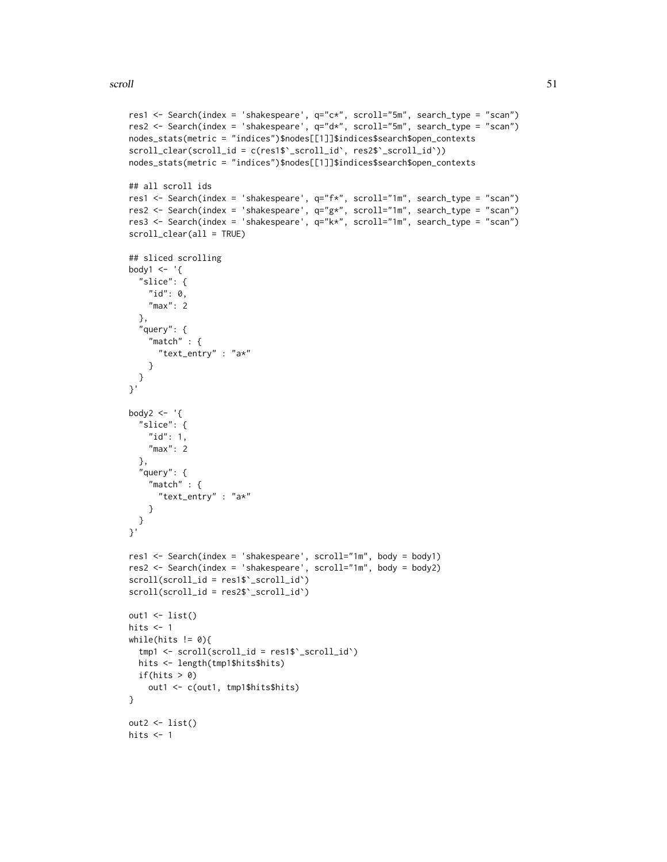```
res1 <- Search(index = 'shakespeare', q="c*", scroll="5m", search_type = "scan")
res2 <- Search(index = 'shakespeare', q="d*", scroll="5m", search_type = "scan")
nodes_stats(metric = "indices")$nodes[[1]]$indices$search$open_contexts
scroll_clear(scroll_id = c(res1$`_scroll_id`, res2$`_scroll_id`))
nodes_stats(metric = "indices")$nodes[[1]]$indices$search$open_contexts
## all scroll ids
res1 <- Search(index = 'shakespeare', q="f*", scroll="1m", search_type = "scan")
res2 <- Search(index = 'shakespeare', q="g*", scroll="1m", search_type = "scan")
res3 <- Search(index = 'shakespeare', q="k*", scroll="1m", search_type = "scan")
scroll_clear(all = TRUE)
## sliced scrolling
body1 \leq - '{
  "slice": {
   "id": \; \emptyset,"max": 2
  },
  "query": {
    "match" : \{"text_entry" : "a*"
   }
 }
}'
body2 <- '{
  "slice": {
   "id": 1,
    "max": 2
  },
  "query": {
    "match" : {
     "text_entry" : "a*"
   }
 }
}'
res1 <- Search(index = 'shakespeare', scroll="1m", body = body1)
res2 <- Search(index = 'shakespeare', scroll="1m", body = body2)
scroll(scroll_id = res1$`_scroll_id`)
scroll(scroll_id = res2$`_scroll_id`)
out1 \leftarrow list()hits \leq -1while(hits != 0){
 tmp1 <- scroll(scroll_id = res1$`_scroll_id`)
 hits <- length(tmp1$hits$hits)
 if(hits > 0)
    out1 <- c(out1, tmp1$hits$hits)
}
out2 <- list()
hits <-1
```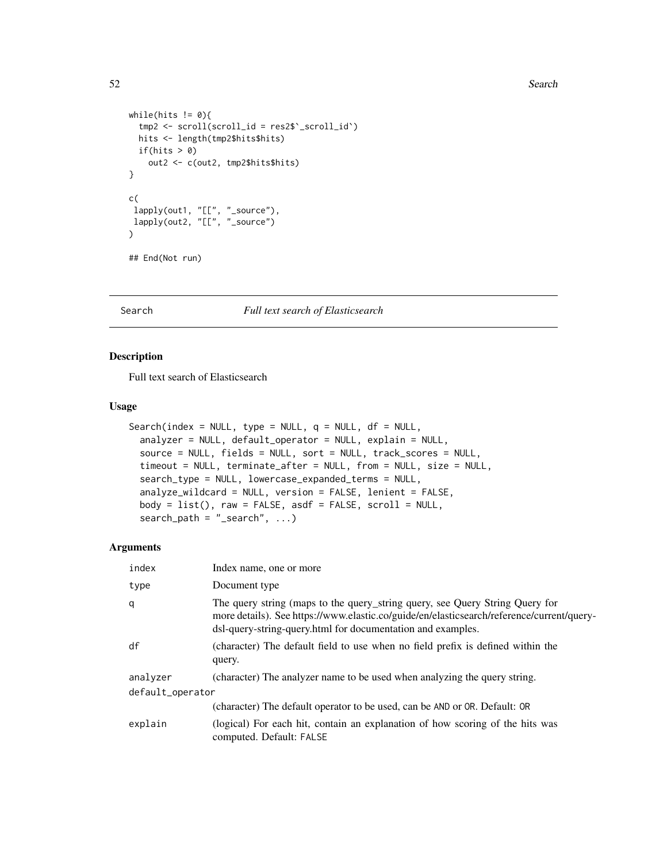#### 52 Search 2007 Search 2007 Search 2007 Search 2007 Search 2007 Search 2007 Search 2007 Search 2007 Search 2007 Search 2007 Search 2007 Search 2007 Search 2007 Search 2007 Search 2007 Search 2007 Search 2007 Search 2007 Sea

```
while(hits != 0){
  tmp2 <- scroll(scroll_id = res2$`_scroll_id`)
  hits <- length(tmp2$hits$hits)
 if(hits > 0)
   out2 <- c(out2, tmp2$hits$hits)
}
c(
lapply(out1, "[[", "_source"),
lapply(out2, "[[", "_source")
)
## End(Not run)
```
<span id="page-51-0"></span>

Search *Full text search of Elasticsearch*

### Description

Full text search of Elasticsearch

### Usage

```
Search(index = NULL, type = NULL, q = NULL, df = NULL,
  analyzer = NULL, default_operator = NULL, explain = NULL,
  source = NULL, fields = NULL, sort = NULL, track_scores = NULL,
  timeout = NULL, terminate_after = NULL, from = NULL, size = NULL,
  search_type = NULL, lowercase_expanded_terms = NULL,
  analyze_wildcard = NULL, version = FALSE, lenient = FALSE,
 body = list(), raw = FALSE, asdf = FALSE, scroll = NULL,
  search\_path = "\_search", ...)
```
#### Arguments

| index            | Index name, one or more                                                                                                                                                                                                                  |  |
|------------------|------------------------------------------------------------------------------------------------------------------------------------------------------------------------------------------------------------------------------------------|--|
| type             | Document type                                                                                                                                                                                                                            |  |
| q                | The query string (maps to the query_string query, see Query String Query for<br>more details). See https://www.elastic.co/guide/en/elasticsearch/reference/current/query-<br>dsl-query-string-query.html for documentation and examples. |  |
| df               | (character) The default field to use when no field prefix is defined within the<br>query.                                                                                                                                                |  |
| analyzer         | (character) The analyzer name to be used when analyzing the query string.                                                                                                                                                                |  |
| default_operator |                                                                                                                                                                                                                                          |  |
|                  | (character) The default operator to be used, can be AND or OR. Default: OR                                                                                                                                                               |  |
| explain          | (logical) For each hit, contain an explanation of how scoring of the hits was<br>computed. Default: FALSE                                                                                                                                |  |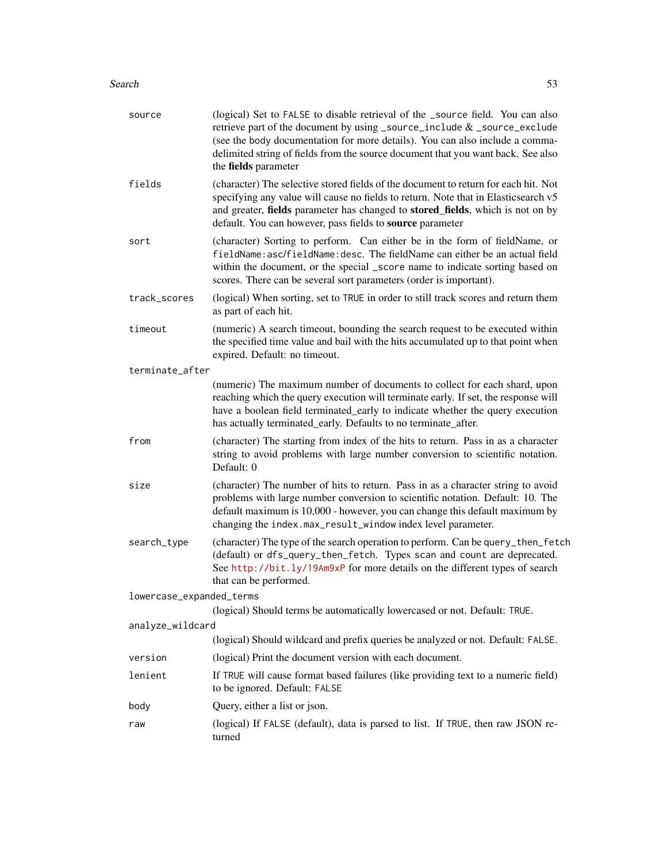| source                   | (logical) Set to FALSE to disable retrieval of the _source field. You can also<br>retrieve part of the document by using _source_include & _source_exclude<br>(see the body documentation for more details). You can also include a comma-<br>delimited string of fields from the source document that you want back. See also<br>the fields parameter |
|--------------------------|--------------------------------------------------------------------------------------------------------------------------------------------------------------------------------------------------------------------------------------------------------------------------------------------------------------------------------------------------------|
| fields                   | (character) The selective stored fields of the document to return for each hit. Not<br>specifying any value will cause no fields to return. Note that in Elasticsearch v5<br>and greater, fields parameter has changed to stored_fields, which is not on by<br>default. You can however, pass fields to source parameter                               |
| sort                     | (character) Sorting to perform. Can either be in the form of fieldName, or<br>fieldName: asc/fieldName: desc. The fieldName can either be an actual field<br>within the document, or the special _score name to indicate sorting based on<br>scores. There can be several sort parameters (order is important).                                        |
| track_scores             | (logical) When sorting, set to TRUE in order to still track scores and return them<br>as part of each hit.                                                                                                                                                                                                                                             |
| timeout                  | (numeric) A search timeout, bounding the search request to be executed within<br>the specified time value and bail with the hits accumulated up to that point when<br>expired. Default: no timeout.                                                                                                                                                    |
| terminate_after          |                                                                                                                                                                                                                                                                                                                                                        |
|                          | (numeric) The maximum number of documents to collect for each shard, upon<br>reaching which the query execution will terminate early. If set, the response will<br>have a boolean field terminated_early to indicate whether the query execution<br>has actually terminated_early. Defaults to no terminate_after.                                     |
| from                     | (character) The starting from index of the hits to return. Pass in as a character<br>string to avoid problems with large number conversion to scientific notation.<br>Default: 0                                                                                                                                                                       |
| size                     | (character) The number of hits to return. Pass in as a character string to avoid<br>problems with large number conversion to scientific notation. Default: 10. The<br>default maximum is 10,000 - however, you can change this default maximum by<br>changing the index.max_result_window index level parameter.                                       |
| search_type              | (character) The type of the search operation to perform. Can be query_then_fetch<br>(default) or dfs_query_then_fetch. Types scan and count are deprecated.<br>See http://bit.ly/19Am9xP for more details on the different types of search<br>that can be performed.                                                                                   |
| lowercase_expanded_terms |                                                                                                                                                                                                                                                                                                                                                        |
|                          | (logical) Should terms be automatically lowercased or not. Default: TRUE.                                                                                                                                                                                                                                                                              |
| analyze_wildcard         |                                                                                                                                                                                                                                                                                                                                                        |
|                          | (logical) Should wildcard and prefix queries be analyzed or not. Default: FALSE.                                                                                                                                                                                                                                                                       |
| version                  | (logical) Print the document version with each document.                                                                                                                                                                                                                                                                                               |
| lenient                  | If TRUE will cause format based failures (like providing text to a numeric field)<br>to be ignored. Default: FALSE                                                                                                                                                                                                                                     |
| body                     | Query, either a list or json.                                                                                                                                                                                                                                                                                                                          |
| raw                      | (logical) If FALSE (default), data is parsed to list. If TRUE, then raw JSON re-<br>turned                                                                                                                                                                                                                                                             |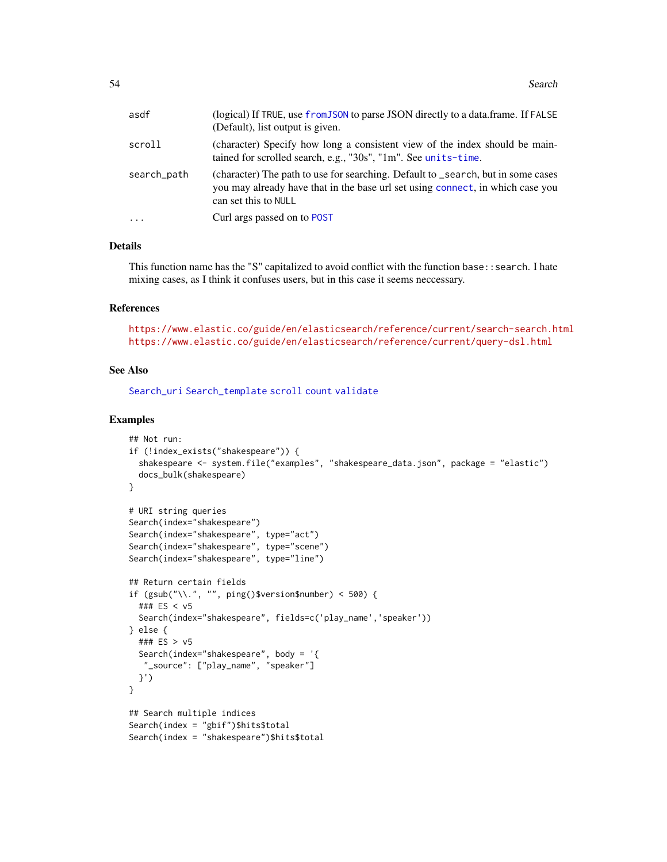| asdf        | (logical) If TRUE, use from JSON to parse JSON directly to a data.frame. If FALSE<br>(Default), list output is given.                                                                      |
|-------------|--------------------------------------------------------------------------------------------------------------------------------------------------------------------------------------------|
| scroll      | (character) Specify how long a consistent view of the index should be main-<br>tained for scrolled search, e.g., "30s", "1m". See units-time.                                              |
| search_path | (character) The path to use for searching. Default to _search, but in some cases<br>you may already have that in the base url set using connect, in which case you<br>can set this to NULL |
| $\cdots$    | Curl args passed on to POST                                                                                                                                                                |
|             |                                                                                                                                                                                            |

## Details

This function name has the "S" capitalized to avoid conflict with the function base::search. I hate mixing cases, as I think it confuses users, but in this case it seems neccessary.

### References

<https://www.elastic.co/guide/en/elasticsearch/reference/current/search-search.html> <https://www.elastic.co/guide/en/elasticsearch/reference/current/query-dsl.html>

### See Also

[Search\\_uri](#page-70-0) [Search\\_template](#page-68-0) [scroll](#page-48-0) [count](#page-10-0) [validate](#page-78-1)

```
## Not run:
if (!index_exists("shakespeare")) {
 shakespeare <- system.file("examples", "shakespeare_data.json", package = "elastic")
 docs_bulk(shakespeare)
}
# URI string queries
Search(index="shakespeare")
Search(index="shakespeare", type="act")
Search(index="shakespeare", type="scene")
Search(index="shakespeare", type="line")
## Return certain fields
if (gsub("\\.", "", ping()$version$number) < 500) {
 ### ES < v5
 Search(index="shakespeare", fields=c('play_name','speaker'))
} else {
 ### ES > v5
 Search(index="shakespeare", body = '{
  "_source": ["play_name", "speaker"]
 }')
}
## Search multiple indices
Search(index = "gbif")$hits$total
Search(index = "shakespeare")$hits$total
```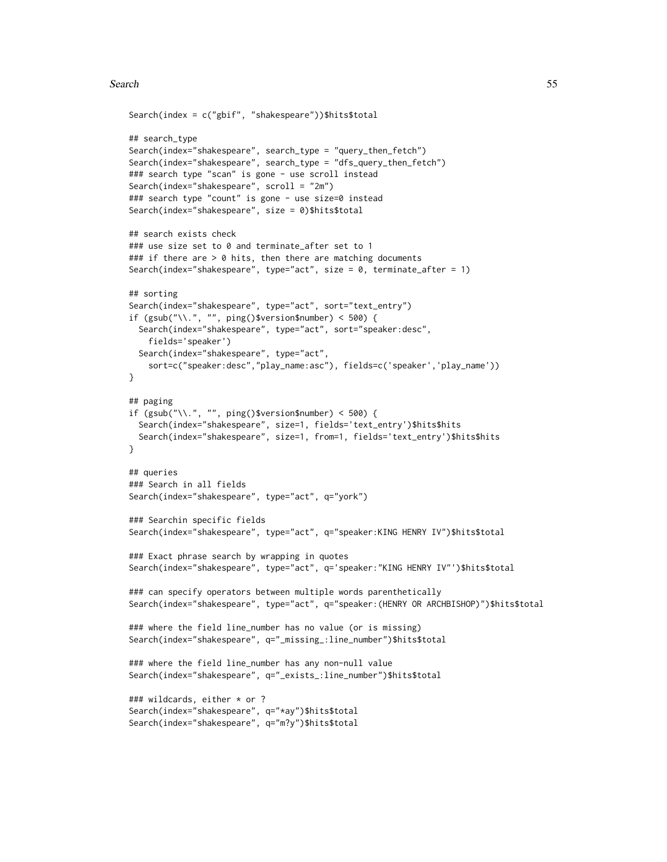```
Search(index = c("gbif", "shakespeare"))$hits$total
## search_type
Search(index="shakespeare", search_type = "query_then_fetch")
Search(index="shakespeare", search_type = "dfs_query_then_fetch")
### search type "scan" is gone - use scroll instead
Search(index="shakespeare", scroll = "2m")
### search type "count" is gone - use size=0 instead
Search(index="shakespeare", size = 0)$hits$total
## search exists check
### use size set to 0 and terminate_after set to 1
### if there are > 0 hits, then there are matching documents
Search(index="shakespeare", type="act", size = 0, terminate_after = 1)
## sorting
Search(index="shakespeare", type="act", sort="text_entry")
if (gsub("\\.", "", ping()$version$number) < 500) {
 Search(index="shakespeare", type="act", sort="speaker:desc",
   fields='speaker')
 Search(index="shakespeare", type="act",
    sort=c("speaker:desc","play_name:asc"), fields=c('speaker','play_name'))
}
## paging
if (gsub("\\.", "", ping()$version$number) < 500) {
 Search(index="shakespeare", size=1, fields='text_entry')$hits$hits
 Search(index="shakespeare", size=1, from=1, fields='text_entry')$hits$hits
}
## queries
### Search in all fields
Search(index="shakespeare", type="act", q="york")
### Searchin specific fields
Search(index="shakespeare", type="act", q="speaker:KING HENRY IV")$hits$total
### Exact phrase search by wrapping in quotes
Search(index="shakespeare", type="act", q='speaker:"KING HENRY IV"')$hits$total
### can specify operators between multiple words parenthetically
Search(index="shakespeare", type="act", q="speaker:(HENRY OR ARCHBISHOP)")$hits$total
### where the field line_number has no value (or is missing)
Search(index="shakespeare", q="_missing_:line_number")$hits$total
### where the field line_number has any non-null value
Search(index="shakespeare", q="_exists_:line_number")$hits$total
### wildcards, either * or ?
Search(index="shakespeare", q="*ay")$hits$total
Search(index="shakespeare", q="m?y")$hits$total
```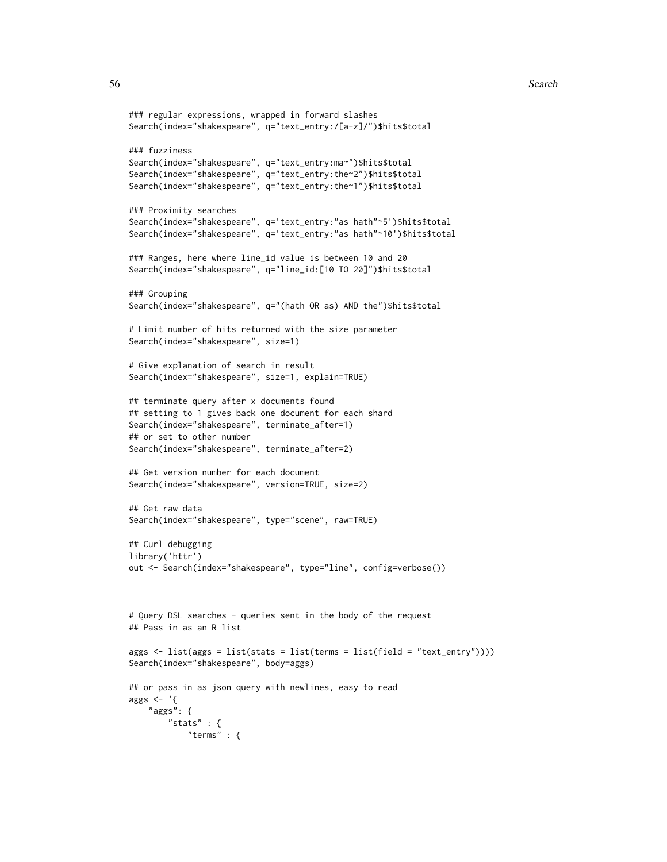```
### regular expressions, wrapped in forward slashes
Search(index="shakespeare", q="text_entry:/[a-z]/")$hits$total
### fuzziness
Search(index="shakespeare", q="text_entry:ma~")$hits$total
Search(index="shakespeare", q="text_entry:the~2")$hits$total
Search(index="shakespeare", q="text_entry:the~1")$hits$total
### Proximity searches
Search(index="shakespeare", q='text_entry:"as hath"~5')$hits$total
Search(index="shakespeare", q='text_entry:"as hath"~10')$hits$total
### Ranges, here where line_id value is between 10 and 20
Search(index="shakespeare", q="line_id:[10 TO 20]")$hits$total
### Grouping
Search(index="shakespeare", q="(hath OR as) AND the")$hits$total
# Limit number of hits returned with the size parameter
Search(index="shakespeare", size=1)
# Give explanation of search in result
Search(index="shakespeare", size=1, explain=TRUE)
## terminate query after x documents found
## setting to 1 gives back one document for each shard
Search(index="shakespeare", terminate_after=1)
## or set to other number
Search(index="shakespeare", terminate_after=2)
## Get version number for each document
Search(index="shakespeare", version=TRUE, size=2)
## Get raw data
Search(index="shakespeare", type="scene", raw=TRUE)
## Curl debugging
library('httr')
out <- Search(index="shakespeare", type="line", config=verbose())
# Query DSL searches - queries sent in the body of the request
## Pass in as an R list
aggs <- list(aggs = list(stats = list(terms = list(field = "text_entry"))))
Search(index="shakespeare", body=aggs)
## or pass in as json query with newlines, easy to read
aggs \leftarrow '{
    "aggs": {
       "stats" : {
            "terms" : {
```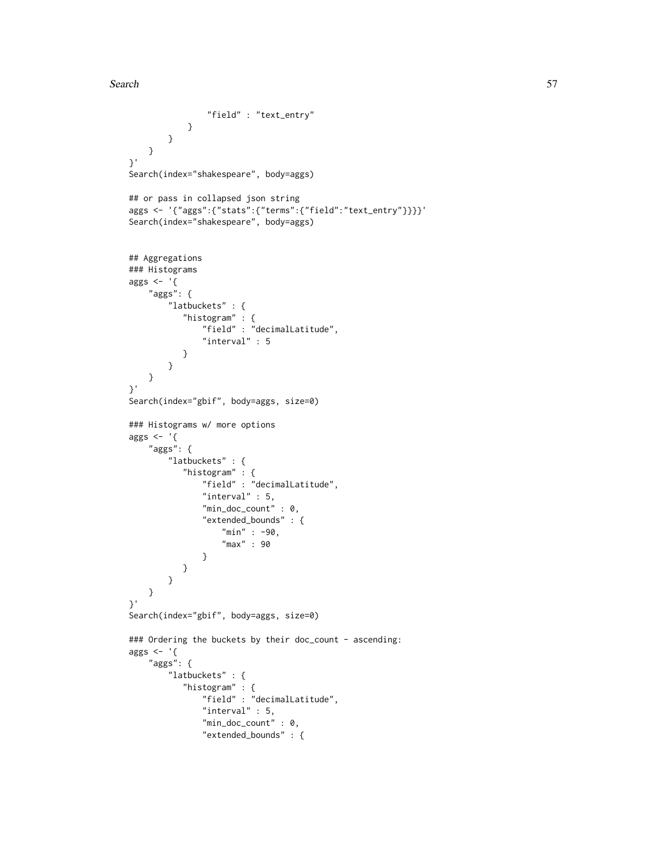```
"field" : "text_entry"
            }
       }
   }
}'
Search(index="shakespeare", body=aggs)
## or pass in collapsed json string
aggs <- '{"aggs":{"stats":{"terms":{"field":"text_entry"}}}}'
Search(index="shakespeare", body=aggs)
## Aggregations
### Histograms
aggs <- '{
    "aggs": {
        "latbuckets" : {
           "histogram" : {
               "field" : "decimalLatitude",
               "interval" : 5
           }
        }
   }
}'
Search(index="gbif", body=aggs, size=0)
### Histograms w/ more options
aggs <- '{
   "aggs": {
        "latbuckets" : {
           "histogram" : {
               "field" : "decimalLatitude",
               "interval" : 5,
               "min_doc_count" : 0,
               "extended_bounds" : {
                   "min" : -90,
                   "max" : 90
               }
           }
        }
   }
}'
Search(index="gbif", body=aggs, size=0)
### Ordering the buckets by their doc_count - ascending:
aggs \leftarrow '{
    "aggs": {
        "latbuckets" : {
           "histogram" : {
               "field" : "decimalLatitude",
               "interval" : 5,
               "min_doc_count" : 0,
               "extended_bounds" : {
```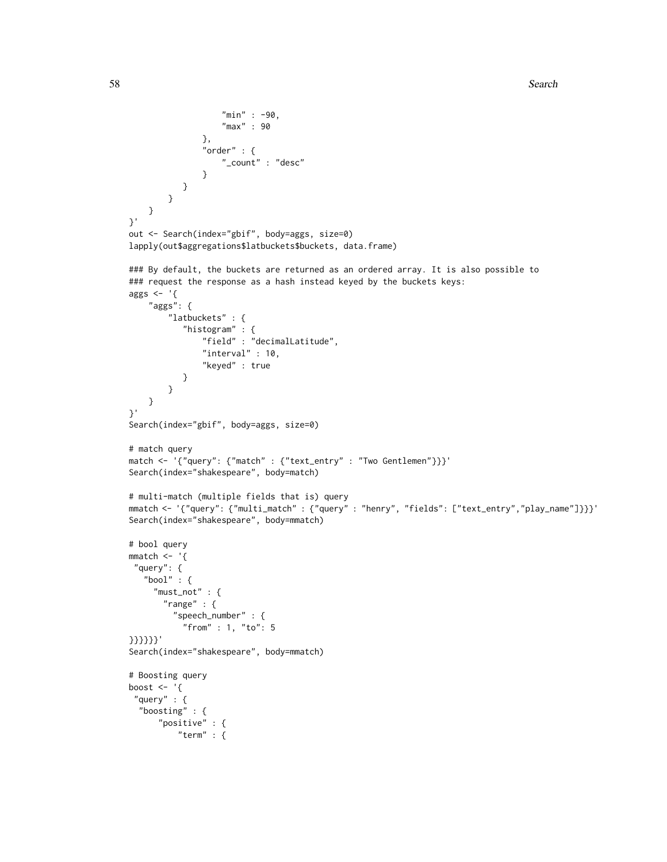```
"min" : -90,
                   "max" : 90
               },
               "order" : {
                   "_count" : "desc"
               }
          }
       }
   }
}'
out <- Search(index="gbif", body=aggs, size=0)
lapply(out$aggregations$latbuckets$buckets, data.frame)
### By default, the buckets are returned as an ordered array. It is also possible to
### request the response as a hash instead keyed by the buckets keys:
aggs <- '{
    "aggs": {
        "latbuckets" : {
           "histogram" : {
               "field" : "decimalLatitude",
               "interval" : 10,
               "keyed" : true
           }
        }
   }
}'
Search(index="gbif", body=aggs, size=0)
# match query
match <- '{"query": {"match" : {"text_entry" : "Two Gentlemen"}}}'
Search(index="shakespeare", body=match)
# multi-match (multiple fields that is) query
mmatch <- '{"query": {"multi_match" : {"query" : "henry", "fields": ["text_entry","play_name"]}}}'
Search(index="shakespeare", body=mmatch)
# bool query
mmatch < - '{
 "query": {
   "bool" :"must_not" : {
       "range" : {
         "speech_number" : {
           "from" : 1, "to": 5
}}}}}}'
Search(index="shakespeare", body=mmatch)
# Boosting query
boost \leq - '{
 "query" : {
  "boosting" : {
      "positive" : {
          "term" : {
```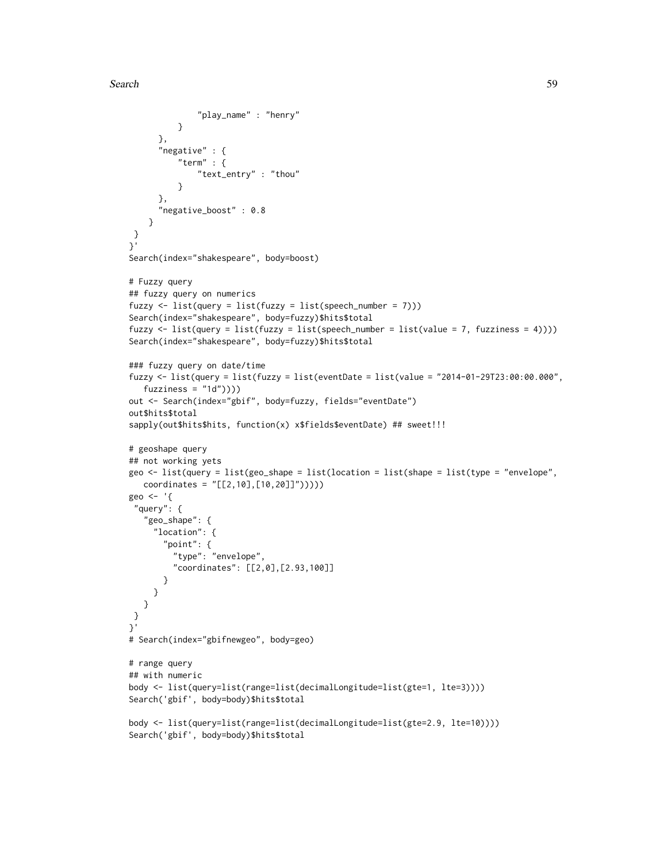```
"play_name" : "henry"
          }
      },
      "negative" : {
          "term" : {
              "text_entry" : "thou"
          }
      },
      "negative_boost" : 0.8
    }
 }
}'
Search(index="shakespeare", body=boost)
# Fuzzy query
## fuzzy query on numerics
fuzzy <- list(query = list(fuzzy = list(speech_number = 7)))
Search(index="shakespeare", body=fuzzy)$hits$total
fuzzy <- list(query = list(fuzzy = list(speech_number = list(value = 7, fuzziness = 4))))
Search(index="shakespeare", body=fuzzy)$hits$total
### fuzzy query on date/time
fuzzy <- list(query = list(fuzzy = list(eventDate = list(value = "2014-01-29T23:00:00.000",
   fuzziness = "1d"))))
out <- Search(index="gbif", body=fuzzy, fields="eventDate")
out$hits$total
sapply(out$hits$hits, function(x) x$fields$eventDate) ## sweet!!!
# geoshape query
## not working yets
geo <- list(query = list(geo_shape = list(location = list(shape = list(type = "envelope",
   coordinates = "[[2,10],[10,20]]"))))geo <- '{
 "query": {
   "geo_shape": {
     "location": {
       "point": {
         "type": "envelope",
         "coordinates": [[2,0],[2.93,100]]
       }
     }
   }
 }
}'
# Search(index="gbifnewgeo", body=geo)
# range query
## with numeric
body <- list(query=list(range=list(decimalLongitude=list(gte=1, lte=3))))
Search('gbif', body=body)$hits$total
body <- list(query=list(range=list(decimalLongitude=list(gte=2.9, lte=10))))
Search('gbif', body=body)$hits$total
```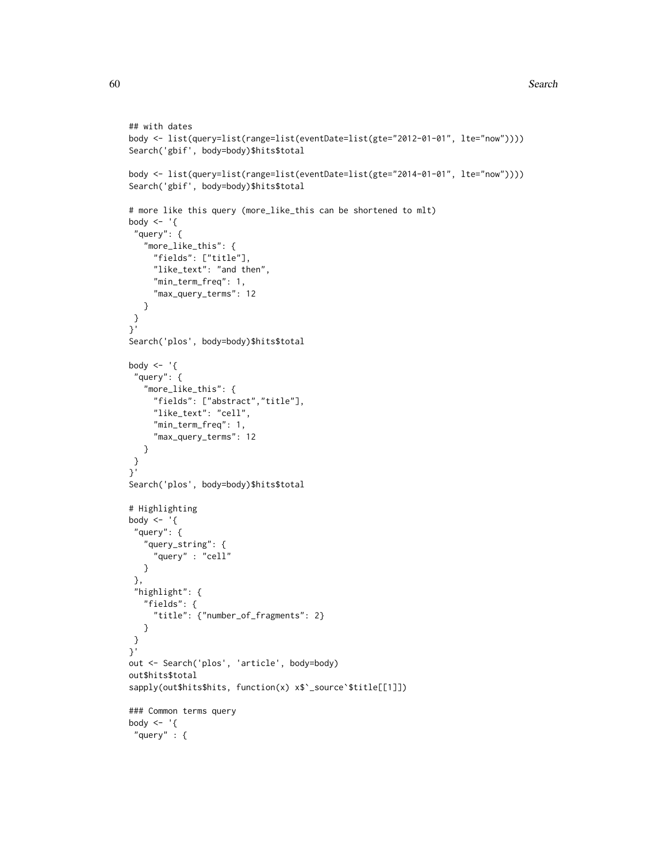### 60 Search Search 30 Search 30 Search 30 Search 30 Search 30 Search 30 Search 30 Search 30 Search 30 Search 30 Search 30 Search 30 Search 30 Search 30 Search 30 Search 30 Search 30 Search 30 Search 30 Search 30 Search 30 Se

```
## with dates
body <- list(query=list(range=list(eventDate=list(gte="2012-01-01", lte="now"))))
Search('gbif', body=body)$hits$total
body <- list(query=list(range=list(eventDate=list(gte="2014-01-01", lte="now"))))
Search('gbif', body=body)$hits$total
# more like this query (more_like_this can be shortened to mlt)
body \leq - '{
 "query": {
   "more_like_this": {
     "fields": ["title"],
     "like_text": "and then",
     "min_term_freq": 1,
     "max_query_terms": 12
   }
}
}'
Search('plos', body=body)$hits$total
body \leq - '{
 "query": {
   "more_like_this": {
     "fields": ["abstract","title"],
     "like_text": "cell",
     "min_term_freq": 1,
     "max_query_terms": 12
  }
 }
}'
Search('plos', body=body)$hits$total
# Highlighting
body \leq - '{
 "query": {
   "query_string": {
     "query" : "cell"
   }
 },
 "highlight": {
   "fields": {
     "title": {"number_of_fragments": 2}
   }
}
}'
out <- Search('plos', 'article', body=body)
out$hits$total
sapply(out$hits$hits, function(x) x$`_source`$title[[1]])
### Common terms query
body <- '{
 "query" : {
```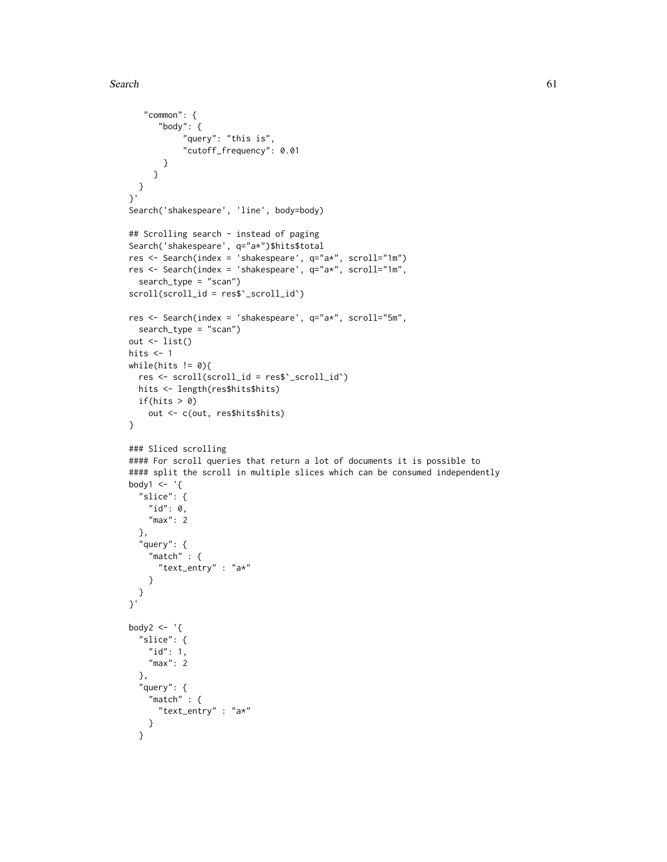### Search  $\sim$  61

```
"common": {
      "body": {
           "query": "this is",
           "cutoff_frequency": 0.01
       }
    }
 }
}'
Search('shakespeare', 'line', body=body)
## Scrolling search - instead of paging
Search('shakespeare', q="a*")$hits$total
res <- Search(index = 'shakespeare', q="a*", scroll="1m")
res <- Search(index = 'shakespeare', q="a*", scroll="1m",
  search_type = "scan")
scroll(scroll_id = res$`_scroll_id`)
res <- Search(index = 'shakespeare', q="a*", scroll="5m",
  search_type = "scan")
out <- list()
hits <-1while(hits != 0){
  res <- scroll(scroll_id = res$`_scroll_id`)
 hits <- length(res$hits$hits)
 if(hits > 0)
   out <- c(out, res$hits$hits)
}
### Sliced scrolling
#### For scroll queries that return a lot of documents it is possible to
#### split the scroll in multiple slices which can be consumed independently
body1 <- \lq '{
  "slice": {
   "id": 0,
    "max": 2
  },
  "query": {
    "match" : {
      "text_entry" : "a*"
    }
  }
}'
body2 <- '{
  "slice": {
   "id": 1,
    "max": 2
  },
  "query": {
    "match" : {
      "text_entry" : "a*"
   }
  }
```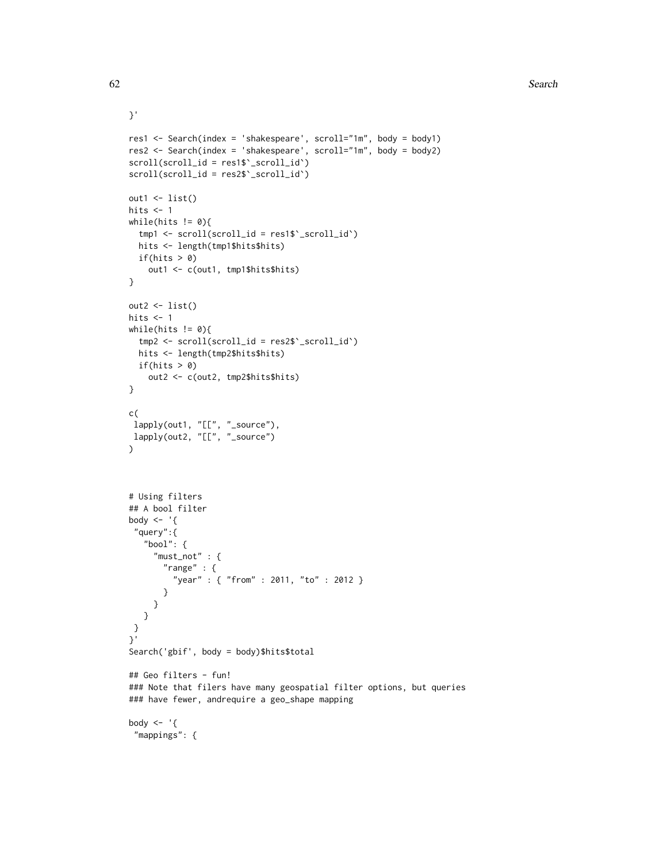```
}'
res1 <- Search(index = 'shakespeare', scroll="1m", body = body1)
res2 <- Search(index = 'shakespeare', scroll="1m", body = body2)
scroll(scroll_id = res1$`_scroll_id`)
scroll(scroll_id = res2$`_scroll_id`)
out1 <- list()
hits <-1while(hits != 0){
  tmp1 <- scroll(scroll_id = res1$`_scroll_id`)
 hits <- length(tmp1$hits$hits)
 if(hits > 0)
    out1 <- c(out1, tmp1$hits$hits)
}
out2 <- list()
hits <-1while(hits != 0){
 tmp2 <- scroll(scroll_id = res2$`_scroll_id`)
 hits <- length(tmp2$hits$hits)
 if(hits > 0)
   out2 <- c(out2, tmp2$hits$hits)
}
c(
lapply(out1, "[[", "_source"),
lapply(out2, "[[", "_source")
\mathcal{L}# Using filters
## A bool filter
body \leq - '{
 "query":{
   "bool": {
     "must_not" : {
       "range" : {
         "year" : { "from" : 2011, "to" : 2012 }
       }
     }
  }
}
}'
Search('gbif', body = body)$hits$total
## Geo filters - fun!
### Note that filers have many geospatial filter options, but queries
### have fewer, andrequire a geo_shape mapping
body <- '{
 "mappings": {
```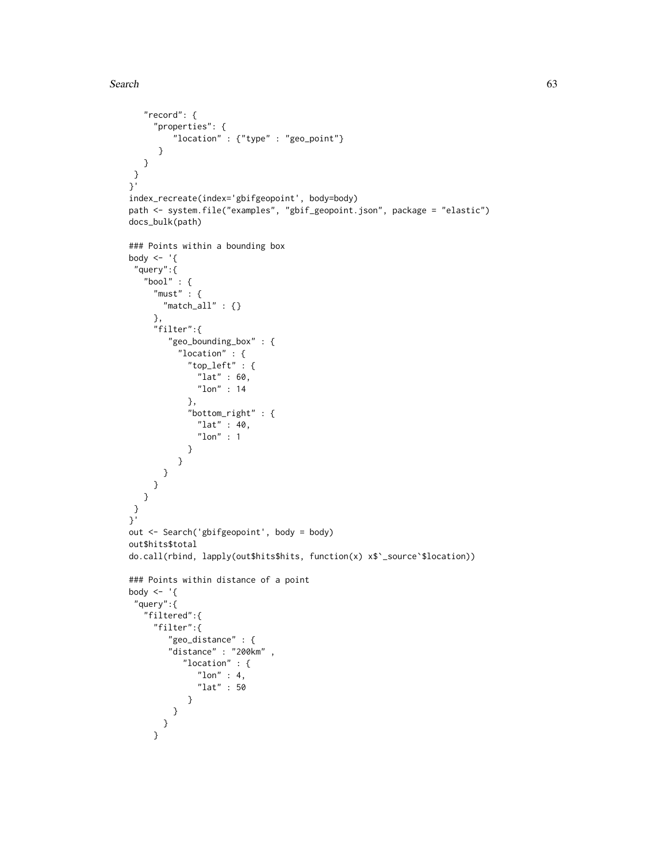```
"record": {
     "properties": {
         "location" : {"type" : "geo_point"}
      }
  }
}
}'
index_recreate(index='gbifgeopoint', body=body)
path <- system.file("examples", "gbif_geopoint.json", package = "elastic")
docs_bulk(path)
### Points within a bounding box
body \leq - '{
 "query":{
   "bool" : {
     "must" : {"match_all" : {}
     },
     "filter":{
        "geo_bounding_box" : {
          "location" : {
            "top_left" : {
              "lat" : 60,
              "lon" : 14
            },
            "bottom_right" : {
              "lat" : 40,
              "lon" : 1
            }
         }
      }
    }
  }
 }
}'
out <- Search('gbifgeopoint', body = body)
out$hits$total
do.call(rbind, lapply(out$hits$hits, function(x) x$`_source`$location))
### Points within distance of a point
body \leq - '{
 "query":{
   "filtered":{
     "filter":{
        "geo_distance" : {
        "distance" : "200km" ,
           "location" : {
              "lon" : 4,
              "lat" : 50
            }
         }
      }
     }
```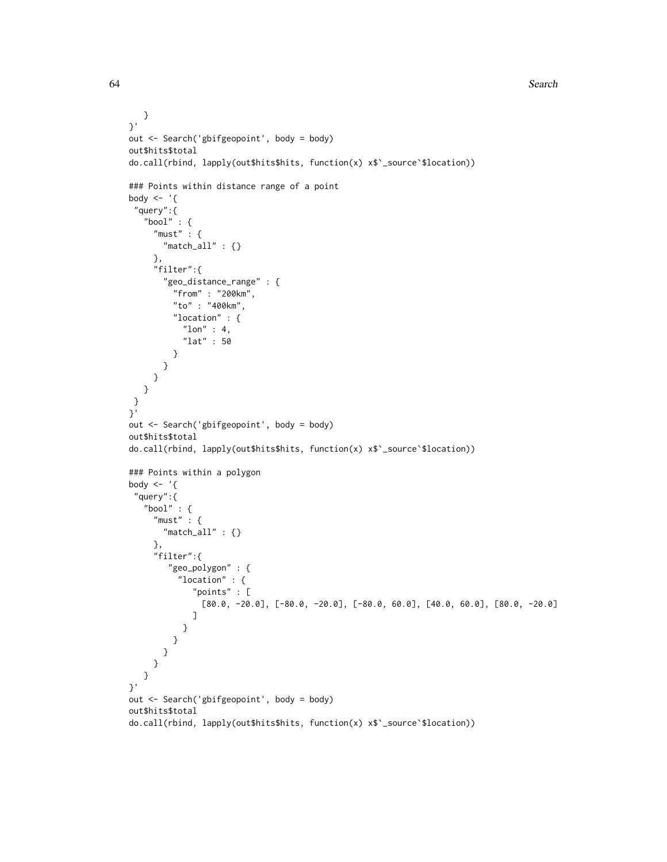```
64 Search 2006 Search 2006 Search 2006 Search 2006 Search 2006 Search 2006 Search 2006 Search 2006 Search 2006 Search 2006 Search 2006 Search 2006 Search 2006 Search 2006 Search 2006 Search 2006 Search 2006 Search 2006 Sea
```

```
}
}'
out <- Search('gbifgeopoint', body = body)
out$hits$total
do.call(rbind, lapply(out$hits$hits, function(x) x$`_source`$location))
### Points within distance range of a point
body \leq - '{
 "query":{
   "bool" : {\}"must" : {"match\_all" : {}},
     "filter":{
       "geo_distance_range" : {
         "from" : "200km",
         "to" : "400km",
         "location" : {
           "lon" : 4,
           "lat" : 50
         }
       }
    }
  }
}
}'
out <- Search('gbifgeopoint', body = body)
out$hits$total
do.call(rbind, lapply(out$hits$hits, function(x) x$`_source`$location))
### Points within a polygon
body <- '{
 "query":{
   "bool" : {
     "must" : {"match_all" : {}
     },
     "filter":{
        "geo_polygon" : {
          "location" : {
             "points" : [
               [80.0, -20.0], [-80.0, -20.0], [-80.0, 60.0], [40.0, 60.0], [80.0, -20.0]]
          }
        }
      }
    }
  }
}'
out <- Search('gbifgeopoint', body = body)
out$hits$total
do.call(rbind, lapply(out$hits$hits, function(x) x$`_source`$location))
```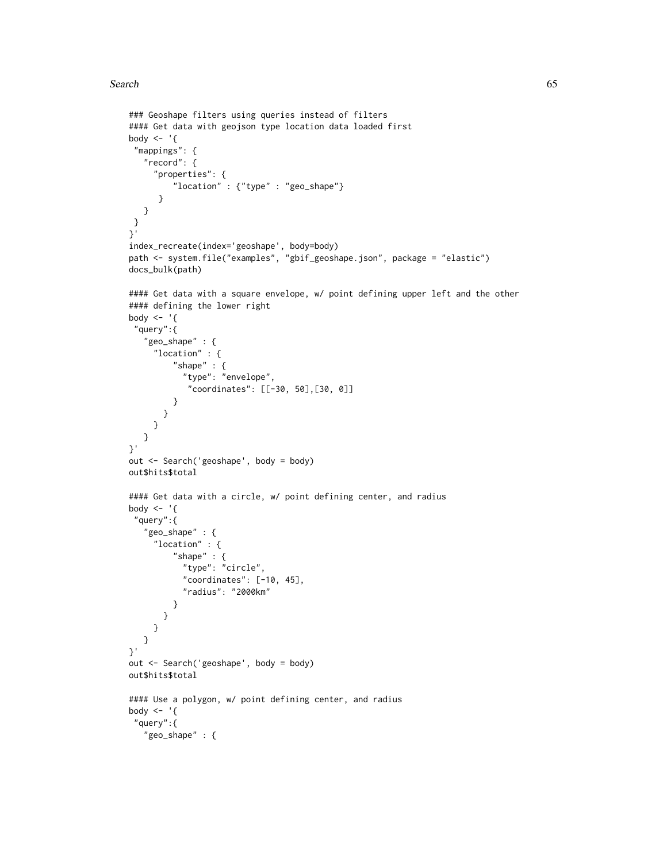```
### Geoshape filters using queries instead of filters
#### Get data with geojson type location data loaded first
body <- '{
 "mappings": {
   "record": {
     "properties": {
         "location" : {"type" : "geo_shape"}
      }
  }
 }
}'
index_recreate(index='geoshape', body=body)
path <- system.file("examples", "gbif_geoshape.json", package = "elastic")
docs_bulk(path)
#### Get data with a square envelope, w/ point defining upper left and the other
#### defining the lower right
body \leq - '{
 "query":{
   "geo_shape" : {
     "location" : {
         "shape" : \{"type": "envelope",
            "coordinates": [[-30, 50],[30, 0]]
         }
       }
     }
  }
}'
out <- Search('geoshape', body = body)
out$hits$total
#### Get data with a circle, w/ point defining center, and radius
body \leq - '{
 "query":{
   "geo_shape" : {
     "location" : {
         "shape" : {
           "type": "circle",
           "coordinates": [-10, 45],
           "radius": "2000km"
         }
       }
     }
  }
}'
out <- Search('geoshape', body = body)
out$hits$total
#### Use a polygon, w/ point defining center, and radius
body \leq - '{
 "query":{
   "geo_shape" : {
```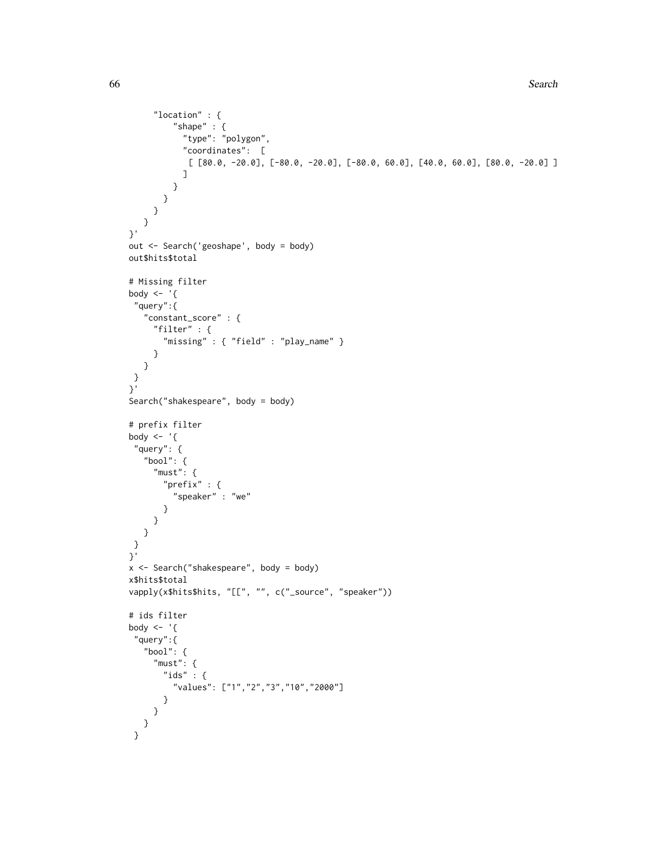```
"location" : {
        "shape" : {
           "type": "polygon",
           "coordinates": [
           [ [80.0, -20.0], [-80.0, -20.0], [-80.0, 60.0], [40.0, 60.0], [80.0, -20.0] ]
          ]
        }
      }
    }
  }
}'
out <- Search('geoshape', body = body)
out$hits$total
# Missing filter
body <- '{
 "query":{
   "constant_score" : {
    "filter" : {
      "missing" : { "field" : "play_name" }
    }
  }
}
}'
Search("shakespeare", body = body)
# prefix filter
body \leq - '{
 "query": {
   "bool": {
    "must": {
      "prefix" : {
        "speaker" : "we"
      }
    }
  }
}
}'
x <- Search("shakespeare", body = body)
x$hits$total
vapply(x$hits$hits, "[[", "", c("_source", "speaker"))
# ids filter
body <- '{
 "query":{
  "bool": {
    "must": {
      "ids" :: \{"values": ["1","2","3","10","2000"]
      }
    }
  }
 }
```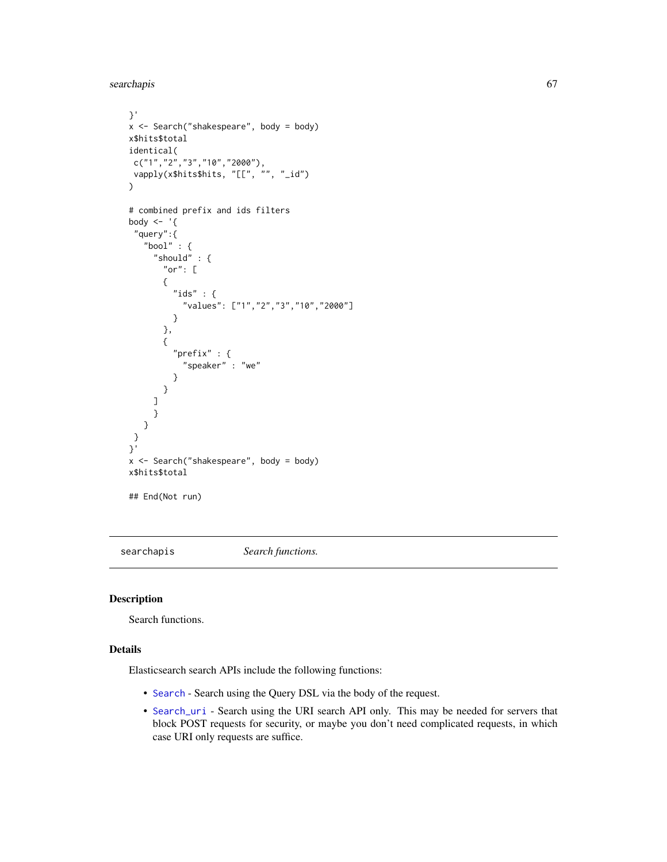searchapis 67

```
}'
x <- Search("shakespeare", body = body)
x$hits$total
identical(
c("1","2","3","10","2000"),
 vapply(x$hits$hits, "[[", "", "_id")
\mathcal{L}# combined prefix and ids filters
body \leq - '{
 "query":{
   "bool" : \{"should" : {
       "or": [
       {
         "ids" : {\mathcal{C}}"values": ["1","2","3","10","2000"]
         }
       },
       {
          "prefix" : {
            "speaker" : "we"
         }
       }
     ]
     }
   }
 }
}'
x <- Search("shakespeare", body = body)
x$hits$total
## End(Not run)
```
searchapis *Search functions.*

### Description

Search functions.

### Details

Elasticsearch search APIs include the following functions:

- [Search](#page-51-0) Search using the Query DSL via the body of the request.
- [Search\\_uri](#page-70-0) Search using the URI search API only. This may be needed for servers that block POST requests for security, or maybe you don't need complicated requests, in which case URI only requests are suffice.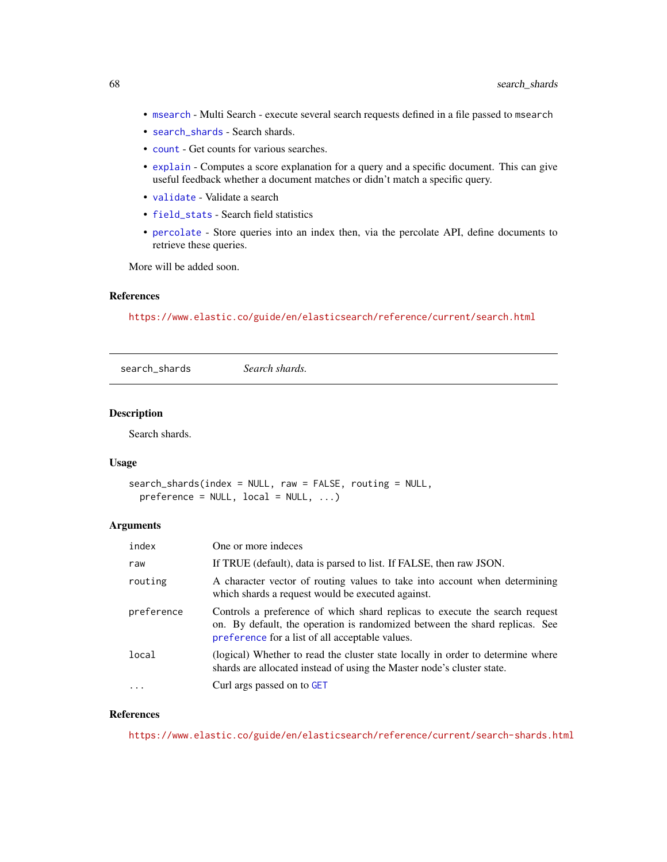- [msearch](#page-38-0) Multi Search execute several search requests defined in a file passed to msearch
- [search\\_shards](#page-67-0) Search shards.
- [count](#page-10-0) Get counts for various searches.
- [explain](#page-27-0) Computes a score explanation for a query and a specific document. This can give useful feedback whether a document matches or didn't match a specific query.
- [validate](#page-78-1) Validate a search
- [field\\_stats](#page-28-0) Search field statistics
- [percolate](#page-44-0) Store queries into an index then, via the percolate API, define documents to retrieve these queries.

More will be added soon.

#### References

<https://www.elastic.co/guide/en/elasticsearch/reference/current/search.html>

<span id="page-67-0"></span>search\_shards *Search shards.*

### Description

Search shards.

#### Usage

```
search_shards(index = NULL, raw = FALSE, routing = NULL,
 preference = NULL, local = NULL, ...)
```
### **Arguments**

| index      | One or more indeces                                                                                                                                                                                           |
|------------|---------------------------------------------------------------------------------------------------------------------------------------------------------------------------------------------------------------|
| raw        | If TRUE (default), data is parsed to list. If FALSE, then raw JSON.                                                                                                                                           |
| routing    | A character vector of routing values to take into account when determining<br>which shards a request would be executed against.                                                                               |
| preference | Controls a preference of which shard replicas to execute the search request<br>on. By default, the operation is randomized between the shard replicas. See<br>preference for a list of all acceptable values. |
| local      | (logical) Whether to read the cluster state locally in order to determine where<br>shards are allocated instead of using the Master node's cluster state.                                                     |
| .          | Curl args passed on to GET                                                                                                                                                                                    |

#### References

<https://www.elastic.co/guide/en/elasticsearch/reference/current/search-shards.html>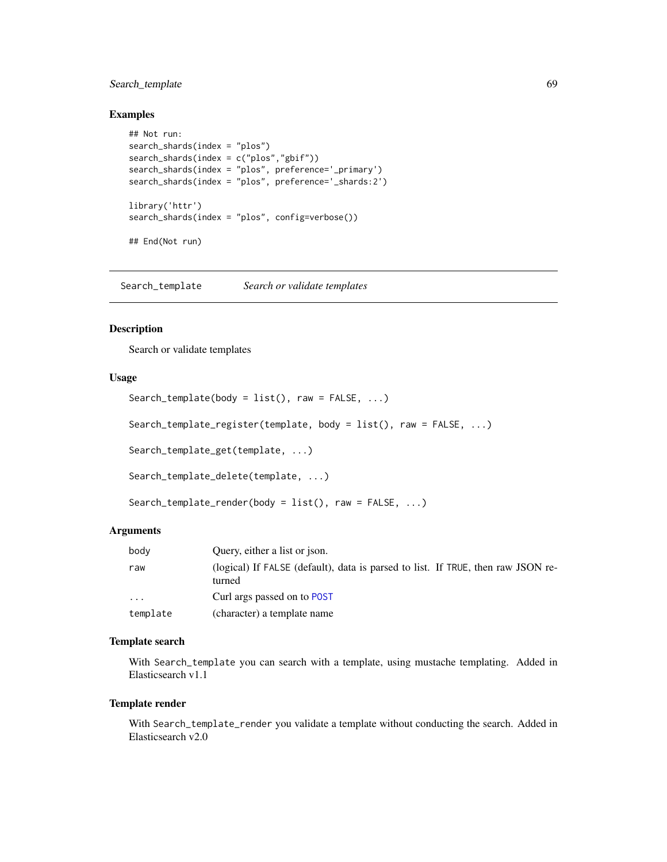## Search\_template 69

### Examples

```
## Not run:
search_shards(index = "plos")
search_shards(index = c("plos","gbif"))
search_shards(index = "plos", preference='_primary')
search_shards(index = "plos", preference='_shards:2')
library('httr')
search_shards(index = "plos", config=verbose())
## End(Not run)
```
<span id="page-68-0"></span>Search\_template *Search or validate templates*

## Description

Search or validate templates

## Usage

```
Search_template(body = list(), raw = FALSE, ...)
```

```
Search_template_register(template, body = list(), raw = FALSE, ...)
```
Search\_template\_get(template, ...)

```
Search_template_delete(template, ...)
```
Search\_template\_render(body = list(), raw = FALSE, ...)

### **Arguments**

| body                    | Ouery, either a list or json.                                                              |
|-------------------------|--------------------------------------------------------------------------------------------|
| raw                     | (logical) If FALSE (default), data is parsed to list. If TRUE, then raw JSON re-<br>turned |
| $\cdot$ $\cdot$ $\cdot$ | Curl args passed on to POST                                                                |
| template                | (character) a template name                                                                |

### Template search

With Search\_template you can search with a template, using mustache templating. Added in Elasticsearch v1.1

### Template render

With Search\_template\_render you validate a template without conducting the search. Added in Elasticsearch v2.0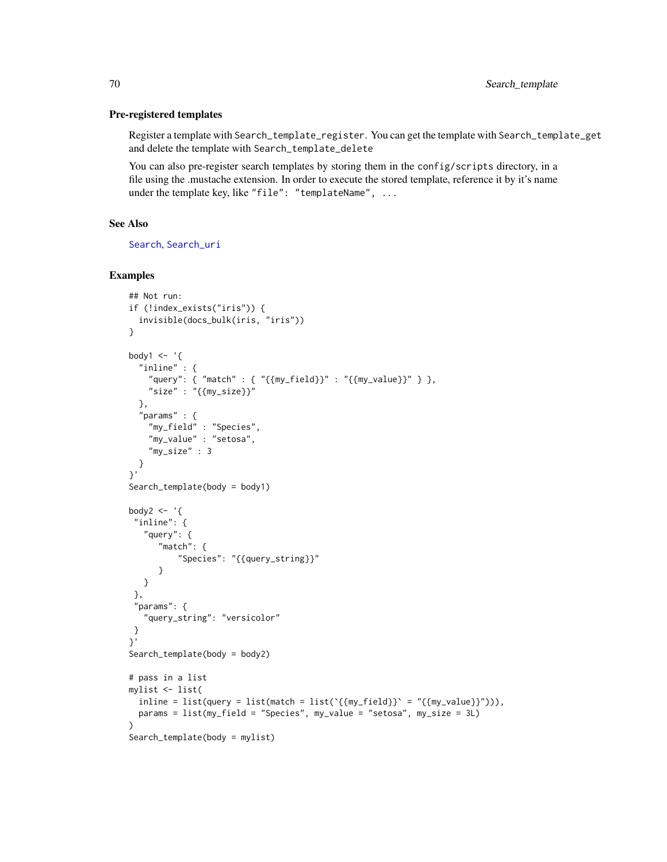#### Pre-registered templates

Register a template with Search\_template\_register. You can get the template with Search\_template\_get and delete the template with Search\_template\_delete

You can also pre-register search templates by storing them in the config/scripts directory, in a file using the .mustache extension. In order to execute the stored template, reference it by it's name under the template key, like "file": "templateName", ...

#### See Also

[Search](#page-51-0), [Search\\_uri](#page-70-0)

```
## Not run:
if (!index_exists("iris")) {
  invisible(docs_bulk(iris, "iris"))
}
body1 \leq - '{
  "inline" : {
    "query": { "match" : { "{{my_field}}" : "{{my_value}}" } },
    "size" : "{m_2 size}}"},
  "params" : {
    "my_field" : "Species",
    "my_value" : "setosa",
    "my_size" : 3
  }
}'
Search_template(body = body1)
body2 \leq - '{
 "inline": {
   "query": {
      "match": {
          "Species": "{{query_string}}"
      }
  }
 },
 "params": {
   "query_string": "versicolor"
 }
}'
Search_template(body = body2)
# pass in a list
mylist <- list(
  inline = list(query = list(match = list(`{{my_field}}' = "{{my_value}}"))),
  params = list(my_field = "Species", my_value = "setosa", my_size = 3L)
\lambdaSearch_template(body = mylist)
```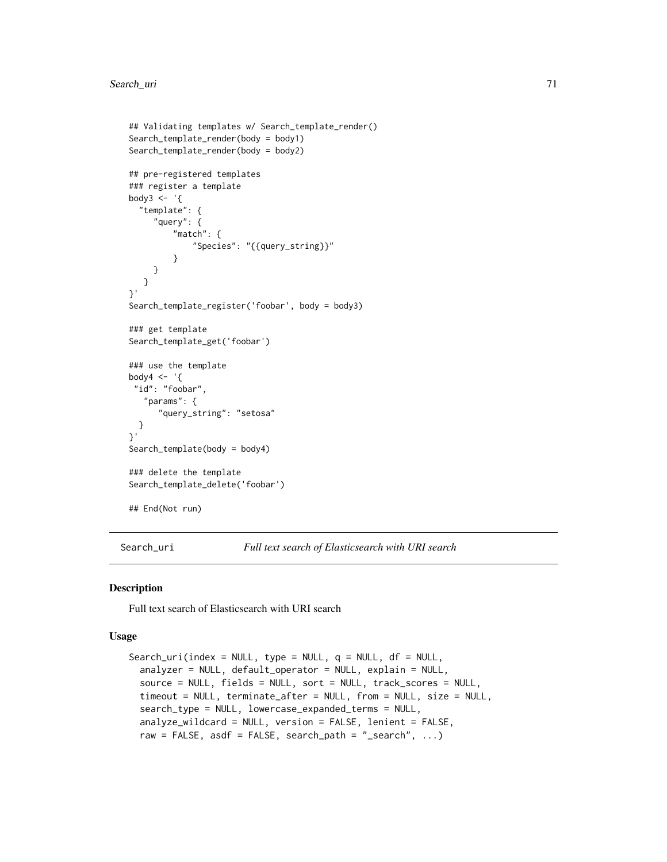#### Search\_uri 71

```
## Validating templates w/ Search_template_render()
Search_template_render(body = body1)
Search_template_render(body = body2)
## pre-registered templates
### register a template
body3 \leq - '{
  "template": {
     "query": {
         "match": {
             "Species": "{{query_string}}"
         }
     }
  }
}'
Search_template_register('foobar', body = body3)
### get template
Search_template_get('foobar')
### use the template
body4 \leq - '{
 "id": "foobar",
   "params": {
      "query_string": "setosa"
 }
}'
Search_template(body = body4)
### delete the template
Search_template_delete('foobar')
## End(Not run)
```
<span id="page-70-0"></span>

Search\_uri *Full text search of Elasticsearch with URI search*

### **Description**

Full text search of Elasticsearch with URI search

#### Usage

```
Search_uri(index = NULL, type = NULL, q = NULL, df = NULL,
 analyzer = NULL, default_operator = NULL, explain = NULL,
  source = NULL, fields = NULL, sort = NULL, track_scores = NULL,
  timeout = NULL, terminate_after = NULL, from = NULL, size = NULL,
  search_type = NULL, lowercase_expanded_terms = NULL,
  analyze_wildcard = NULL, version = FALSE, lenient = FALSE,
  raw = FALSE, asdf = FALSE, search_path = "_search", ...)
```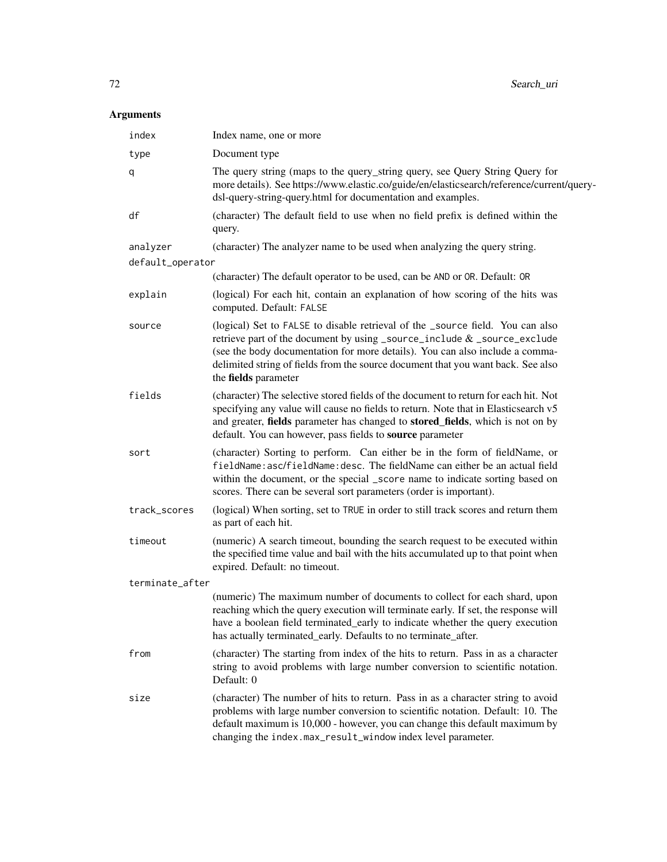# Arguments

| index            | Index name, one or more                                                                                                                                                                                                                                                                                                                                  |
|------------------|----------------------------------------------------------------------------------------------------------------------------------------------------------------------------------------------------------------------------------------------------------------------------------------------------------------------------------------------------------|
| type             | Document type                                                                                                                                                                                                                                                                                                                                            |
| q                | The query string (maps to the query_string query, see Query String Query for<br>more details). See https://www.elastic.co/guide/en/elasticsearch/reference/current/query-<br>dsl-query-string-query.html for documentation and examples.                                                                                                                 |
| df               | (character) The default field to use when no field prefix is defined within the<br>query.                                                                                                                                                                                                                                                                |
| analyzer         | (character) The analyzer name to be used when analyzing the query string.                                                                                                                                                                                                                                                                                |
| default_operator |                                                                                                                                                                                                                                                                                                                                                          |
|                  | (character) The default operator to be used, can be AND or OR. Default: OR                                                                                                                                                                                                                                                                               |
| explain          | (logical) For each hit, contain an explanation of how scoring of the hits was<br>computed. Default: FALSE                                                                                                                                                                                                                                                |
| source           | (logical) Set to FALSE to disable retrieval of the _source field. You can also<br>retrieve part of the document by using _source_include $&$ _source_exclude<br>(see the body documentation for more details). You can also include a comma-<br>delimited string of fields from the source document that you want back. See also<br>the fields parameter |
| fields           | (character) The selective stored fields of the document to return for each hit. Not<br>specifying any value will cause no fields to return. Note that in Elasticsearch v5<br>and greater, fields parameter has changed to stored_fields, which is not on by<br>default. You can however, pass fields to source parameter                                 |
| sort             | (character) Sorting to perform. Can either be in the form of fieldName, or<br>fieldName: asc/fieldName: desc. The fieldName can either be an actual field<br>within the document, or the special _score name to indicate sorting based on<br>scores. There can be several sort parameters (order is important).                                          |
| track_scores     | (logical) When sorting, set to TRUE in order to still track scores and return them<br>as part of each hit.                                                                                                                                                                                                                                               |
| timeout          | (numeric) A search timeout, bounding the search request to be executed within<br>the specified time value and bail with the hits accumulated up to that point when<br>expired. Default: no timeout.                                                                                                                                                      |
| terminate_after  |                                                                                                                                                                                                                                                                                                                                                          |
|                  | (numeric) The maximum number of documents to collect for each shard, upon<br>reaching which the query execution will terminate early. If set, the response will<br>have a boolean field terminated_early to indicate whether the query execution<br>has actually terminated_early. Defaults to no terminate_after.                                       |
| from             | (character) The starting from index of the hits to return. Pass in as a character<br>string to avoid problems with large number conversion to scientific notation.<br>Default: 0                                                                                                                                                                         |
| size             | (character) The number of hits to return. Pass in as a character string to avoid<br>problems with large number conversion to scientific notation. Default: 10. The<br>default maximum is 10,000 - however, you can change this default maximum by<br>changing the index.max_result_window index level parameter.                                         |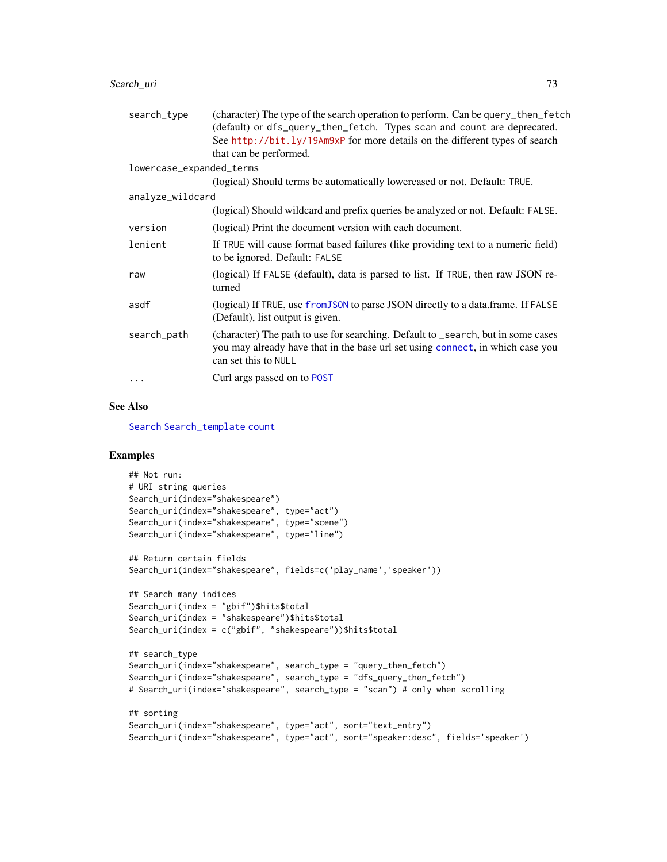#### <span id="page-72-0"></span>Search\_uri 73

| search_type              | (character) The type of the search operation to perform. Can be query_then_fetch<br>(default) or dfs_query_then_fetch. Types scan and count are deprecated.                                |
|--------------------------|--------------------------------------------------------------------------------------------------------------------------------------------------------------------------------------------|
|                          | See http://bit.ly/19Am9xP for more details on the different types of search                                                                                                                |
|                          | that can be performed.                                                                                                                                                                     |
| lowercase_expanded_terms |                                                                                                                                                                                            |
|                          | (logical) Should terms be automatically lowercased or not. Default: TRUE.                                                                                                                  |
| analyze_wildcard         |                                                                                                                                                                                            |
|                          | (logical) Should wildcard and prefix queries be analyzed or not. Default: FALSE.                                                                                                           |
| version                  | (logical) Print the document version with each document.                                                                                                                                   |
| lenient                  | If TRUE will cause format based failures (like providing text to a numeric field)<br>to be ignored. Default: FALSE                                                                         |
| raw                      | (logical) If FALSE (default), data is parsed to list. If TRUE, then raw JSON re-<br>turned                                                                                                 |
| asdf                     | (logical) If TRUE, use from JSON to parse JSON directly to a data.frame. If FALSE<br>(Default), list output is given.                                                                      |
| search_path              | (character) The path to use for searching. Default to _search, but in some cases<br>you may already have that in the base url set using connect, in which case you<br>can set this to NULL |
| .                        | Curl args passed on to POST                                                                                                                                                                |
|                          |                                                                                                                                                                                            |

# See Also

[Search](#page-51-0) [Search\\_template](#page-68-0) [count](#page-10-0)

```
## Not run:
# URI string queries
Search_uri(index="shakespeare")
Search_uri(index="shakespeare", type="act")
Search_uri(index="shakespeare", type="scene")
Search_uri(index="shakespeare", type="line")
## Return certain fields
Search_uri(index="shakespeare", fields=c('play_name','speaker'))
## Search many indices
Search_uri(index = "gbif")$hits$total
Search_uri(index = "shakespeare")$hits$total
Search_uri(index = c("gbif", "shakespeare"))$hits$total
## search_type
Search_uri(index="shakespeare", search_type = "query_then_fetch")
Search_uri(index="shakespeare", search_type = "dfs_query_then_fetch")
# Search_uri(index="shakespeare", search_type = "scan") # only when scrolling
## sorting
Search_uri(index="shakespeare", type="act", sort="text_entry")
Search_uri(index="shakespeare", type="act", sort="speaker:desc", fields='speaker')
```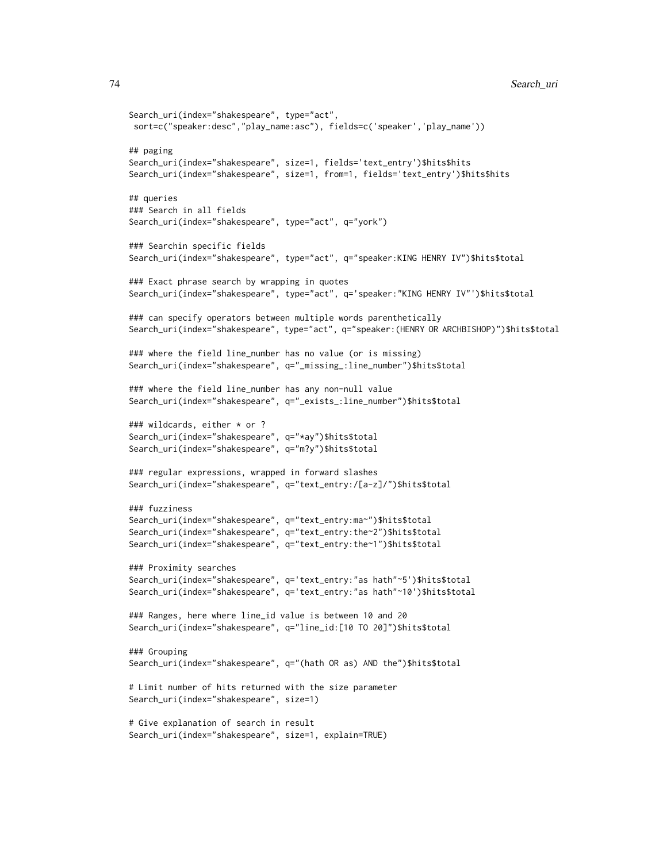```
74 Search_uri
```

```
Search_uri(index="shakespeare", type="act",
sort=c("speaker:desc","play_name:asc"), fields=c('speaker','play_name'))
## paging
Search_uri(index="shakespeare", size=1, fields='text_entry')$hits$hits
Search_uri(index="shakespeare", size=1, from=1, fields='text_entry')$hits$hits
## queries
### Search in all fields
Search_uri(index="shakespeare", type="act", q="york")
### Searchin specific fields
Search_uri(index="shakespeare", type="act", q="speaker:KING HENRY IV")$hits$total
### Exact phrase search by wrapping in quotes
Search_uri(index="shakespeare", type="act", q='speaker:"KING HENRY IV"')$hits$total
### can specify operators between multiple words parenthetically
Search_uri(index="shakespeare", type="act", q="speaker:(HENRY OR ARCHBISHOP)")$hits$total
### where the field line_number has no value (or is missing)
Search_uri(index="shakespeare", q="_missing_:line_number")$hits$total
### where the field line_number has any non-null value
Search_uri(index="shakespeare", q="_exists_:line_number")$hits$total
### wildcards, either * or ?
Search_uri(index="shakespeare", q="*ay")$hits$total
Search_uri(index="shakespeare", q="m?y")$hits$total
### regular expressions, wrapped in forward slashes
Search_uri(index="shakespeare", q="text_entry:/[a-z]/")$hits$total
### fuzziness
Search_uri(index="shakespeare", q="text_entry:ma~")$hits$total
Search_uri(index="shakespeare", q="text_entry:the~2")$hits$total
Search_uri(index="shakespeare", q="text_entry:the~1")$hits$total
### Proximity searches
Search_uri(index="shakespeare", q='text_entry:"as hath"~5')$hits$total
Search_uri(index="shakespeare", q='text_entry:"as hath"~10')$hits$total
### Ranges, here where line_id value is between 10 and 20
Search_uri(index="shakespeare", q="line_id:[10 TO 20]")$hits$total
### Grouping
Search_uri(index="shakespeare", q="(hath OR as) AND the")$hits$total
# Limit number of hits returned with the size parameter
Search_uri(index="shakespeare", size=1)
# Give explanation of search in result
Search_uri(index="shakespeare", size=1, explain=TRUE)
```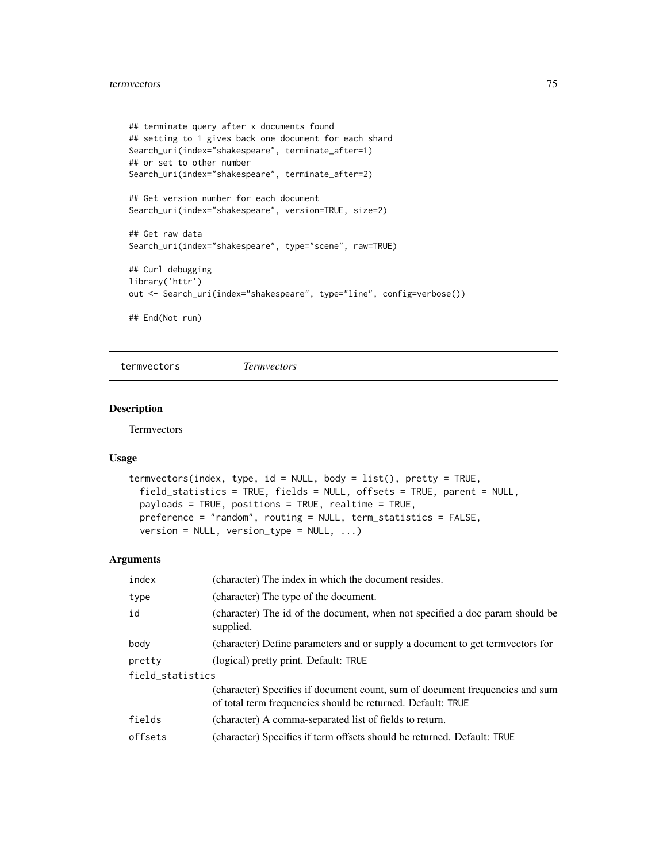#### <span id="page-74-0"></span>termvectors 75

```
## terminate query after x documents found
## setting to 1 gives back one document for each shard
Search_uri(index="shakespeare", terminate_after=1)
## or set to other number
Search_uri(index="shakespeare", terminate_after=2)
## Get version number for each document
Search_uri(index="shakespeare", version=TRUE, size=2)
## Get raw data
Search_uri(index="shakespeare", type="scene", raw=TRUE)
## Curl debugging
library('httr')
out <- Search_uri(index="shakespeare", type="line", config=verbose())
## End(Not run)
```
termvectors *Termvectors*

#### Description

Termvectors

#### Usage

```
termvectors(index, type, id = NULL, body = list(), pretty = TRUE,
  field_statistics = TRUE, fields = NULL, offsets = TRUE, parent = NULL,
 payloads = TRUE, positions = TRUE, realtime = TRUE,
 preference = "random", routing = NULL, term_statistics = FALSE,
 version = NULL, version_type = NULL, ...)
```
# Arguments

| index            | (character) The index in which the document resides.                                                                                        |  |
|------------------|---------------------------------------------------------------------------------------------------------------------------------------------|--|
| type             | (character) The type of the document.                                                                                                       |  |
| id               | (character) The id of the document, when not specified a doc param should be<br>supplied.                                                   |  |
| body             | (character) Define parameters and or supply a document to get termvectors for                                                               |  |
| pretty           | (logical) pretty print. Default: TRUE                                                                                                       |  |
| field_statistics |                                                                                                                                             |  |
|                  | (character) Specifies if document count, sum of document frequencies and sum<br>of total term frequencies should be returned. Default: TRUE |  |
| fields           | (character) A comma-separated list of fields to return.                                                                                     |  |
| offsets          | (character) Specifies if term offsets should be returned. Default: TRUE                                                                     |  |
|                  |                                                                                                                                             |  |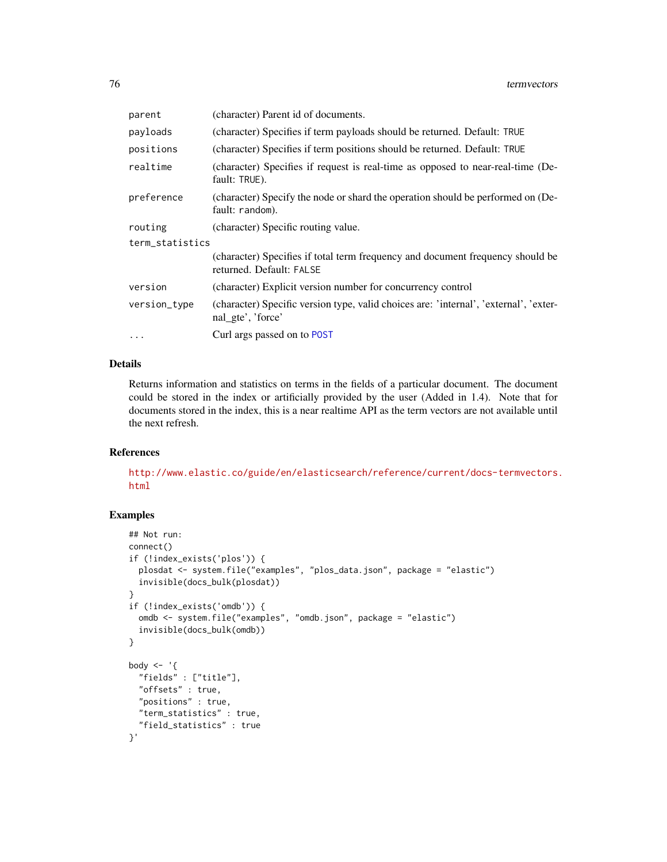<span id="page-75-0"></span>

| parent          | (character) Parent id of documents.                                                                        |  |
|-----------------|------------------------------------------------------------------------------------------------------------|--|
| payloads        | (character) Specifies if term payloads should be returned. Default: TRUE                                   |  |
| positions       | (character) Specifies if term positions should be returned. Default: TRUE                                  |  |
| realtime        | (character) Specifies if request is real-time as opposed to near-real-time (De-<br>fault: TRUE).           |  |
| preference      | (character) Specify the node or shard the operation should be performed on (De-<br>fault: random).         |  |
| routing         | (character) Specific routing value.                                                                        |  |
| term_statistics |                                                                                                            |  |
|                 | (character) Specifies if total term frequency and document frequency should be<br>returned. Default: FALSE |  |
| version         | (character) Explicit version number for concurrency control                                                |  |
| version_type    | (character) Specific version type, valid choices are: 'internal', 'external', 'exter-<br>nal_gte', 'force' |  |
| $\ddots$        | Curl args passed on to POST                                                                                |  |

#### Details

Returns information and statistics on terms in the fields of a particular document. The document could be stored in the index or artificially provided by the user (Added in 1.4). Note that for documents stored in the index, this is a near realtime API as the term vectors are not available until the next refresh.

#### References

[http://www.elastic.co/guide/en/elasticsearch/reference/current/docs-termvectors.](http://www.elastic.co/guide/en/elasticsearch/reference/current/docs-termvectors.html) [html](http://www.elastic.co/guide/en/elasticsearch/reference/current/docs-termvectors.html)

```
## Not run:
connect()
if (!index_exists('plos')) {
  plosdat <- system.file("examples", "plos_data.json", package = "elastic")
  invisible(docs_bulk(plosdat))
}
if (!index_exists('omdb')) {
  omdb <- system.file("examples", "omdb.json", package = "elastic")
  invisible(docs_bulk(omdb))
}
body \leq - '{
  "fields" : ["title"],
  "offsets" : true,
  "positions" : true,
  "term_statistics" : true,
  "field_statistics" : true
}'
```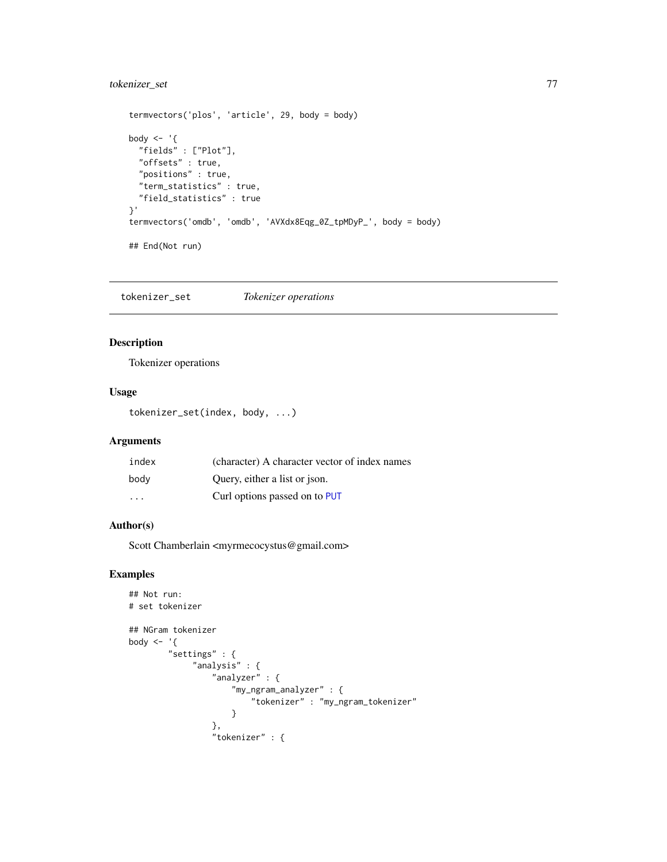# <span id="page-76-0"></span>tokenizer\_set 77

```
termvectors('plos', 'article', 29, body = body)
body <- '{
  "fields" : ["Plot"],
  "offsets" : true,
  "positions" : true,
  "term_statistics" : true,
  "field_statistics" : true
}'
termvectors('omdb', 'omdb', 'AVXdx8Eqg_0Z_tpMDyP_', body = body)
## End(Not run)
```
tokenizer\_set *Tokenizer operations*

# Description

Tokenizer operations

# Usage

tokenizer\_set(index, body, ...)

#### Arguments

| index                   | (character) A character vector of index names |
|-------------------------|-----------------------------------------------|
| body                    | Query, either a list or json.                 |
| $\cdot$ $\cdot$ $\cdot$ | Curl options passed on to PUT                 |

# Author(s)

Scott Chamberlain <myrmecocystus@gmail.com>

```
## Not run:
# set tokenizer
## NGram tokenizer
body \leq - '{
        "settings" : {
             "analysis" : {
                 "analyzer" : {
                     "my_ngram_analyzer" : {
                          "tokenizer" : "my_ngram_tokenizer"
                     }
                 },
                 "tokenizer" : {
```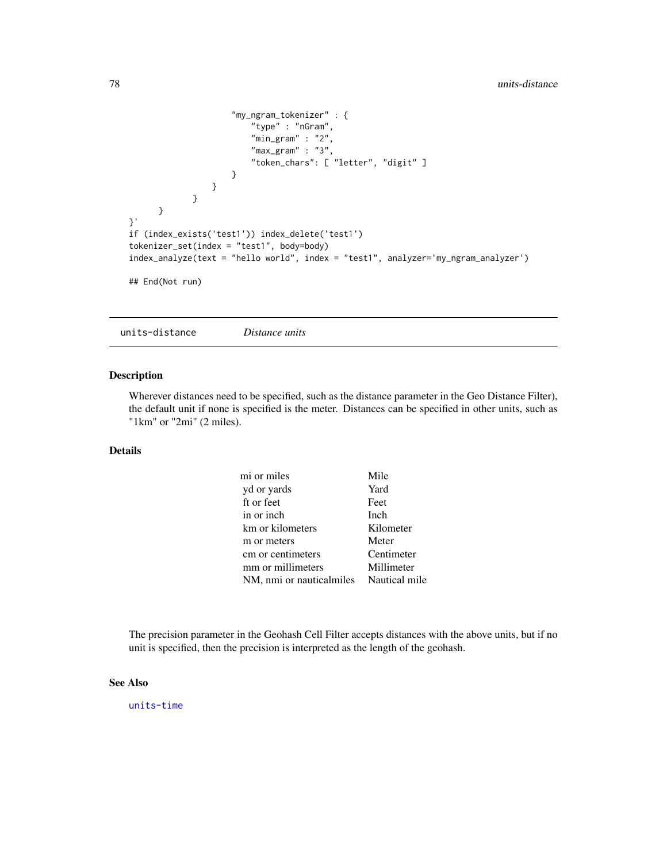```
"my_ngram_tokenizer" : {
                         "type" : "nGram",
                         "min\_gram" : "2","max\_gram" : "3","token_chars": [ "letter", "digit" ]
                     }
                 }
             }
      }
}'
if (index_exists('test1')) index_delete('test1')
tokenizer_set(index = "test1", body=body)
index_analyze(text = "hello world", index = "test1", analyzer='my_ngram_analyzer')
## End(Not run)
```
<span id="page-77-0"></span>units-distance *Distance units*

# Description

Wherever distances need to be specified, such as the distance parameter in the Geo Distance Filter), the default unit if none is specified is the meter. Distances can be specified in other units, such as "1km" or "2mi" (2 miles).

#### Details

| mi or miles              | Mile          |
|--------------------------|---------------|
| yd or yards              | Yard          |
| ft or feet               | Feet          |
| in or inch               | Inch          |
| km or kilometers         | Kilometer     |
| m or meters              | Meter         |
| cm or centimeters        | Centimeter    |
| mm or millimeters        | Millimeter    |
| NM, nmi or nauticalmiles | Nautical mile |

The precision parameter in the Geohash Cell Filter accepts distances with the above units, but if no unit is specified, then the precision is interpreted as the length of the geohash.

#### See Also

[units-time](#page-78-0)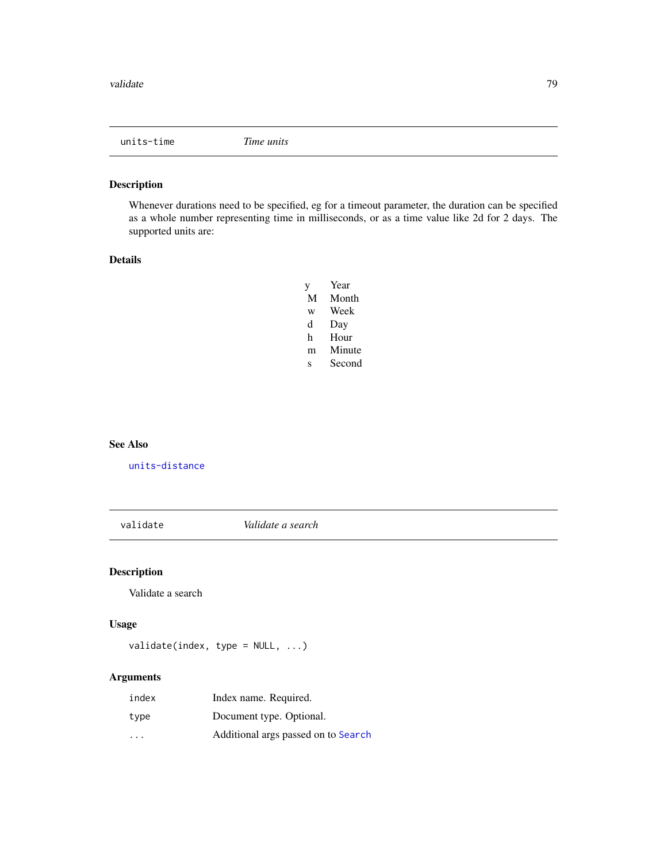<span id="page-78-1"></span><span id="page-78-0"></span>units-time *Time units*

# Description

Whenever durations need to be specified, eg for a timeout parameter, the duration can be specified as a whole number representing time in milliseconds, or as a time value like 2d for 2 days. The supported units are:

# Details

y Year M Month w Week d Day h Hour m Minute s Second

#### See Also

[units-distance](#page-77-0)

validate *Validate a search*

# Description

Validate a search

# Usage

validate(index, type = NULL, ...)

# Arguments

| index                   | Index name. Required.               |
|-------------------------|-------------------------------------|
| type                    | Document type. Optional.            |
| $\cdot$ $\cdot$ $\cdot$ | Additional args passed on to Search |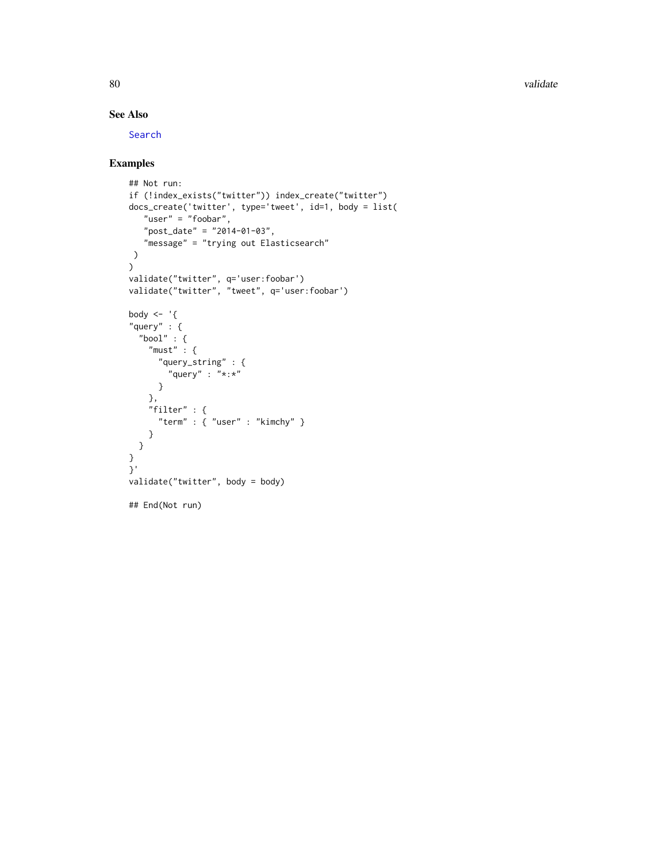80 validate variable variable variable variable variable variable variable variable variable variable variable v

# See Also

[Search](#page-51-0)

```
## Not run:
if (!index_exists("twitter")) index_create("twitter")
docs_create('twitter', type='tweet', id=1, body = list(
  "user" = "foobar",
   "post_date" = "2014-01-03",
   "message" = "trying out Elasticsearch"
)
\left( \right)validate("twitter", q='user:foobar')
validate("twitter", "tweet", q='user:foobar')
body \leq - '{
"query" : {
  "bool" : {
   "must" : {"query_string" : {
       "query" : "*:*"
     }
    },
    "filter" : {
     "term" : { "user" : "kimchy" }
    }
  }
}
}'
validate("twitter", body = body)
## End(Not run)
```
<span id="page-79-0"></span>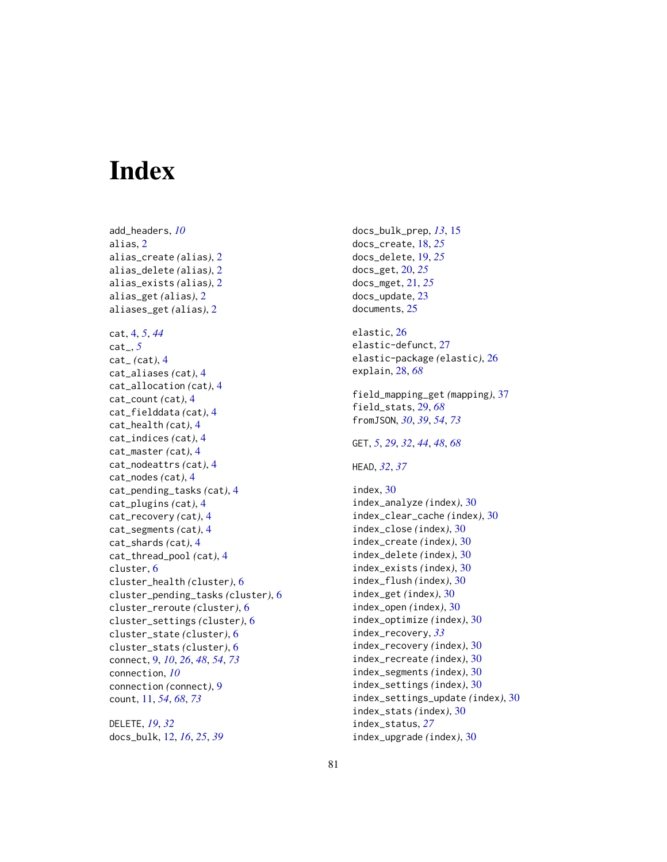# **Index**

```
add_headers, 10
alias, 2
alias_create (alias), 2
alias_delete (alias), 2
alias_exists (alias), 2
alias_get (alias), 2
aliases_get (alias), 2
cat, 4, 5, 44
cat_, 5
cat_ (cat), 4
cat_aliases (cat), 4
cat_allocation (cat), 4
cat_count (cat), 4
cat_fielddata (cat), 4
cat_health (cat), 4
cat_indices (cat), 4
cat_master (cat), 4
cat_nodeattrs (cat), 4
cat_nodes (cat), 4
cat_pending_tasks (cat), 4
cat_plugins (cat), 4
cat_recovery (cat), 4
cat_segments (cat), 4
cat_shards (cat), 4
cat_thread_pool (cat), 4
cluster, 6
cluster_health (cluster), 6
cluster_pending_tasks (cluster), 6
cluster_reroute (cluster), 6
cluster_settings (cluster), 6
cluster_state (cluster), 6
cluster_stats (cluster), 6
connect, 9, 10, 26, 48, 54, 73
connection, 10
connection (connect), 9
count, 11, 54, 68, 73
```

```
DELETE, 19, 32
docs_bulk, 12, 16, 25, 39
```
docs\_bulk\_prep, *[13](#page-12-0)*, [15](#page-14-0) docs\_create, [18,](#page-17-0) *[25](#page-24-0)* docs\_delete, [19,](#page-18-0) *[25](#page-24-0)* docs\_get, [20,](#page-19-0) *[25](#page-24-0)* docs\_mget, [21,](#page-20-0) *[25](#page-24-0)* docs\_update, [23](#page-22-0) documents, [25](#page-24-0) elastic, [26](#page-25-0) elastic-defunct, [27](#page-26-0) elastic-package *(*elastic*)*, [26](#page-25-0) explain, [28,](#page-27-0) *[68](#page-67-0)* field\_mapping\_get *(*mapping*)*, [37](#page-36-0) field\_stats, [29,](#page-28-0) *[68](#page-67-0)* fromJSON, *[30](#page-29-0)*, *[39](#page-38-0)*, *[54](#page-53-0)*, *[73](#page-72-0)* GET, *[5](#page-4-0)*, *[29](#page-28-0)*, *[32](#page-31-0)*, *[44](#page-43-0)*, *[48](#page-47-0)*, *[68](#page-67-0)* HEAD, *[32](#page-31-0)*, *[37](#page-36-0)* index, [30](#page-29-0) index\_analyze *(*index*)*, [30](#page-29-0) index\_clear\_cache *(*index*)*, [30](#page-29-0) index\_close *(*index*)*, [30](#page-29-0) index\_create *(*index*)*, [30](#page-29-0) index\_delete *(*index*)*, [30](#page-29-0) index\_exists *(*index*)*, [30](#page-29-0) index\_flush *(*index*)*, [30](#page-29-0) index\_get *(*index*)*, [30](#page-29-0) index\_open *(*index*)*, [30](#page-29-0) index\_optimize *(*index*)*, [30](#page-29-0) index\_recovery, *[33](#page-32-0)* index\_recovery *(*index*)*, [30](#page-29-0) index\_recreate *(*index*)*, [30](#page-29-0) index\_segments *(*index*)*, [30](#page-29-0) index\_settings *(*index*)*, [30](#page-29-0) index\_settings\_update *(*index*)*, [30](#page-29-0) index\_stats *(*index*)*, [30](#page-29-0) index\_status, *[27](#page-26-0)* index\_upgrade *(*index*)*, [30](#page-29-0)